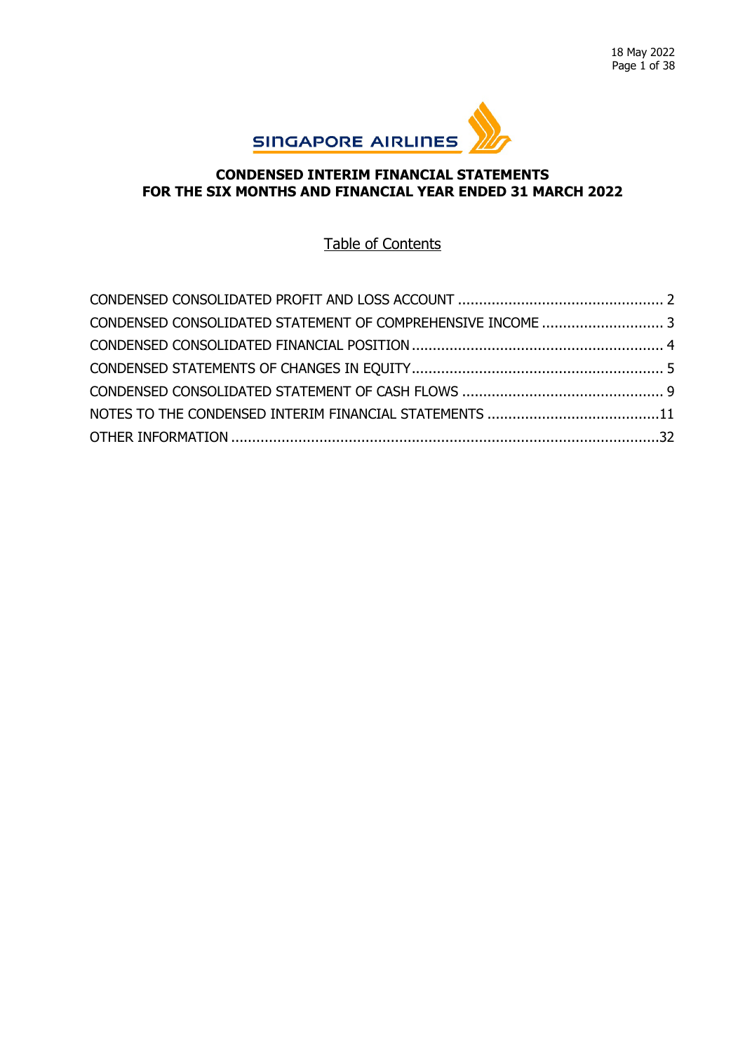

# **CONDENSED INTERIM FINANCIAL STATEMENTS FOR THE SIX MONTHS AND FINANCIAL YEAR ENDED 31 MARCH 2022**

# Table of Contents

| CONDENSED CONSOLIDATED STATEMENT OF COMPREHENSIVE INCOME  3 |  |
|-------------------------------------------------------------|--|
|                                                             |  |
|                                                             |  |
|                                                             |  |
|                                                             |  |
|                                                             |  |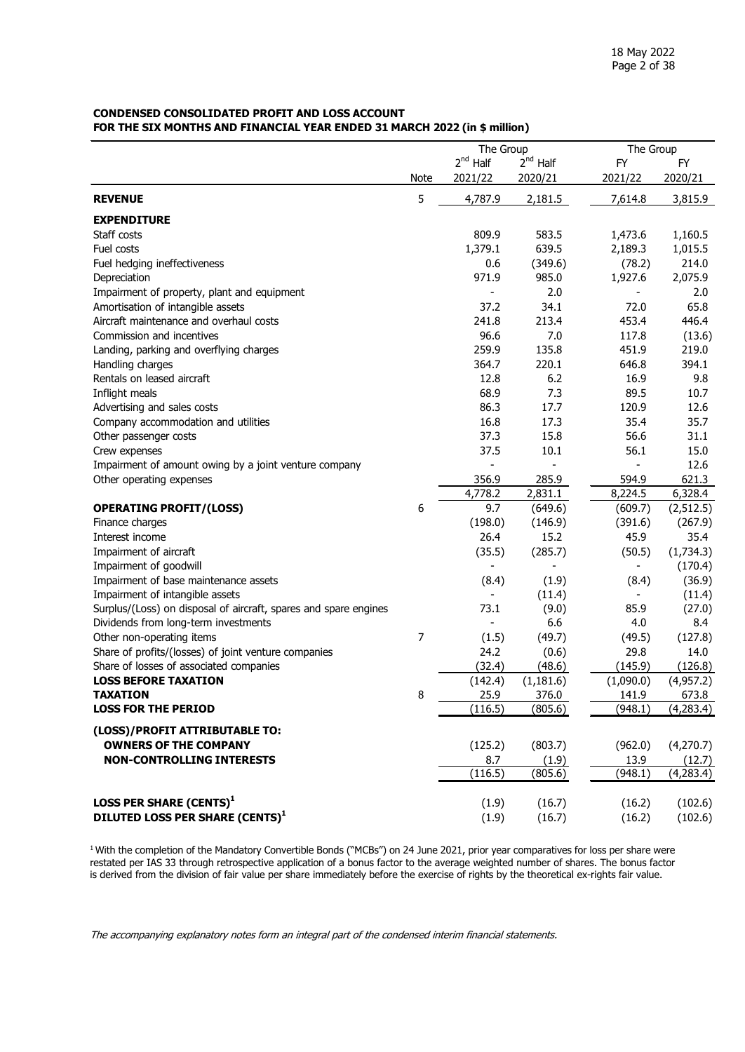#### <span id="page-1-0"></span>**CONDENSED CONSOLIDATED PROFIT AND LOSS ACCOUNT FOR THE SIX MONTHS AND FINANCIAL YEAR ENDED 31 MARCH 2022 (in \$ million)**

|                                                                  |      | The Group     |               | The Group |            |  |
|------------------------------------------------------------------|------|---------------|---------------|-----------|------------|--|
|                                                                  |      | $2^{nd}$ Half | $2^{nd}$ Half | <b>FY</b> | FY         |  |
|                                                                  | Note | 2021/22       | 2020/21       | 2021/22   | 2020/21    |  |
| <b>REVENUE</b>                                                   | 5    | 4,787.9       | 2,181.5       | 7,614.8   | 3,815.9    |  |
| <b>EXPENDITURE</b>                                               |      |               |               |           |            |  |
| Staff costs                                                      |      | 809.9         | 583.5         | 1,473.6   | 1,160.5    |  |
| Fuel costs                                                       |      | 1,379.1       | 639.5         | 2,189.3   | 1,015.5    |  |
| Fuel hedging ineffectiveness                                     |      | 0.6           | (349.6)       | (78.2)    | 214.0      |  |
| Depreciation                                                     |      | 971.9         | 985.0         | 1,927.6   | 2,075.9    |  |
| Impairment of property, plant and equipment                      |      |               | 2.0           |           | 2.0        |  |
| Amortisation of intangible assets                                |      | 37.2          | 34.1          | 72.0      | 65.8       |  |
| Aircraft maintenance and overhaul costs                          |      | 241.8         | 213.4         | 453.4     | 446.4      |  |
| Commission and incentives                                        |      | 96.6          | 7.0           | 117.8     | (13.6)     |  |
| Landing, parking and overflying charges                          |      | 259.9         | 135.8         | 451.9     | 219.0      |  |
| Handling charges                                                 |      | 364.7         | 220.1         | 646.8     | 394.1      |  |
| Rentals on leased aircraft                                       |      | 12.8          | 6.2           | 16.9      | 9.8        |  |
| Inflight meals                                                   |      | 68.9          | 7.3           | 89.5      | 10.7       |  |
| Advertising and sales costs                                      |      | 86.3          | 17.7          | 120.9     | 12.6       |  |
| Company accommodation and utilities                              |      | 16.8          | 17.3          | 35.4      | 35.7       |  |
| Other passenger costs                                            |      | 37.3          | 15.8          | 56.6      | 31.1       |  |
| Crew expenses                                                    |      | 37.5          | 10.1          | 56.1      | 15.0       |  |
| Impairment of amount owing by a joint venture company            |      |               |               |           | 12.6       |  |
| Other operating expenses                                         |      | 356.9         | 285.9         | 594.9     | 621.3      |  |
|                                                                  |      | 4,778.2       | 2,831.1       | 8,224.5   | 6,328.4    |  |
| <b>OPERATING PROFIT/(LOSS)</b>                                   | 6    | 9.7           | (649.6)       | (609.7)   | (2, 512.5) |  |
| Finance charges                                                  |      | (198.0)       | (146.9)       | (391.6)   | (267.9)    |  |
| Interest income                                                  |      | 26.4          | 15.2          | 45.9      | 35.4       |  |
| Impairment of aircraft                                           |      | (35.5)        | (285.7)       | (50.5)    | (1,734.3)  |  |
| Impairment of goodwill                                           |      |               |               |           | (170.4)    |  |
| Impairment of base maintenance assets                            |      | (8.4)         | (1.9)         | (8.4)     | (36.9)     |  |
| Impairment of intangible assets                                  |      |               | (11.4)        |           | (11.4)     |  |
| Surplus/(Loss) on disposal of aircraft, spares and spare engines |      | 73.1          | (9.0)         | 85.9      | (27.0)     |  |
| Dividends from long-term investments                             |      |               | 6.6           | 4.0       | 8.4        |  |
| Other non-operating items                                        | 7    | (1.5)         | (49.7)        | (49.5)    | (127.8)    |  |
| Share of profits/(losses) of joint venture companies             |      | 24.2          | (0.6)         | 29.8      | 14.0       |  |
| Share of losses of associated companies                          |      | (32.4)        | (48.6)        | (145.9)   | (126.8)    |  |
| <b>LOSS BEFORE TAXATION</b>                                      |      | (142.4)       | (1, 181.6)    | (1,090.0) | (4,957.2)  |  |
| <b>TAXATION</b>                                                  | 8    | 25.9          | 376.0         | 141.9     | 673.8      |  |
| <b>LOSS FOR THE PERIOD</b>                                       |      | (116.5)       | (805.6)       | (948.1)   | (4,283.4)  |  |
| (LOSS)/PROFIT ATTRIBUTABLE TO:                                   |      |               |               |           |            |  |
| <b>OWNERS OF THE COMPANY</b>                                     |      | (125.2)       | (803.7)       | (962.0)   | (4,270.7)  |  |
| <b>NON-CONTROLLING INTERESTS</b>                                 |      | 8.7           | (1.9)         | 13.9      | (12.7)     |  |
|                                                                  |      | (116.5)       | (805.6)       | (948.1)   | (4,283.4)  |  |
| LOSS PER SHARE (CENTS) <sup>1</sup>                              |      | (1.9)         | (16.7)        | (16.2)    | (102.6)    |  |
| DILUTED LOSS PER SHARE (CENTS) <sup>1</sup>                      |      | (1.9)         | (16.7)        | (16.2)    | (102.6)    |  |
|                                                                  |      |               |               |           |            |  |

<sup>1</sup> With the completion of the Mandatory Convertible Bonds ("MCBs") on 24 June 2021, prior year comparatives for loss per share were restated per IAS 33 through retrospective application of a bonus factor to the average weighted number of shares. The bonus factor is derived from the division of fair value per share immediately before the exercise of rights by the theoretical ex-rights fair value.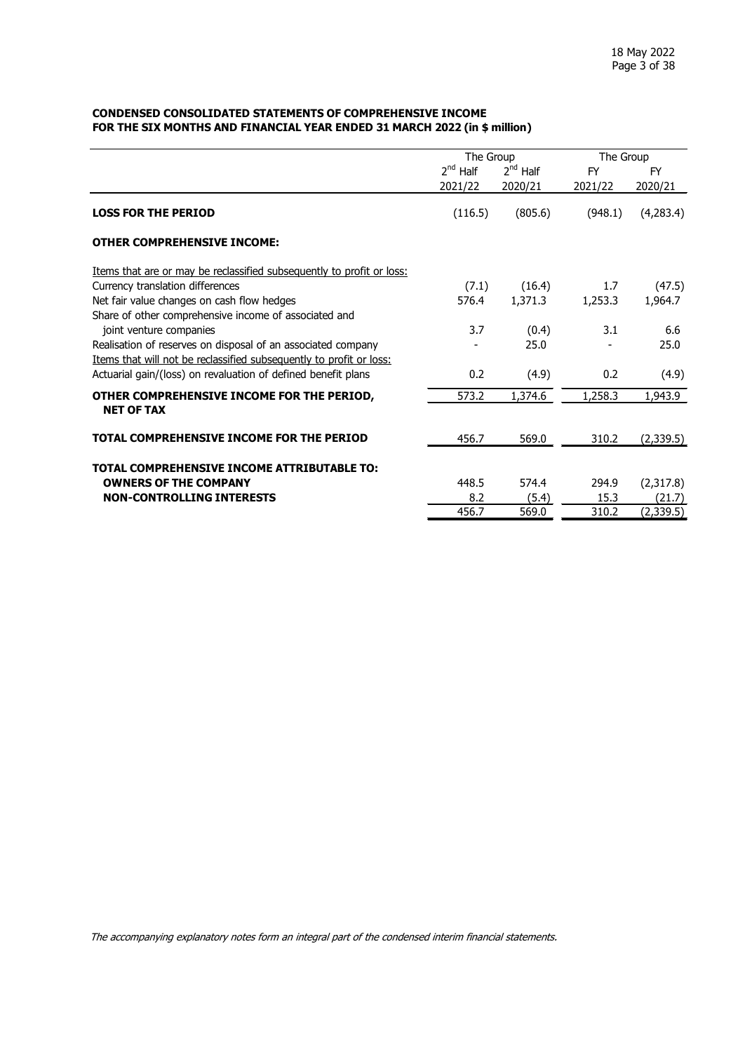#### <span id="page-2-0"></span>**CONDENSED CONSOLIDATED STATEMENTS OF COMPREHENSIVE INCOME FOR THE SIX MONTHS AND FINANCIAL YEAR ENDED 31 MARCH 2022 (in \$ million)**

|                                                                       | The Group     |               | The Group |           |  |
|-----------------------------------------------------------------------|---------------|---------------|-----------|-----------|--|
|                                                                       | $2^{nd}$ Half | $2^{nd}$ Half | <b>FY</b> | <b>FY</b> |  |
|                                                                       | 2021/22       | 2020/21       | 2021/22   | 2020/21   |  |
| <b>LOSS FOR THE PERIOD</b>                                            | (116.5)       | (805.6)       | (948.1)   | (4,283.4) |  |
| <b>OTHER COMPREHENSIVE INCOME:</b>                                    |               |               |           |           |  |
| Items that are or may be reclassified subsequently to profit or loss: |               |               |           |           |  |
| Currency translation differences                                      | (7.1)         | (16.4)        | 1.7       | (47.5)    |  |
| Net fair value changes on cash flow hedges                            | 576.4         | 1,371.3       | 1,253.3   | 1,964.7   |  |
| Share of other comprehensive income of associated and                 |               |               |           |           |  |
| joint venture companies                                               | 3.7           | (0.4)         | 3.1       | 6.6       |  |
| Realisation of reserves on disposal of an associated company          |               | 25.0          |           | 25.0      |  |
| Items that will not be reclassified subsequently to profit or loss:   |               |               |           |           |  |
| Actuarial gain/(loss) on revaluation of defined benefit plans         | 0.2           | (4.9)         | 0.2       | (4.9)     |  |
| OTHER COMPREHENSIVE INCOME FOR THE PERIOD,                            | 573.2         | 1,374.6       | 1,258.3   | 1,943.9   |  |
| <b>NET OF TAX</b>                                                     |               |               |           |           |  |
| TOTAL COMPREHENSIVE INCOME FOR THE PERIOD                             | 456.7         | 569.0         | 310.2     | (2,339.5) |  |
| TOTAL COMPREHENSIVE INCOME ATTRIBUTABLE TO:                           |               |               |           |           |  |
| <b>OWNERS OF THE COMPANY</b>                                          | 448.5         | 574.4         | 294.9     | (2,317.8) |  |
| <b>NON-CONTROLLING INTERESTS</b>                                      | 8.2           | (5.4)         | 15.3      | (21.7)    |  |
|                                                                       | 456.7         | 569.0         | 310.2     | (2,339.5) |  |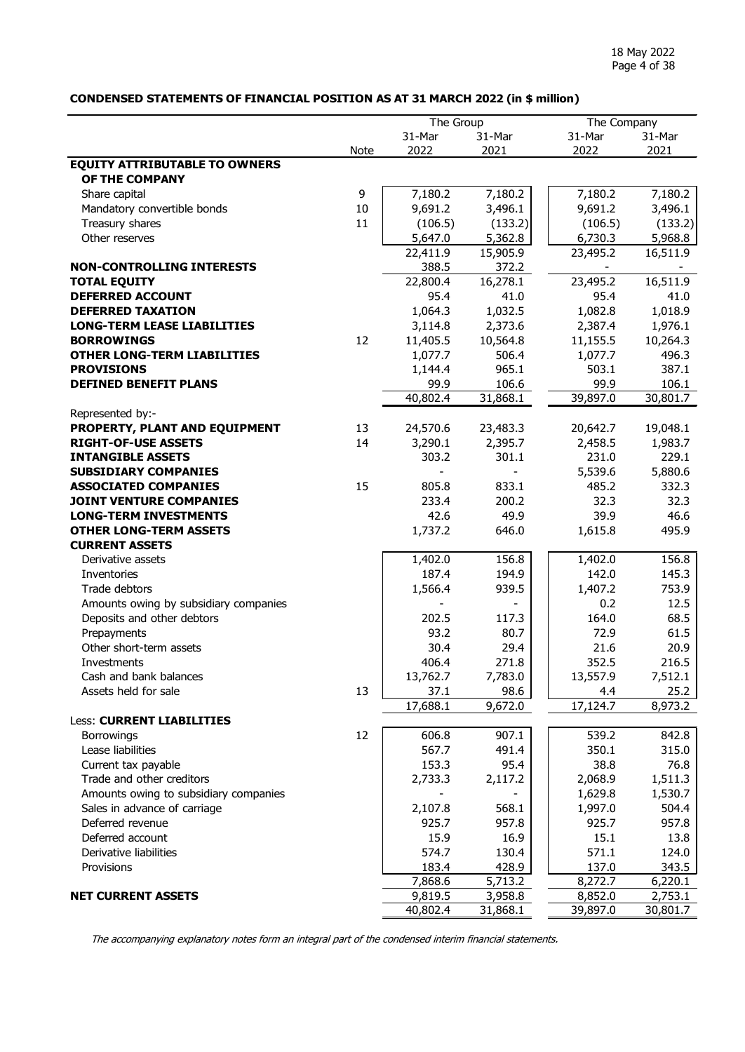## <span id="page-3-0"></span>**CONDENSED STATEMENTS OF FINANCIAL POSITION AS AT 31 MARCH 2022 (in \$ million)**

|                                       |             | The Group |                          |          | The Company |  |  |
|---------------------------------------|-------------|-----------|--------------------------|----------|-------------|--|--|
|                                       |             | 31-Mar    | 31-Mar                   | 31-Mar   | 31-Mar      |  |  |
|                                       | <b>Note</b> | 2022      | 2021                     | 2022     | 2021        |  |  |
| <b>EQUITY ATTRIBUTABLE TO OWNERS</b>  |             |           |                          |          |             |  |  |
| OF THE COMPANY                        |             |           |                          |          |             |  |  |
|                                       | 9           | 7,180.2   | 7,180.2                  | 7,180.2  | 7,180.2     |  |  |
| Share capital                         | 10          |           |                          |          |             |  |  |
| Mandatory convertible bonds           |             | 9,691.2   | 3,496.1                  | 9,691.2  | 3,496.1     |  |  |
| Treasury shares                       | 11          | (106.5)   | (133.2)                  | (106.5)  | (133.2)     |  |  |
| Other reserves                        |             | 5,647.0   | 5,362.8                  | 6,730.3  | 5,968.8     |  |  |
|                                       |             | 22,411.9  | 15,905.9                 | 23,495.2 | 16,511.9    |  |  |
| <b>NON-CONTROLLING INTERESTS</b>      |             | 388.5     | 372.2                    |          |             |  |  |
| <b>TOTAL EQUITY</b>                   |             | 22,800.4  | 16,278.1                 | 23,495.2 | 16,511.9    |  |  |
| <b>DEFERRED ACCOUNT</b>               |             | 95.4      | 41.0                     | 95.4     | 41.0        |  |  |
| <b>DEFERRED TAXATION</b>              |             | 1,064.3   | 1,032.5                  | 1,082.8  | 1,018.9     |  |  |
| <b>LONG-TERM LEASE LIABILITIES</b>    |             | 3,114.8   | 2,373.6                  | 2,387.4  | 1,976.1     |  |  |
| <b>BORROWINGS</b>                     | 12          | 11,405.5  | 10,564.8                 | 11,155.5 | 10,264.3    |  |  |
| <b>OTHER LONG-TERM LIABILITIES</b>    |             | 1,077.7   | 506.4                    | 1,077.7  | 496.3       |  |  |
| <b>PROVISIONS</b>                     |             | 1,144.4   | 965.1                    | 503.1    | 387.1       |  |  |
| <b>DEFINED BENEFIT PLANS</b>          |             | 99.9      | 106.6                    | 99.9     | 106.1       |  |  |
|                                       |             | 40,802.4  | 31,868.1                 | 39,897.0 | 30,801.7    |  |  |
| Represented by:-                      |             |           |                          |          |             |  |  |
| PROPERTY, PLANT AND EQUIPMENT         | 13          | 24,570.6  | 23,483.3                 | 20,642.7 | 19,048.1    |  |  |
| <b>RIGHT-OF-USE ASSETS</b>            | 14          | 3,290.1   | 2,395.7                  | 2,458.5  | 1,983.7     |  |  |
| <b>INTANGIBLE ASSETS</b>              |             | 303.2     | 301.1                    | 231.0    | 229.1       |  |  |
| <b>SUBSIDIARY COMPANIES</b>           |             |           |                          | 5,539.6  | 5,880.6     |  |  |
| <b>ASSOCIATED COMPANIES</b>           | 15          | 805.8     | 833.1                    | 485.2    | 332.3       |  |  |
| <b>JOINT VENTURE COMPANIES</b>        |             | 233.4     | 200.2                    | 32.3     | 32.3        |  |  |
| <b>LONG-TERM INVESTMENTS</b>          |             | 42.6      | 49.9                     | 39.9     | 46.6        |  |  |
| <b>OTHER LONG-TERM ASSETS</b>         |             | 1,737.2   | 646.0                    | 1,615.8  | 495.9       |  |  |
| <b>CURRENT ASSETS</b>                 |             |           |                          |          |             |  |  |
| Derivative assets                     |             | 1,402.0   | 156.8                    | 1,402.0  | 156.8       |  |  |
| Inventories                           |             | 187.4     | 194.9                    | 142.0    | 145.3       |  |  |
| Trade debtors                         |             | 1,566.4   | 939.5                    | 1,407.2  | 753.9       |  |  |
| Amounts owing by subsidiary companies |             |           | $\overline{\phantom{a}}$ | 0.2      | 12.5        |  |  |
| Deposits and other debtors            |             | 202.5     | 117.3                    | 164.0    | 68.5        |  |  |
| Prepayments                           |             | 93.2      | 80.7                     | 72.9     | 61.5        |  |  |
| Other short-term assets               |             | 30.4      | 29.4                     | 21.6     | 20.9        |  |  |
| Investments                           |             | 406.4     | 271.8                    | 352.5    | 216.5       |  |  |
| Cash and bank balances                |             | 13,762.7  | 7,783.0                  | 13,557.9 | 7,512.1     |  |  |
| Assets held for sale                  | 13          | 37.1      | 98.6                     | 4.4      | 25.2        |  |  |
|                                       |             | 17,688.1  | 9,672.0                  | 17,124.7 | 8,973.2     |  |  |
| <b>Less: CURRENT LIABILITIES</b>      |             |           |                          |          |             |  |  |
| <b>Borrowings</b>                     | 12          | 606.8     | 907.1                    | 539.2    | 842.8       |  |  |
| Lease liabilities                     |             | 567.7     | 491.4                    | 350.1    | 315.0       |  |  |
| Current tax payable                   |             | 153.3     | 95.4                     | 38.8     | 76.8        |  |  |
| Trade and other creditors             |             | 2,733.3   | 2,117.2                  | 2,068.9  | 1,511.3     |  |  |
| Amounts owing to subsidiary companies |             |           |                          | 1,629.8  | 1,530.7     |  |  |
| Sales in advance of carriage          |             | 2,107.8   | 568.1                    | 1,997.0  | 504.4       |  |  |
| Deferred revenue                      |             | 925.7     | 957.8                    | 925.7    | 957.8       |  |  |
| Deferred account                      |             | 15.9      | 16.9                     | 15.1     | 13.8        |  |  |
| Derivative liabilities                |             | 574.7     | 130.4                    | 571.1    | 124.0       |  |  |
| Provisions                            |             | 183.4     | 428.9                    | 137.0    | 343.5       |  |  |
|                                       |             | 7,868.6   | 5,713.2                  | 8,272.7  | 6,220.1     |  |  |
| <b>NET CURRENT ASSETS</b>             |             | 9,819.5   | 3,958.8                  | 8,852.0  | 2,753.1     |  |  |
|                                       |             | 40,802.4  | 31,868.1                 | 39,897.0 | 30,801.7    |  |  |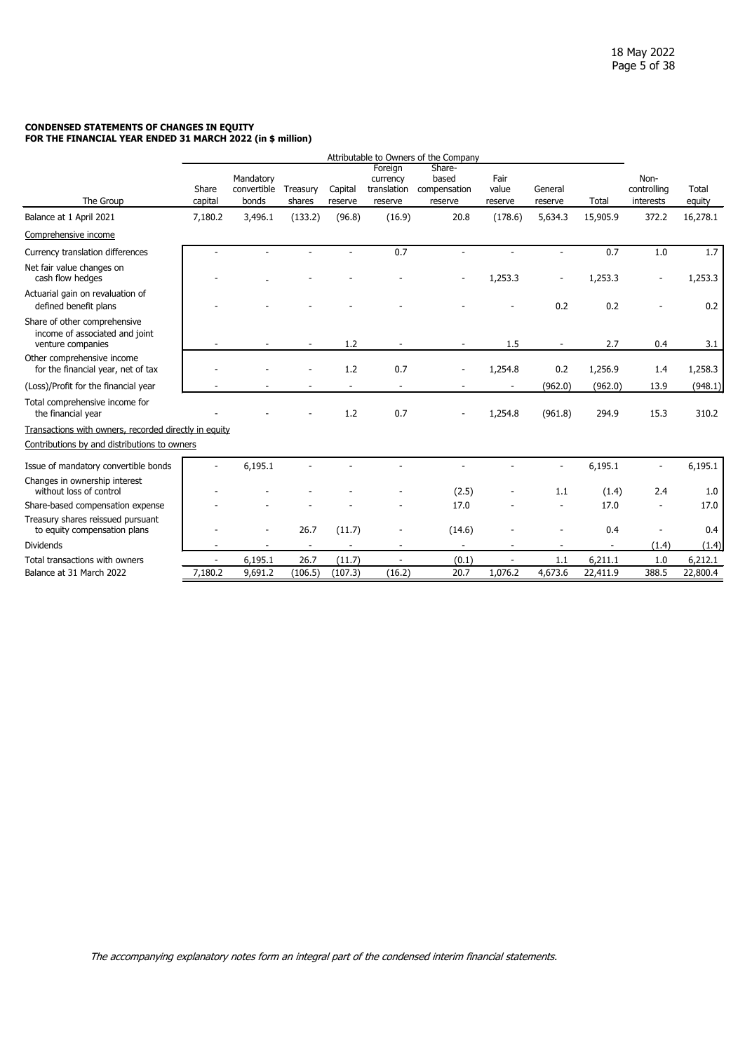#### <span id="page-4-0"></span>**CONDENSED STATEMENTS OF CHANGES IN EQUITY FOR THE FINANCIAL YEAR ENDED 31 MARCH 2022 (in \$ million)**

|                                                                                     | Attributable to Owners of the Company |                                   |                    |                    |                                               |                                            |                          |                          |          |                                  |                 |
|-------------------------------------------------------------------------------------|---------------------------------------|-----------------------------------|--------------------|--------------------|-----------------------------------------------|--------------------------------------------|--------------------------|--------------------------|----------|----------------------------------|-----------------|
| The Group                                                                           | Share<br>capital                      | Mandatory<br>convertible<br>bonds | Treasury<br>shares | Capital<br>reserve | Foreign<br>currency<br>translation<br>reserve | Share-<br>based<br>compensation<br>reserve | Fair<br>value<br>reserve | General<br>reserve       | Total    | Non-<br>controlling<br>interests | Total<br>equity |
| Balance at 1 April 2021                                                             | 7,180.2                               | 3,496.1                           | (133.2)            | (96.8)             | (16.9)                                        | 20.8                                       | (178.6)                  | 5,634.3                  | 15,905.9 | 372.2                            | 16,278.1        |
| Comprehensive income                                                                |                                       |                                   |                    |                    |                                               |                                            |                          |                          |          |                                  |                 |
| Currency translation differences                                                    |                                       |                                   |                    |                    | 0.7                                           |                                            |                          | ÷                        | 0.7      | 1.0                              | 1.7             |
| Net fair value changes on<br>cash flow hedges                                       |                                       |                                   |                    |                    |                                               |                                            | 1,253.3                  |                          | 1,253.3  |                                  | 1,253.3         |
| Actuarial gain on revaluation of<br>defined benefit plans                           |                                       |                                   |                    |                    |                                               |                                            |                          | 0.2                      | 0.2      |                                  | 0.2             |
| Share of other comprehensive<br>income of associated and joint<br>venture companies |                                       |                                   | ٠                  | 1.2                |                                               |                                            | 1.5                      | $\overline{\phantom{a}}$ | 2.7      | 0.4                              | 3.1             |
| Other comprehensive income<br>for the financial year, net of tax                    |                                       |                                   |                    | 1.2                | 0.7                                           |                                            | 1,254.8                  | 0.2                      | 1,256.9  | 1.4                              | 1,258.3         |
| (Loss)/Profit for the financial year                                                |                                       |                                   |                    |                    |                                               |                                            |                          | (962.0)                  | (962.0)  | 13.9                             | (948.1)         |
| Total comprehensive income for<br>the financial year                                |                                       |                                   |                    | 1.2                | 0.7                                           |                                            | 1,254.8                  | (961.8)                  | 294.9    | 15.3                             | 310.2           |
| Transactions with owners, recorded directly in equity                               |                                       |                                   |                    |                    |                                               |                                            |                          |                          |          |                                  |                 |
| Contributions by and distributions to owners                                        |                                       |                                   |                    |                    |                                               |                                            |                          |                          |          |                                  |                 |
| Issue of mandatory convertible bonds                                                | ÷,                                    | 6,195.1                           |                    |                    |                                               |                                            |                          | ٠                        | 6,195.1  | $\blacksquare$                   | 6,195.1         |
| Changes in ownership interest<br>without loss of control                            |                                       |                                   |                    |                    |                                               | (2.5)                                      |                          | 1.1                      | (1.4)    | 2.4                              | 1.0             |
| Share-based compensation expense                                                    |                                       |                                   |                    |                    |                                               | 17.0                                       |                          |                          | 17.0     |                                  | 17.0            |
| Treasury shares reissued pursuant<br>to equity compensation plans                   |                                       |                                   | 26.7               | (11.7)             |                                               | (14.6)                                     |                          |                          | 0.4      |                                  | 0.4             |
| <b>Dividends</b>                                                                    |                                       |                                   |                    |                    |                                               |                                            |                          |                          |          | (1.4)                            | (1.4)           |
| Total transactions with owners                                                      | L,                                    | 6,195.1                           | 26.7               | (11.7)             |                                               | (0.1)                                      |                          | 1.1                      | 6,211.1  | 1.0                              | 6,212.1         |
| Balance at 31 March 2022                                                            | 7,180.2                               | 9,691.2                           | (106.5)            | (107.3)            | (16.2)                                        | 20.7                                       | 1,076.2                  | 4,673.6                  | 22,411.9 | 388.5                            | 22,800.4        |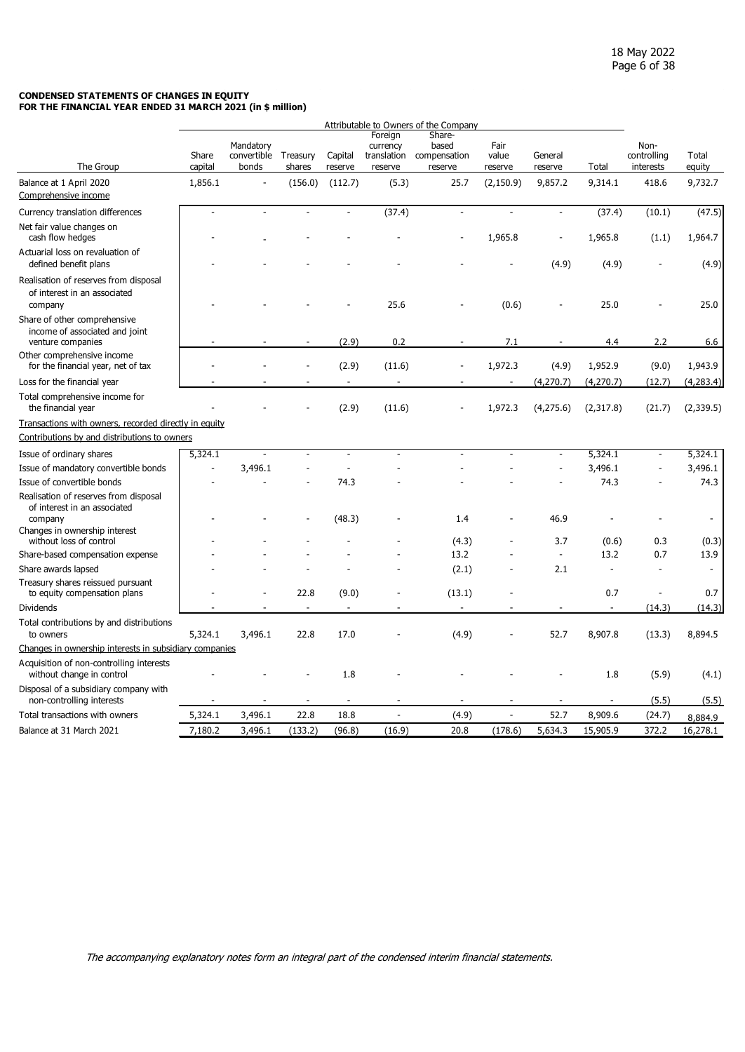#### **CONDENSED STATEMENTS OF CHANGES IN EQUITY FOR THE FINANCIAL YEAR ENDED 31 MARCH 2021 (in \$ million)**

|                                                                                                                                              |                  |                                            |         |                    |                                               | Attributable to Owners of the Company      |                          |                          |            |                                  |                 |
|----------------------------------------------------------------------------------------------------------------------------------------------|------------------|--------------------------------------------|---------|--------------------|-----------------------------------------------|--------------------------------------------|--------------------------|--------------------------|------------|----------------------------------|-----------------|
| The Group                                                                                                                                    | Share<br>capital | Mandatory<br>convertible Treasury<br>bonds | shares  | Capital<br>reserve | Foreign<br>currency<br>translation<br>reserve | Share-<br>based<br>compensation<br>reserve | Fair<br>value<br>reserve | General<br>reserve       | Total      | Non-<br>controlling<br>interests | Total<br>equity |
| Balance at 1 April 2020                                                                                                                      | 1,856.1          | $\overline{a}$                             | (156.0) | (112.7)            | (5.3)                                         | 25.7                                       | (2, 150.9)               | 9,857.2                  | 9,314.1    | 418.6                            | 9,732.7         |
| Comprehensive income                                                                                                                         |                  |                                            |         |                    |                                               |                                            |                          |                          |            |                                  |                 |
| Currency translation differences                                                                                                             | $\overline{a}$   | $\overline{a}$                             |         |                    | (37.4)                                        | ÷,                                         | $\overline{a}$           | $\overline{\phantom{a}}$ | (37.4)     | (10.1)                           | (47.5)          |
| Net fair value changes on<br>cash flow hedges                                                                                                |                  |                                            |         |                    |                                               |                                            | 1,965.8                  |                          | 1,965.8    | (1.1)                            | 1,964.7         |
| Actuarial loss on revaluation of<br>defined benefit plans                                                                                    |                  |                                            |         |                    |                                               |                                            |                          | (4.9)                    | (4.9)      |                                  | (4.9)           |
| Realisation of reserves from disposal<br>of interest in an associated<br>company                                                             |                  |                                            |         |                    | 25.6                                          |                                            | (0.6)                    |                          | 25.0       |                                  | 25.0            |
| Share of other comprehensive<br>income of associated and joint<br>venture companies                                                          |                  |                                            |         | (2.9)              | 0.2                                           |                                            | 7.1                      |                          | 4.4        | 2.2                              | 6.6             |
| Other comprehensive income<br>for the financial year, net of tax                                                                             |                  |                                            |         | (2.9)              | (11.6)                                        |                                            | 1,972.3                  | (4.9)                    | 1,952.9    | (9.0)                            | 1,943.9         |
| Loss for the financial year                                                                                                                  |                  |                                            |         | $\blacksquare$     | $\sim$                                        |                                            | $\overline{\phantom{a}}$ | (4, 270.7)               | (4, 270.7) | (12.7)                           | (4,283.4)       |
| Total comprehensive income for<br>the financial year                                                                                         |                  |                                            |         | (2.9)              | (11.6)                                        |                                            | 1,972.3                  | (4,275.6)                | (2,317.8)  | (21.7)                           | (2,339.5)       |
| Transactions with owners, recorded directly in equity                                                                                        |                  |                                            |         |                    |                                               |                                            |                          |                          |            |                                  |                 |
| Contributions by and distributions to owners                                                                                                 |                  |                                            |         |                    |                                               |                                            |                          |                          |            |                                  |                 |
| Issue of ordinary shares                                                                                                                     | 5,324.1          |                                            |         | ÷.                 | ÷.                                            |                                            | ä,                       | ÷,                       | 5,324.1    | $\blacksquare$                   | 5,324.1         |
| Issue of mandatory convertible bonds                                                                                                         |                  | 3,496.1                                    |         |                    |                                               |                                            |                          |                          | 3,496.1    |                                  | 3,496.1         |
| Issue of convertible bonds                                                                                                                   |                  |                                            |         | 74.3               |                                               |                                            |                          |                          | 74.3       |                                  | 74.3            |
| Realisation of reserves from disposal<br>of interest in an associated<br>company<br>Changes in ownership interest<br>without loss of control |                  |                                            |         | (48.3)             |                                               | 1.4<br>(4.3)                               |                          | 46.9<br>3.7              | (0.6)      | 0.3                              | (0.3)           |
| Share-based compensation expense                                                                                                             |                  |                                            |         |                    |                                               | 13.2                                       |                          | $\blacksquare$           | 13.2       | 0.7                              | 13.9            |
| Share awards lapsed                                                                                                                          |                  |                                            |         |                    |                                               | (2.1)                                      |                          | 2.1                      |            |                                  | $\overline{a}$  |
| Treasury shares reissued pursuant<br>to equity compensation plans                                                                            |                  |                                            | 22.8    | (9.0)              |                                               | (13.1)                                     |                          |                          | 0.7        | ÷.                               | 0.7             |
| <b>Dividends</b>                                                                                                                             |                  |                                            |         |                    |                                               |                                            |                          |                          |            | (14.3)                           | (14.3)          |
| Total contributions by and distributions<br>to owners                                                                                        | 5,324.1          | 3,496.1                                    | 22.8    | 17.0               |                                               | (4.9)                                      |                          | 52.7                     | 8,907.8    | (13.3)                           | 8,894.5         |
| Changes in ownership interests in subsidiary companies                                                                                       |                  |                                            |         |                    |                                               |                                            |                          |                          |            |                                  |                 |
| Acquisition of non-controlling interests<br>without change in control                                                                        |                  |                                            |         | 1.8                |                                               |                                            |                          |                          | 1.8        | (5.9)                            | (4.1)           |
| Disposal of a subsidiary company with<br>non-controlling interests                                                                           |                  |                                            |         |                    |                                               |                                            | $\ddot{\phantom{1}}$     | $\blacksquare$           |            | (5.5)                            | (5.5)           |
| Total transactions with owners                                                                                                               | 5,324.1          | 3,496.1                                    | 22.8    | 18.8               | $\overline{\phantom{a}}$                      | (4.9)                                      | $\tilde{\phantom{a}}$    | 52.7                     | 8,909.6    | (24.7)                           | 8,884.9         |
| Balance at 31 March 2021                                                                                                                     | 7,180.2          | 3,496.1                                    | (133.2) | (96.8)             | (16.9)                                        | 20.8                                       | (178.6)                  | 5,634.3                  | 15,905.9   | 372.2                            | 16,278.1        |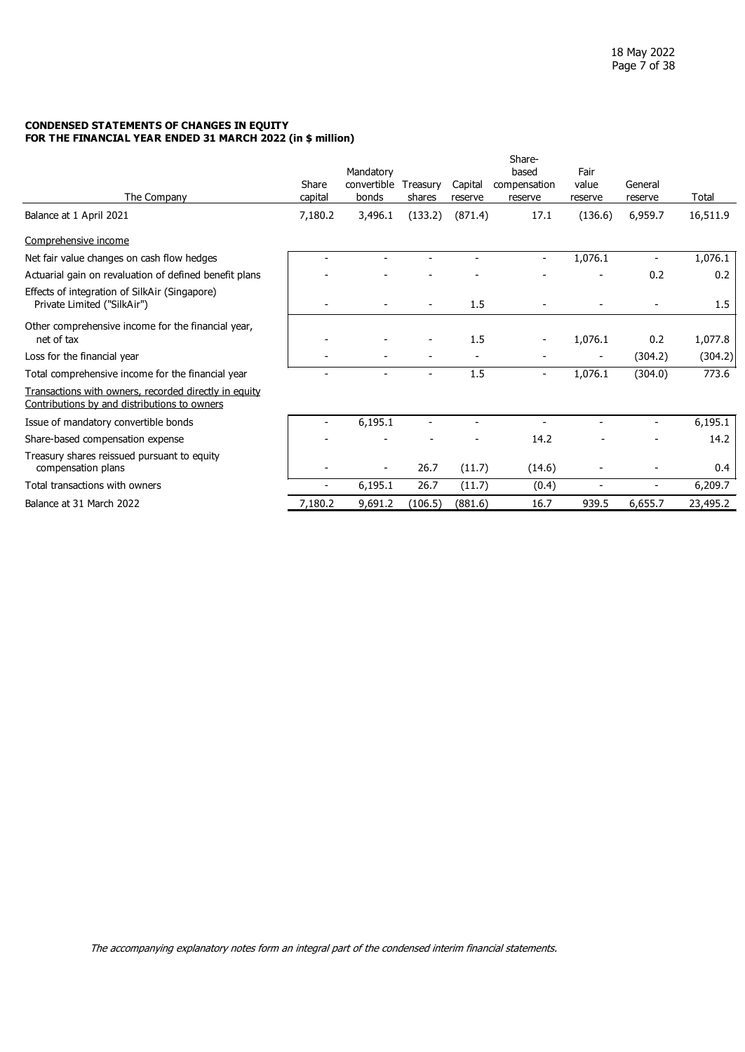#### **CONDENSED STATEMENTS OF CHANGES IN EQUITY FOR THE FINANCIAL YEAR ENDED 31 MARCH 2022 (in \$ million)**

| The Company                                                                                           | Share<br>capital | Mandatory<br>convertible<br>bonds | Treasury<br>shares | Capital<br>reserve | Share-<br>based<br>compensation<br>reserve | Fair<br>value<br>reserve | General<br>reserve       | Total    |
|-------------------------------------------------------------------------------------------------------|------------------|-----------------------------------|--------------------|--------------------|--------------------------------------------|--------------------------|--------------------------|----------|
| Balance at 1 April 2021                                                                               | 7,180.2          | 3,496.1                           | (133.2)            | (871.4)            | 17.1                                       | (136.6)                  | 6,959.7                  | 16,511.9 |
| Comprehensive income                                                                                  |                  |                                   |                    |                    |                                            |                          |                          |          |
| Net fair value changes on cash flow hedges                                                            |                  |                                   |                    |                    | $\overline{\phantom{a}}$                   | 1,076.1                  | $\overline{\phantom{a}}$ | 1,076.1  |
| Actuarial gain on revaluation of defined benefit plans                                                |                  |                                   |                    |                    |                                            |                          | 0.2                      | 0.2      |
| Effects of integration of SilkAir (Singapore)<br>Private Limited ("SilkAir")                          |                  |                                   |                    | 1.5                |                                            |                          |                          | 1.5      |
| Other comprehensive income for the financial year,<br>net of tax                                      |                  |                                   |                    | 1.5                |                                            | 1,076.1                  | 0.2                      | 1,077.8  |
| Loss for the financial year                                                                           |                  |                                   |                    |                    |                                            | $\overline{\phantom{a}}$ | (304.2)                  | (304.2)  |
| Total comprehensive income for the financial year                                                     |                  |                                   |                    | 1.5                | $\overline{\phantom{a}}$                   | 1,076.1                  | (304.0)                  | 773.6    |
| Transactions with owners, recorded directly in equity<br>Contributions by and distributions to owners |                  |                                   |                    |                    |                                            |                          |                          |          |
| Issue of mandatory convertible bonds                                                                  |                  | 6,195.1                           |                    |                    |                                            |                          | $\blacksquare$           | 6,195.1  |
| Share-based compensation expense                                                                      |                  |                                   |                    |                    | 14.2                                       |                          |                          | 14.2     |
| Treasury shares reissued pursuant to equity<br>compensation plans                                     |                  |                                   | 26.7               | (11.7)             | (14.6)                                     |                          |                          | 0.4      |
| Total transactions with owners                                                                        |                  | 6,195.1                           | 26.7               | (11.7)             | (0.4)                                      |                          | $\overline{a}$           | 6,209.7  |
| Balance at 31 March 2022                                                                              | 7,180.2          | 9,691.2                           | (106.5)            | (881.6)            | 16.7                                       | 939.5                    | 6,655.7                  | 23,495.2 |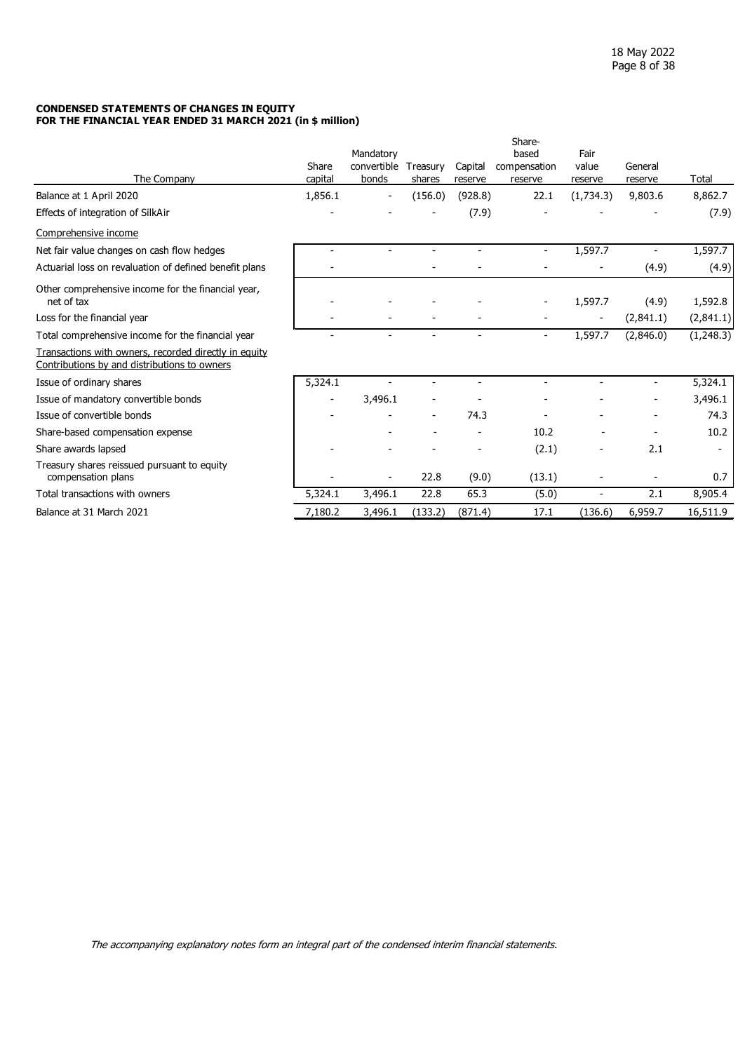#### **CONDENSED STATEMENTS OF CHANGES IN EQUITY FOR THE FINANCIAL YEAR ENDED 31 MARCH 2021 (in \$ million)**

|                                                                                                       | Share   | Mandatory<br>convertible | Treasury       | Capital                  | Share-<br>based<br>compensation | Fair<br>value            | General        |                |
|-------------------------------------------------------------------------------------------------------|---------|--------------------------|----------------|--------------------------|---------------------------------|--------------------------|----------------|----------------|
| The Company                                                                                           | capital | bonds                    | shares         | reserve                  | reserve                         | reserve                  | reserve        | Total          |
| Balance at 1 April 2020                                                                               | 1,856.1 |                          | (156.0)        | (928.8)                  | 22.1                            | (1,734.3)                | 9,803.6        | 8,862.7        |
| Effects of integration of SilkAir                                                                     |         |                          |                | (7.9)                    |                                 |                          |                | (7.9)          |
| Comprehensive income                                                                                  |         |                          |                |                          |                                 |                          |                |                |
| Net fair value changes on cash flow hedges                                                            |         |                          |                |                          | $\overline{\phantom{a}}$        | 1,597.7                  |                | 1,597.7        |
| Actuarial loss on revaluation of defined benefit plans                                                |         |                          |                |                          |                                 |                          | (4.9)          | (4.9)          |
| Other comprehensive income for the financial year,<br>net of tax                                      |         |                          |                |                          |                                 | 1,597.7                  | (4.9)          | 1,592.8        |
| Loss for the financial year                                                                           |         |                          |                |                          |                                 | $\overline{\phantom{a}}$ | (2,841.1)      | (2,841.1)      |
| Total comprehensive income for the financial year                                                     |         | $\blacksquare$           | $\blacksquare$ | $\overline{\phantom{0}}$ | $\overline{\phantom{a}}$        | 1,597.7                  | (2,846.0)      | (1,248.3)      |
| Transactions with owners, recorded directly in equity<br>Contributions by and distributions to owners |         |                          |                |                          |                                 |                          |                |                |
| Issue of ordinary shares                                                                              | 5,324.1 |                          |                | $\overline{\phantom{a}}$ | $\blacksquare$                  |                          | $\blacksquare$ | 5,324.1        |
| Issue of mandatory convertible bonds                                                                  |         | 3,496.1                  |                |                          |                                 |                          |                | 3,496.1        |
| Issue of convertible bonds                                                                            |         |                          |                | 74.3                     |                                 |                          |                | 74.3           |
| Share-based compensation expense                                                                      |         |                          |                |                          | 10.2                            |                          |                | 10.2           |
| Share awards lapsed                                                                                   |         |                          |                |                          | (2.1)                           |                          | 2.1            | $\blacksquare$ |
| Treasury shares reissued pursuant to equity<br>compensation plans                                     |         |                          | 22.8           | (9.0)                    | (13.1)                          |                          |                | 0.7            |
| Total transactions with owners                                                                        | 5,324.1 | 3,496.1                  | 22.8           | 65.3                     | (5.0)                           |                          | 2.1            | 8,905.4        |
| Balance at 31 March 2021                                                                              | 7,180.2 | 3,496.1                  | (133.2)        | (871.4)                  | 17.1                            | (136.6)                  | 6,959.7        | 16,511.9       |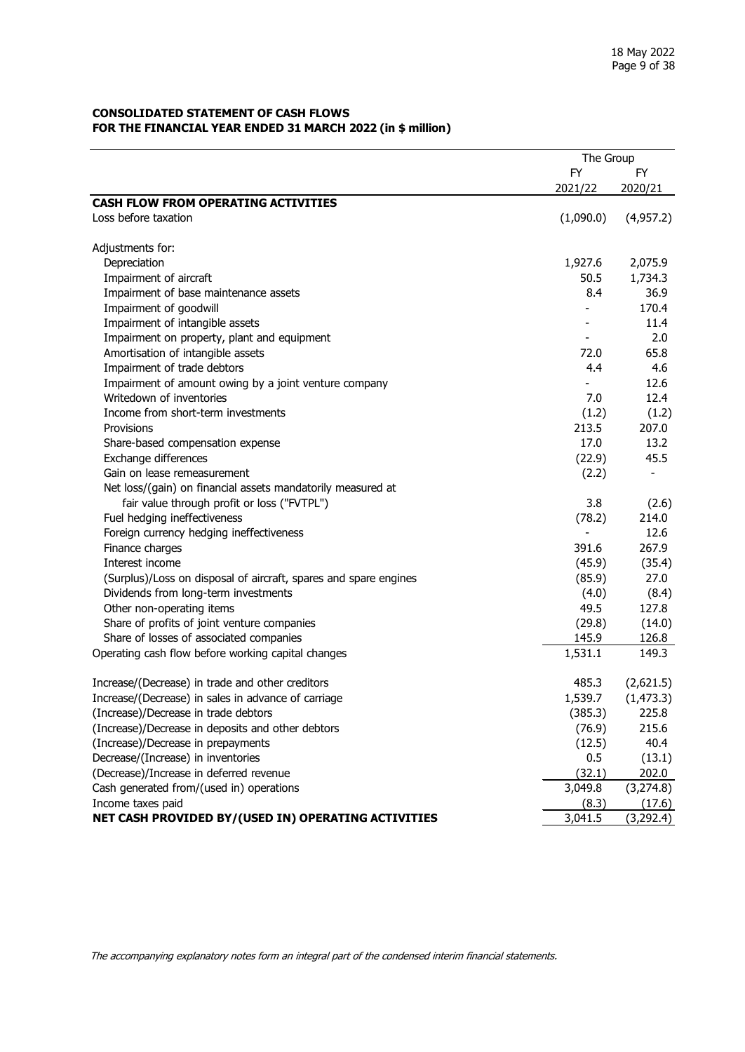#### <span id="page-8-0"></span>**CONSOLIDATED STATEMENT OF CASH FLOWS FOR THE FINANCIAL YEAR ENDED 31 MARCH 2022 (in \$ million)**

|                                                                  | The Group |                          |  |  |
|------------------------------------------------------------------|-----------|--------------------------|--|--|
|                                                                  | <b>FY</b> | FY.                      |  |  |
|                                                                  | 2021/22   | 2020/21                  |  |  |
| <b>CASH FLOW FROM OPERATING ACTIVITIES</b>                       |           |                          |  |  |
| Loss before taxation                                             | (1,090.0) | (4,957.2)                |  |  |
|                                                                  |           |                          |  |  |
| Adjustments for:                                                 |           |                          |  |  |
| Depreciation                                                     | 1,927.6   | 2,075.9                  |  |  |
| Impairment of aircraft                                           | 50.5      | 1,734.3                  |  |  |
| Impairment of base maintenance assets                            | 8.4       | 36.9                     |  |  |
| Impairment of goodwill                                           |           | 170.4                    |  |  |
| Impairment of intangible assets                                  |           | 11.4                     |  |  |
| Impairment on property, plant and equipment                      |           | 2.0                      |  |  |
| Amortisation of intangible assets                                | 72.0      | 65.8                     |  |  |
| Impairment of trade debtors                                      | 4.4       | 4.6                      |  |  |
| Impairment of amount owing by a joint venture company            |           | 12.6                     |  |  |
| Writedown of inventories                                         | 7.0       | 12.4                     |  |  |
| Income from short-term investments                               | (1.2)     | (1.2)                    |  |  |
| Provisions                                                       | 213.5     | 207.0                    |  |  |
| Share-based compensation expense                                 | 17.0      | 13.2                     |  |  |
| Exchange differences                                             | (22.9)    | 45.5                     |  |  |
| Gain on lease remeasurement                                      | (2.2)     | $\overline{\phantom{a}}$ |  |  |
| Net loss/(gain) on financial assets mandatorily measured at      |           |                          |  |  |
| fair value through profit or loss ("FVTPL")                      | 3.8       | (2.6)                    |  |  |
| Fuel hedging ineffectiveness                                     | (78.2)    | 214.0                    |  |  |
| Foreign currency hedging ineffectiveness                         |           | 12.6                     |  |  |
| Finance charges                                                  | 391.6     | 267.9                    |  |  |
| Interest income                                                  | (45.9)    | (35.4)                   |  |  |
| (Surplus)/Loss on disposal of aircraft, spares and spare engines | (85.9)    | 27.0                     |  |  |
| Dividends from long-term investments                             | (4.0)     | (8.4)                    |  |  |
| Other non-operating items                                        | 49.5      | 127.8                    |  |  |
| Share of profits of joint venture companies                      | (29.8)    | (14.0)                   |  |  |
| Share of losses of associated companies                          | 145.9     | 126.8                    |  |  |
| Operating cash flow before working capital changes               | 1,531.1   | 149.3                    |  |  |
| Increase/(Decrease) in trade and other creditors                 | 485.3     | (2,621.5)                |  |  |
| Increase/(Decrease) in sales in advance of carriage              | 1,539.7   | (1, 473.3)               |  |  |
| (Increase)/Decrease in trade debtors                             | (385.3)   | 225.8                    |  |  |
| (Increase)/Decrease in deposits and other debtors                | (76.9)    | 215.6                    |  |  |
| (Increase)/Decrease in prepayments                               | (12.5)    | 40.4                     |  |  |
| Decrease/(Increase) in inventories                               | 0.5       | (13.1)                   |  |  |
| (Decrease)/Increase in deferred revenue                          | (32.1)    | 202.0                    |  |  |
| Cash generated from/(used in) operations                         | 3,049.8   | (3, 274.8)               |  |  |
| Income taxes paid                                                | (8.3)     | (17.6)                   |  |  |
| NET CASH PROVIDED BY/(USED IN) OPERATING ACTIVITIES              | 3,041.5   | (3,292.4)                |  |  |
|                                                                  |           |                          |  |  |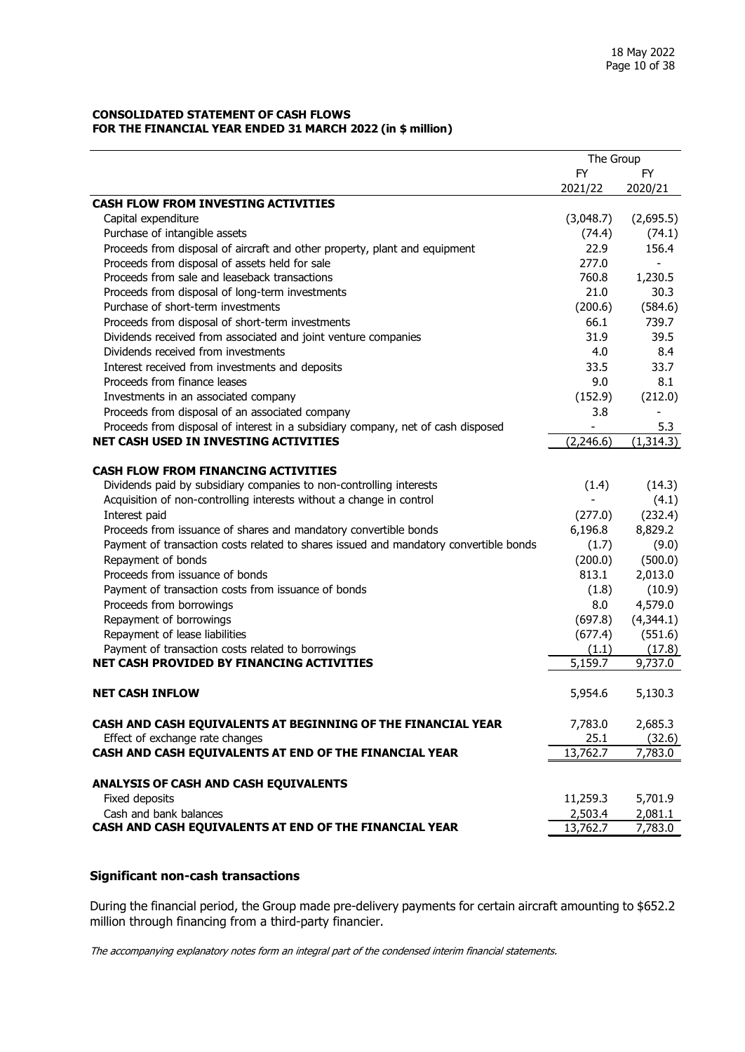#### **CONSOLIDATED STATEMENT OF CASH FLOWS FOR THE FINANCIAL YEAR ENDED 31 MARCH 2022 (in \$ million)**

|                                                                                       | The Group     |                |
|---------------------------------------------------------------------------------------|---------------|----------------|
|                                                                                       | <b>FY</b>     | <b>FY</b>      |
|                                                                                       | 2021/22       | 2020/21        |
| <b>CASH FLOW FROM INVESTING ACTIVITIES</b>                                            |               |                |
| Capital expenditure                                                                   | (3,048.7)     | (2,695.5)      |
| Purchase of intangible assets                                                         | (74.4)        | (74.1)         |
| Proceeds from disposal of aircraft and other property, plant and equipment            | 22.9          | 156.4          |
| Proceeds from disposal of assets held for sale                                        | 277.0         | $\blacksquare$ |
| Proceeds from sale and leaseback transactions                                         | 760.8         | 1,230.5        |
| Proceeds from disposal of long-term investments                                       | 21.0          | 30.3           |
| Purchase of short-term investments                                                    | (200.6)       | (584.6)        |
| Proceeds from disposal of short-term investments                                      | 66.1          | 739.7          |
| Dividends received from associated and joint venture companies                        | 31.9          | 39.5           |
| Dividends received from investments                                                   | 4.0           | 8.4            |
| Interest received from investments and deposits                                       | 33.5          | 33.7           |
| Proceeds from finance leases                                                          | 9.0           | 8.1            |
| Investments in an associated company                                                  | (152.9)       | (212.0)        |
| Proceeds from disposal of an associated company                                       | 3.8           |                |
| Proceeds from disposal of interest in a subsidiary company, net of cash disposed      | $\frac{1}{2}$ | 5.3            |
| NET CASH USED IN INVESTING ACTIVITIES                                                 | (2,246.6)     | (1,314.3)      |
|                                                                                       |               |                |
| <b>CASH FLOW FROM FINANCING ACTIVITIES</b>                                            |               |                |
| Dividends paid by subsidiary companies to non-controlling interests                   | (1.4)         | (14.3)         |
| Acquisition of non-controlling interests without a change in control                  |               | (4.1)          |
| Interest paid                                                                         | (277.0)       | (232.4)        |
| Proceeds from issuance of shares and mandatory convertible bonds                      | 6,196.8       | 8,829.2        |
| Payment of transaction costs related to shares issued and mandatory convertible bonds | (1.7)         | (9.0)          |
| Repayment of bonds                                                                    | (200.0)       | (500.0)        |
| Proceeds from issuance of bonds                                                       | 813.1         | 2,013.0        |
| Payment of transaction costs from issuance of bonds                                   | (1.8)         | (10.9)         |
| Proceeds from borrowings                                                              | 8.0           | 4,579.0        |
| Repayment of borrowings                                                               | (697.8)       | (4,344.1)      |
| Repayment of lease liabilities                                                        | (677.4)       | (551.6)        |
| Payment of transaction costs related to borrowings                                    | (1.1)         | (17.8)         |
| NET CASH PROVIDED BY FINANCING ACTIVITIES                                             | 5,159.7       | 9,737.0        |
|                                                                                       |               |                |
| <b>NET CASH INFLOW</b>                                                                | 5,954.6       | 5,130.3        |
|                                                                                       |               |                |
| CASH AND CASH EQUIVALENTS AT BEGINNING OF THE FINANCIAL YEAR                          | 7,783.0       | 2,685.3        |
| Effect of exchange rate changes                                                       | 25.1          | (32.6)         |
| CASH AND CASH EQUIVALENTS AT END OF THE FINANCIAL YEAR                                | 13,762.7      | 7,783.0        |
|                                                                                       |               |                |
| ANALYSIS OF CASH AND CASH EQUIVALENTS                                                 |               |                |
| Fixed deposits                                                                        | 11,259.3      | 5,701.9        |
| Cash and bank balances                                                                | 2,503.4       | 2,081.1        |
| CASH AND CASH EQUIVALENTS AT END OF THE FINANCIAL YEAR                                | 13,762.7      | 7,783.0        |

#### **Significant non-cash transactions**

During the financial period, the Group made pre-delivery payments for certain aircraft amounting to \$652.2 million through financing from a third-party financier.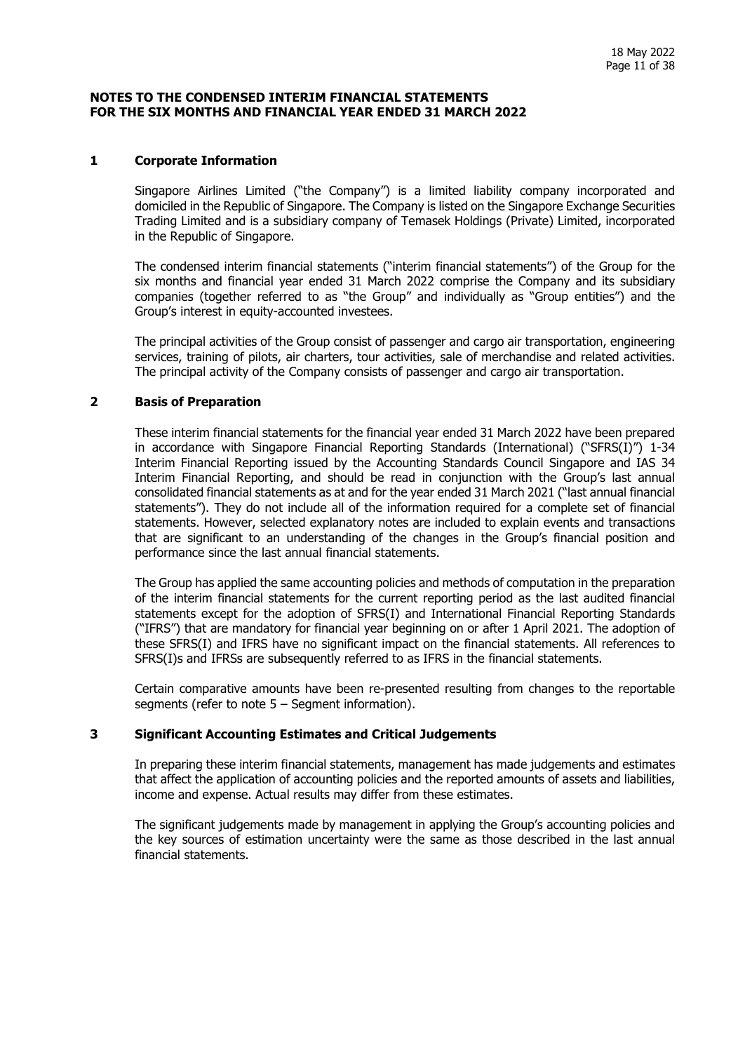#### <span id="page-10-0"></span>**NOTES TO THE CONDENSED INTERIM FINANCIAL STATEMENTS FOR THE SIX MONTHS AND FINANCIAL YEAR ENDED 31 MARCH 2022**

## **1 Corporate Information**

Singapore Airlines Limited ("the Company") is a limited liability company incorporated and domiciled in the Republic of Singapore. The Company is listed on the Singapore Exchange Securities Trading Limited and is a subsidiary company of Temasek Holdings (Private) Limited, incorporated in the Republic of Singapore.

The condensed interim financial statements ("interim financial statements") of the Group for the six months and financial year ended 31 March 2022 comprise the Company and its subsidiary companies (together referred to as "the Group" and individually as "Group entities") and the Group's interest in equity-accounted investees.

The principal activities of the Group consist of passenger and cargo air transportation, engineering services, training of pilots, air charters, tour activities, sale of merchandise and related activities. The principal activity of the Company consists of passenger and cargo air transportation.

#### **2 Basis of Preparation**

These interim financial statements for the financial year ended 31 March 2022 have been prepared in accordance with Singapore Financial Reporting Standards (International) ("SFRS(I)") 1-34 Interim Financial Reporting issued by the Accounting Standards Council Singapore and IAS 34 Interim Financial Reporting, and should be read in conjunction with the Group's last annual consolidated financial statements as at and for the year ended 31 March 2021 ("last annual financial statements"). They do not include all of the information required for a complete set of financial statements. However, selected explanatory notes are included to explain events and transactions that are significant to an understanding of the changes in the Group's financial position and performance since the last annual financial statements.

The Group has applied the same accounting policies and methods of computation in the preparation of the interim financial statements for the current reporting period as the last audited financial statements except for the adoption of SFRS(I) and International Financial Reporting Standards ("IFRS") that are mandatory for financial year beginning on or after 1 April 2021. The adoption of these SFRS(I) and IFRS have no significant impact on the financial statements. All references to SFRS(I)s and IFRSs are subsequently referred to as IFRS in the financial statements.

Certain comparative amounts have been re-presented resulting from changes to the reportable segments (refer to note  $5 -$  Segment information).

## **3 Significant Accounting Estimates and Critical Judgements**

In preparing these interim financial statements, management has made judgements and estimates that affect the application of accounting policies and the reported amounts of assets and liabilities, income and expense. Actual results may differ from these estimates.

The significant judgements made by management in applying the Group's accounting policies and the key sources of estimation uncertainty were the same as those described in the last annual financial statements.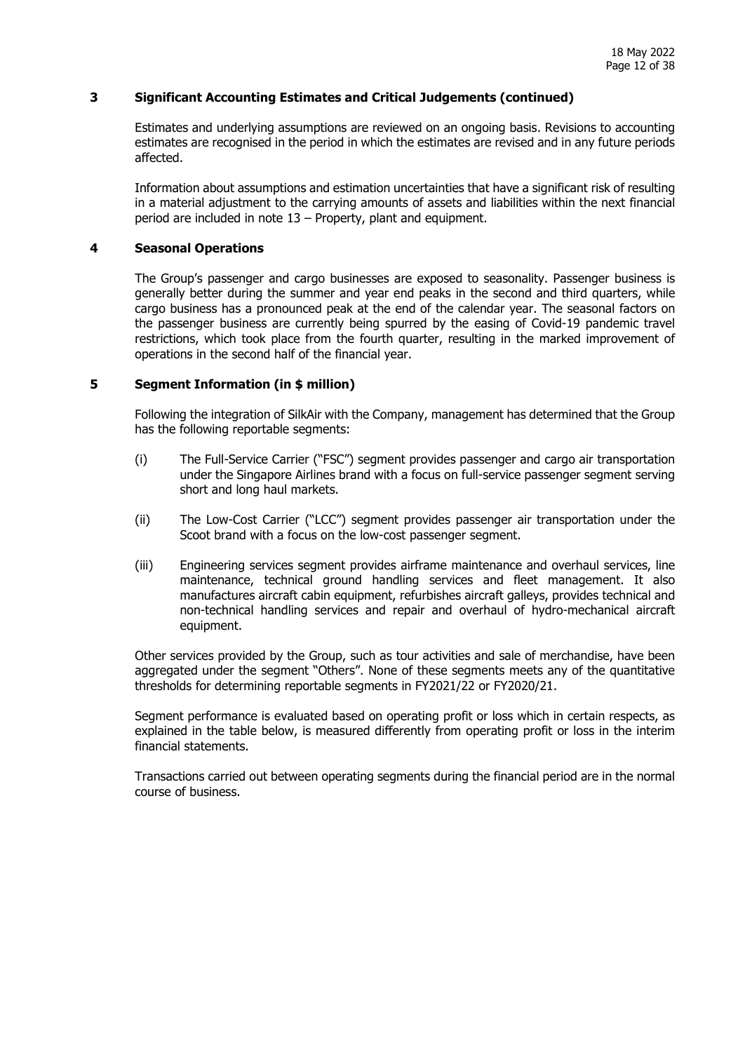## **3 Significant Accounting Estimates and Critical Judgements (continued)**

Estimates and underlying assumptions are reviewed on an ongoing basis. Revisions to accounting estimates are recognised in the period in which the estimates are revised and in any future periods affected.

Information about assumptions and estimation uncertainties that have a significant risk of resulting in a material adjustment to the carrying amounts of assets and liabilities within the next financial period are included in note 13 – Property, plant and equipment.

#### **4 Seasonal Operations**

The Group's passenger and cargo businesses are exposed to seasonality. Passenger business is generally better during the summer and year end peaks in the second and third quarters, while cargo business has a pronounced peak at the end of the calendar year. The seasonal factors on the passenger business are currently being spurred by the easing of Covid-19 pandemic travel restrictions, which took place from the fourth quarter, resulting in the marked improvement of operations in the second half of the financial year.

#### **5 Segment Information (in \$ million)**

Following the integration of SilkAir with the Company, management has determined that the Group has the following reportable segments:

- (i) The Full-Service Carrier ("FSC") segment provides passenger and cargo air transportation under the Singapore Airlines brand with a focus on full-service passenger segment serving short and long haul markets.
- (ii) The Low-Cost Carrier ("LCC") segment provides passenger air transportation under the Scoot brand with a focus on the low-cost passenger segment.
- (iii) Engineering services segment provides airframe maintenance and overhaul services, line maintenance, technical ground handling services and fleet management. It also manufactures aircraft cabin equipment, refurbishes aircraft galleys, provides technical and non-technical handling services and repair and overhaul of hydro-mechanical aircraft equipment.

Other services provided by the Group, such as tour activities and sale of merchandise, have been aggregated under the segment "Others". None of these segments meets any of the quantitative thresholds for determining reportable segments in FY2021/22 or FY2020/21.

Segment performance is evaluated based on operating profit or loss which in certain respects, as explained in the table below, is measured differently from operating profit or loss in the interim financial statements.

Transactions carried out between operating segments during the financial period are in the normal course of business.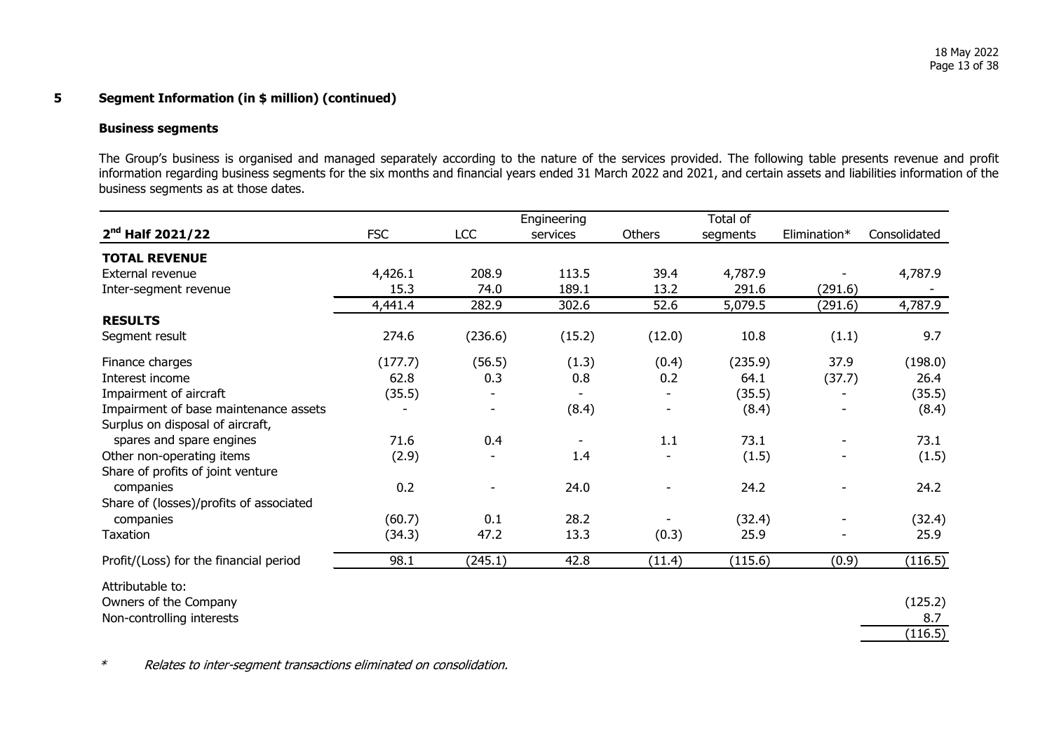#### **Business segments**

The Group's business is organised and managed separately according to the nature of the services provided. The following table presents revenue and profit information regarding business segments for the six months and financial years ended 31 March 2022 and 2021, and certain assets and liabilities information of the business segments as at those dates.

|                                                                           |            | Engineering              |                          |        | Total of |              |              |
|---------------------------------------------------------------------------|------------|--------------------------|--------------------------|--------|----------|--------------|--------------|
| $2^{nd}$ Half 2021/22                                                     | <b>FSC</b> | LCC                      | services                 | Others | segments | Elimination* | Consolidated |
| <b>TOTAL REVENUE</b>                                                      |            |                          |                          |        |          |              |              |
| External revenue                                                          | 4,426.1    | 208.9                    | 113.5                    | 39.4   | 4,787.9  |              | 4,787.9      |
| Inter-segment revenue                                                     | 15.3       | 74.0                     | 189.1                    | 13.2   | 291.6    | (291.6)      |              |
|                                                                           | 4,441.4    | 282.9                    | 302.6                    | 52.6   | 5,079.5  | (291.6)      | 4,787.9      |
| <b>RESULTS</b>                                                            |            |                          |                          |        |          |              |              |
| Segment result                                                            | 274.6      | (236.6)                  | (15.2)                   | (12.0) | 10.8     | (1.1)        | 9.7          |
| Finance charges                                                           | (177.7)    | (56.5)                   | (1.3)                    | (0.4)  | (235.9)  | 37.9         | (198.0)      |
| Interest income                                                           | 62.8       | 0.3                      | 0.8                      | 0.2    | 64.1     | (37.7)       | 26.4         |
| Impairment of aircraft                                                    | (35.5)     |                          |                          |        | (35.5)   |              | (35.5)       |
| Impairment of base maintenance assets<br>Surplus on disposal of aircraft, |            | $\overline{\phantom{a}}$ | (8.4)                    |        | (8.4)    |              | (8.4)        |
| spares and spare engines                                                  | 71.6       | 0.4                      | $\overline{\phantom{a}}$ | 1.1    | 73.1     |              | 73.1         |
| Other non-operating items                                                 | (2.9)      |                          | 1.4                      |        | (1.5)    |              | (1.5)        |
| Share of profits of joint venture                                         |            |                          |                          |        |          |              |              |
| companies                                                                 | 0.2        | $\overline{\phantom{a}}$ | 24.0                     |        | 24.2     |              | 24.2         |
| Share of (losses)/profits of associated                                   |            |                          |                          |        |          |              |              |
| companies                                                                 | (60.7)     | 0.1                      | 28.2                     |        | (32.4)   |              | (32.4)       |
| Taxation                                                                  | (34.3)     | 47.2                     | 13.3                     | (0.3)  | 25.9     |              | 25.9         |
| Profit/(Loss) for the financial period                                    | 98.1       | (245.1)                  | 42.8                     | (11.4) | (115.6)  | (0.9)        | (116.5)      |
| Attributable to:                                                          |            |                          |                          |        |          |              |              |
| Owners of the Company                                                     |            |                          |                          |        |          |              | (125.2)      |
| Non-controlling interests                                                 |            |                          |                          |        |          |              | 8.7          |
|                                                                           |            |                          |                          |        |          |              | (116.5)      |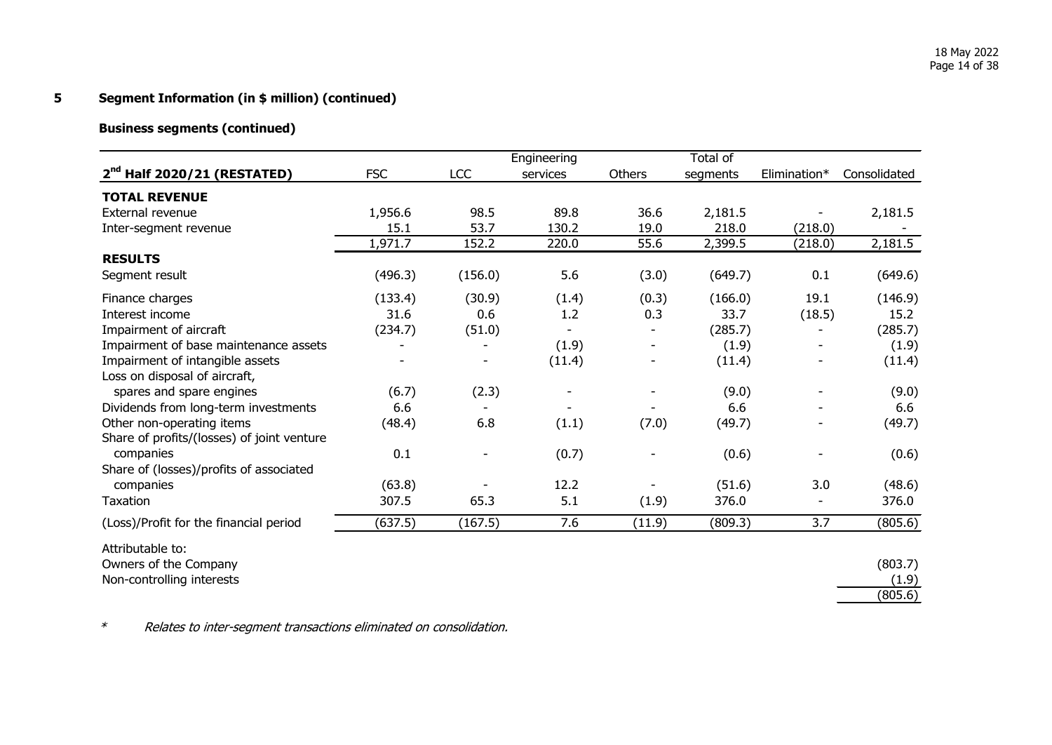## **Business segments (continued)**

|                                            |            |            | Engineering |               | Total of |              |              |
|--------------------------------------------|------------|------------|-------------|---------------|----------|--------------|--------------|
| $2nd$ Half 2020/21 (RESTATED)              | <b>FSC</b> | <b>LCC</b> | services    | <b>Others</b> | segments | Elimination* | Consolidated |
| <b>TOTAL REVENUE</b>                       |            |            |             |               |          |              |              |
| <b>External revenue</b>                    | 1,956.6    | 98.5       | 89.8        | 36.6          | 2,181.5  |              | 2,181.5      |
| Inter-segment revenue                      | 15.1       | 53.7       | 130.2       | 19.0          | 218.0    | (218.0)      |              |
|                                            | 1,971.7    | 152.2      | 220.0       | 55.6          | 2,399.5  | (218.0)      | 2,181.5      |
| <b>RESULTS</b>                             |            |            |             |               |          |              |              |
| Segment result                             | (496.3)    | (156.0)    | 5.6         | (3.0)         | (649.7)  | 0.1          | (649.6)      |
| Finance charges                            | (133.4)    | (30.9)     | (1.4)       | (0.3)         | (166.0)  | 19.1         | (146.9)      |
| Interest income                            | 31.6       | 0.6        | 1.2         | 0.3           | 33.7     | (18.5)       | 15.2         |
| Impairment of aircraft                     | (234.7)    | (51.0)     |             |               | (285.7)  |              | (285.7)      |
| Impairment of base maintenance assets      |            |            | (1.9)       |               | (1.9)    |              | (1.9)        |
| Impairment of intangible assets            |            |            | (11.4)      |               | (11.4)   |              | (11.4)       |
| Loss on disposal of aircraft,              |            |            |             |               |          |              |              |
| spares and spare engines                   | (6.7)      | (2.3)      |             |               | (9.0)    |              | (9.0)        |
| Dividends from long-term investments       | 6.6        |            |             |               | 6.6      |              | 6.6          |
| Other non-operating items                  | (48.4)     | 6.8        | (1.1)       | (7.0)         | (49.7)   |              | (49.7)       |
| Share of profits/(losses) of joint venture |            |            |             |               |          |              |              |
| companies                                  | 0.1        |            | (0.7)       |               | (0.6)    |              | (0.6)        |
| Share of (losses)/profits of associated    |            |            |             |               |          |              |              |
| companies                                  | (63.8)     |            | 12.2        |               | (51.6)   | 3.0          | (48.6)       |
| <b>Taxation</b>                            | 307.5      | 65.3       | 5.1         | (1.9)         | 376.0    |              | 376.0        |
| (Loss)/Profit for the financial period     | (637.5)    | (167.5)    | 7.6         | (11.9)        | (809.3)  | 3.7          | (805.6)      |
| Attributable to:                           |            |            |             |               |          |              |              |
| Owners of the Company                      |            |            |             |               |          |              | (803.7)      |
| Non-controlling interests                  |            |            |             |               |          |              | (1.9)        |
|                                            |            |            |             |               |          |              | (805.6)      |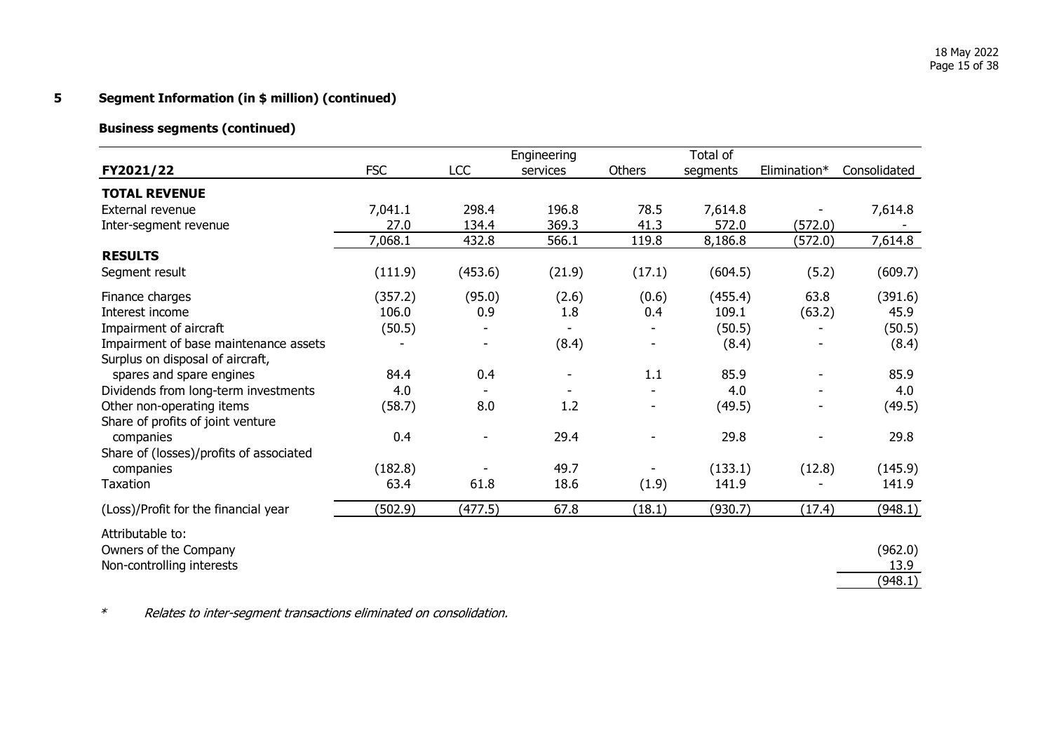## **Business segments (continued)**

|                                         |            |                          | Engineering |               | Total of |              |              |
|-----------------------------------------|------------|--------------------------|-------------|---------------|----------|--------------|--------------|
| FY2021/22                               | <b>FSC</b> | <b>LCC</b>               | services    | <b>Others</b> | segments | Elimination* | Consolidated |
| <b>TOTAL REVENUE</b>                    |            |                          |             |               |          |              |              |
| External revenue                        | 7,041.1    | 298.4                    | 196.8       | 78.5          | 7,614.8  |              | 7,614.8      |
| Inter-segment revenue                   | 27.0       | 134.4                    | 369.3       | 41.3          | 572.0    | (572.0)      |              |
|                                         | 7,068.1    | 432.8                    | 566.1       | 119.8         | 8,186.8  | (572.0)      | 7,614.8      |
| <b>RESULTS</b>                          |            |                          |             |               |          |              |              |
| Segment result                          | (111.9)    | (453.6)                  | (21.9)      | (17.1)        | (604.5)  | (5.2)        | (609.7)      |
| Finance charges                         | (357.2)    | (95.0)                   | (2.6)       | (0.6)         | (455.4)  | 63.8         | (391.6)      |
| Interest income                         | 106.0      | 0.9                      | 1.8         | 0.4           | 109.1    | (63.2)       | 45.9         |
| Impairment of aircraft                  | (50.5)     |                          |             |               | (50.5)   |              | (50.5)       |
| Impairment of base maintenance assets   |            |                          | (8.4)       |               | (8.4)    |              | (8.4)        |
| Surplus on disposal of aircraft,        |            |                          |             |               |          |              |              |
| spares and spare engines                | 84.4       | 0.4                      |             | 1.1           | 85.9     |              | 85.9         |
| Dividends from long-term investments    | 4.0        |                          |             |               | 4.0      |              | 4.0          |
| Other non-operating items               | (58.7)     | 8.0                      | 1.2         |               | (49.5)   |              | (49.5)       |
| Share of profits of joint venture       |            |                          |             |               |          |              |              |
| companies                               | 0.4        | $\overline{\phantom{a}}$ | 29.4        |               | 29.8     |              | 29.8         |
| Share of (losses)/profits of associated |            |                          |             |               |          |              |              |
| companies                               | (182.8)    |                          | 49.7        |               | (133.1)  | (12.8)       | (145.9)      |
| Taxation                                | 63.4       | 61.8                     | 18.6        | (1.9)         | 141.9    |              | 141.9        |
| (Loss)/Profit for the financial year    | (502.9)    | (477.5)                  | 67.8        | (18.1)        | (930.7)  | (17.4)       | (948.1)      |
| Attributable to:                        |            |                          |             |               |          |              |              |
| Owners of the Company                   |            |                          |             |               |          |              | (962.0)      |
| Non-controlling interests               |            |                          |             |               |          |              | 13.9         |
|                                         |            |                          |             |               |          |              | (948.1)      |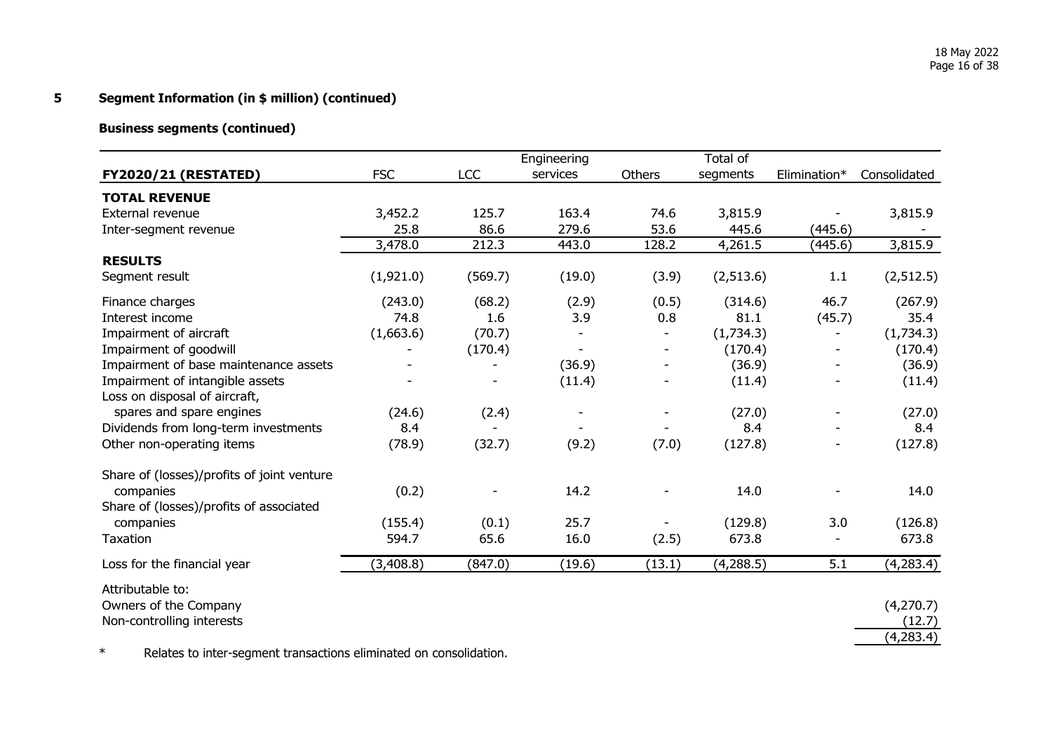# **Business segments (continued)**

|                                            |            |            | Engineering |        | Total of   |              |              |
|--------------------------------------------|------------|------------|-------------|--------|------------|--------------|--------------|
| <b>FY2020/21 (RESTATED)</b>                | <b>FSC</b> | <b>LCC</b> | services    | Others | segments   | Elimination* | Consolidated |
| <b>TOTAL REVENUE</b>                       |            |            |             |        |            |              |              |
| External revenue                           | 3,452.2    | 125.7      | 163.4       | 74.6   | 3,815.9    |              | 3,815.9      |
| Inter-segment revenue                      | 25.8       | 86.6       | 279.6       | 53.6   | 445.6      | (445.6)      |              |
|                                            | 3,478.0    | 212.3      | 443.0       | 128.2  | 4,261.5    | (445.6)      | 3,815.9      |
| <b>RESULTS</b>                             |            |            |             |        |            |              |              |
| Segment result                             | (1,921.0)  | (569.7)    | (19.0)      | (3.9)  | (2,513.6)  | 1.1          | (2, 512.5)   |
| Finance charges                            | (243.0)    | (68.2)     | (2.9)       | (0.5)  | (314.6)    | 46.7         | (267.9)      |
| Interest income                            | 74.8       | 1.6        | 3.9         | 0.8    | 81.1       | (45.7)       | 35.4         |
| Impairment of aircraft                     | (1,663.6)  | (70.7)     |             |        | (1,734.3)  |              | (1,734.3)    |
| Impairment of goodwill                     |            | (170.4)    |             |        | (170.4)    |              | (170.4)      |
| Impairment of base maintenance assets      |            |            | (36.9)      |        | (36.9)     |              | (36.9)       |
| Impairment of intangible assets            |            |            | (11.4)      |        | (11.4)     |              | (11.4)       |
| Loss on disposal of aircraft,              |            |            |             |        |            |              |              |
| spares and spare engines                   | (24.6)     | (2.4)      |             |        | (27.0)     |              | (27.0)       |
| Dividends from long-term investments       | 8.4        |            |             |        | 8.4        |              | 8.4          |
| Other non-operating items                  | (78.9)     | (32.7)     | (9.2)       | (7.0)  | (127.8)    |              | (127.8)      |
| Share of (losses)/profits of joint venture |            |            |             |        |            |              |              |
| companies                                  | (0.2)      |            | 14.2        |        | 14.0       |              | 14.0         |
| Share of (losses)/profits of associated    |            |            |             |        |            |              |              |
| companies                                  | (155.4)    | (0.1)      | 25.7        |        | (129.8)    | 3.0          | (126.8)      |
| Taxation                                   | 594.7      | 65.6       | 16.0        | (2.5)  | 673.8      |              | 673.8        |
| Loss for the financial year                | (3, 408.8) | (847.0)    | (19.6)      | (13.1) | (4, 288.5) | 5.1          | (4, 283.4)   |
| Attributable to:                           |            |            |             |        |            |              |              |
| Owners of the Company                      |            |            |             |        |            |              | (4, 270.7)   |
| Non-controlling interests                  |            |            |             |        |            |              | (12.7)       |
|                                            |            |            |             |        |            |              | (4,283.4)    |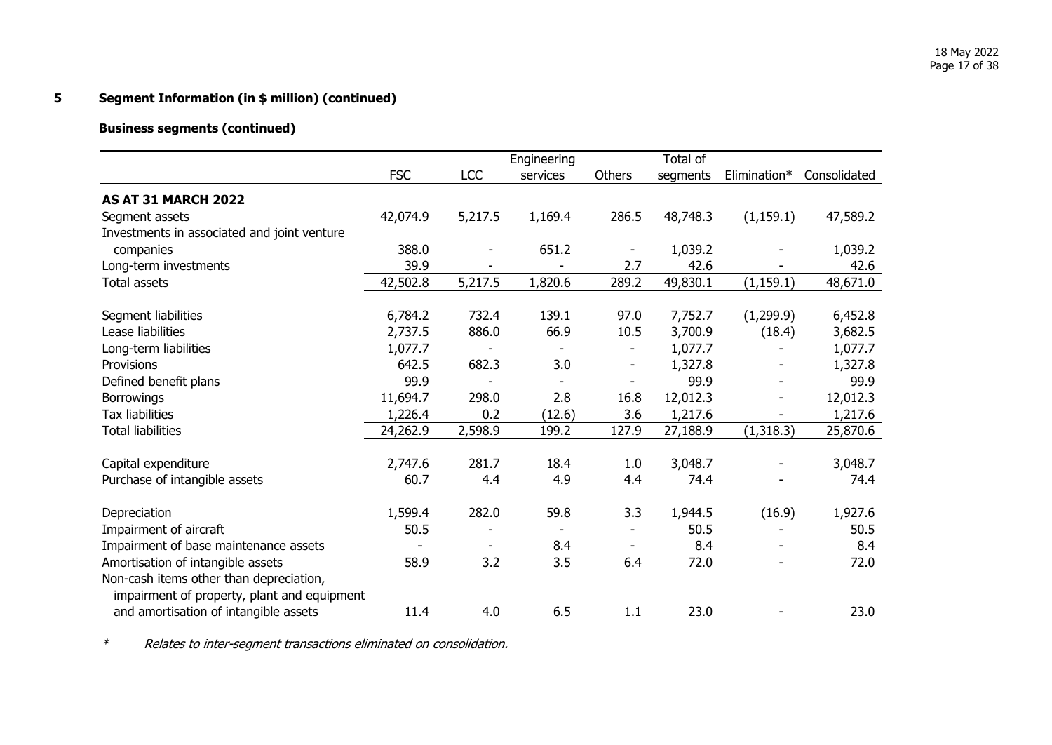# **Business segments (continued)**

|                                             |            |            | Engineering              |        | Total of |              |              |
|---------------------------------------------|------------|------------|--------------------------|--------|----------|--------------|--------------|
|                                             | <b>FSC</b> | <b>LCC</b> | services                 | Others | segments | Elimination* | Consolidated |
| <b>AS AT 31 MARCH 2022</b>                  |            |            |                          |        |          |              |              |
| Segment assets                              | 42,074.9   | 5,217.5    | 1,169.4                  | 286.5  | 48,748.3 | (1, 159.1)   | 47,589.2     |
| Investments in associated and joint venture |            |            |                          |        |          |              |              |
| companies                                   | 388.0      | -          | 651.2                    |        | 1,039.2  |              | 1,039.2      |
| Long-term investments                       | 39.9       |            |                          | 2.7    | 42.6     |              | 42.6         |
| <b>Total assets</b>                         | 42,502.8   | 5,217.5    | 1,820.6                  | 289.2  | 49,830.1 | (1, 159.1)   | 48,671.0     |
|                                             |            |            |                          |        |          |              |              |
| Segment liabilities                         | 6,784.2    | 732.4      | 139.1                    | 97.0   | 7,752.7  | (1, 299.9)   | 6,452.8      |
| Lease liabilities                           | 2,737.5    | 886.0      | 66.9                     | 10.5   | 3,700.9  | (18.4)       | 3,682.5      |
| Long-term liabilities                       | 1,077.7    |            | $\overline{\phantom{a}}$ |        | 1,077.7  |              | 1,077.7      |
| Provisions                                  | 642.5      | 682.3      | 3.0                      | ۰      | 1,327.8  |              | 1,327.8      |
| Defined benefit plans                       | 99.9       |            |                          |        | 99.9     |              | 99.9         |
| <b>Borrowings</b>                           | 11,694.7   | 298.0      | 2.8                      | 16.8   | 12,012.3 |              | 12,012.3     |
| <b>Tax liabilities</b>                      | 1,226.4    | 0.2        | (12.6)                   | 3.6    | 1,217.6  |              | 1,217.6      |
| <b>Total liabilities</b>                    | 24,262.9   | 2,598.9    | 199.2                    | 127.9  | 27,188.9 | (1,318.3)    | 25,870.6     |
| Capital expenditure                         | 2,747.6    | 281.7      | 18.4                     | 1.0    | 3,048.7  |              | 3,048.7      |
| Purchase of intangible assets               | 60.7       | 4.4        | 4.9                      | 4.4    | 74.4     |              | 74.4         |
|                                             |            |            |                          |        |          |              |              |
| Depreciation                                | 1,599.4    | 282.0      | 59.8                     | 3.3    | 1,944.5  | (16.9)       | 1,927.6      |
| Impairment of aircraft                      | 50.5       |            |                          |        | 50.5     |              | 50.5         |
| Impairment of base maintenance assets       |            |            | 8.4                      |        | 8.4      |              | 8.4          |
| Amortisation of intangible assets           | 58.9       | 3.2        | 3.5                      | 6.4    | 72.0     |              | 72.0         |
| Non-cash items other than depreciation,     |            |            |                          |        |          |              |              |
| impairment of property, plant and equipment |            |            |                          |        |          |              |              |
| and amortisation of intangible assets       | 11.4       | 4.0        | 6.5                      | 1.1    | 23.0     |              | 23.0         |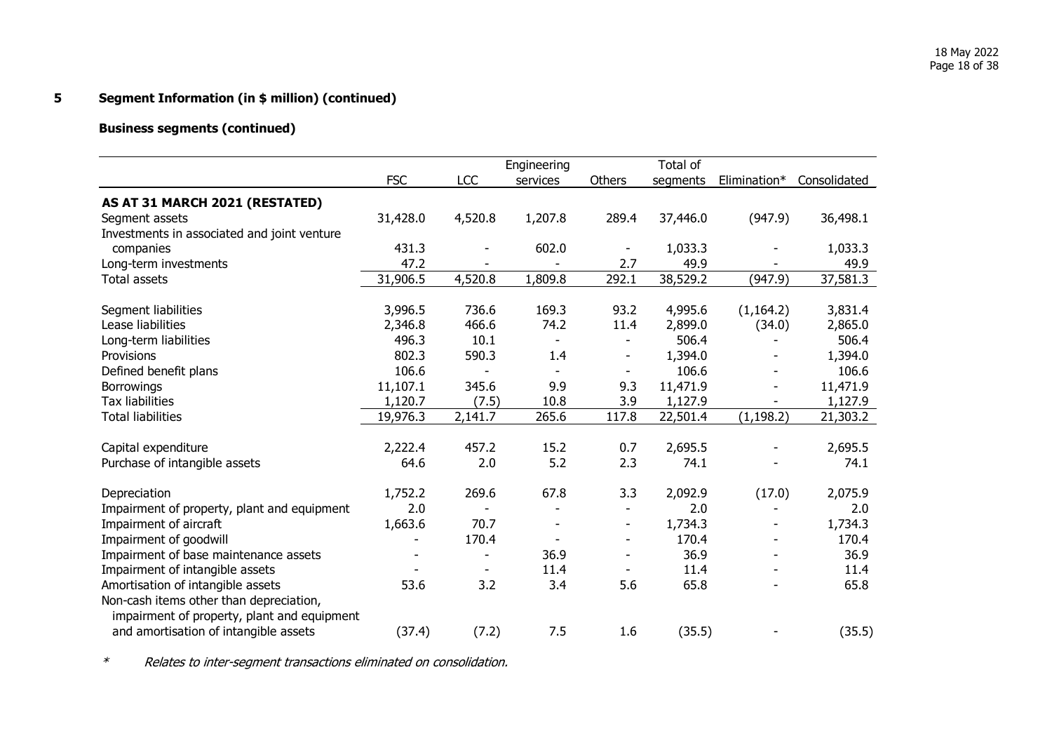# **Business segments (continued)**

|                                             |            |                          | Engineering |                          | Total of |              |              |
|---------------------------------------------|------------|--------------------------|-------------|--------------------------|----------|--------------|--------------|
|                                             | <b>FSC</b> | LCC                      | services    | Others                   | segments | Elimination* | Consolidated |
| AS AT 31 MARCH 2021 (RESTATED)              |            |                          |             |                          |          |              |              |
| Segment assets                              | 31,428.0   | 4,520.8                  | 1,207.8     | 289.4                    | 37,446.0 | (947.9)      | 36,498.1     |
| Investments in associated and joint venture |            |                          |             |                          |          |              |              |
| companies                                   | 431.3      |                          | 602.0       | $\overline{\phantom{a}}$ | 1,033.3  |              | 1,033.3      |
| Long-term investments                       | 47.2       |                          |             | 2.7                      | 49.9     |              | 49.9         |
| <b>Total assets</b>                         | 31,906.5   | 4,520.8                  | 1,809.8     | 292.1                    | 38,529.2 | (947.9)      | 37,581.3     |
| Segment liabilities                         | 3,996.5    | 736.6                    | 169.3       | 93.2                     | 4,995.6  | (1, 164.2)   | 3,831.4      |
| Lease liabilities                           | 2,346.8    | 466.6                    | 74.2        | 11.4                     | 2,899.0  | (34.0)       | 2,865.0      |
| Long-term liabilities                       | 496.3      | 10.1                     |             |                          | 506.4    |              | 506.4        |
| Provisions                                  | 802.3      | 590.3                    | 1.4         |                          | 1,394.0  |              | 1,394.0      |
| Defined benefit plans                       | 106.6      |                          |             |                          | 106.6    |              | 106.6        |
| <b>Borrowings</b>                           | 11,107.1   | 345.6                    | 9.9         | 9.3                      | 11,471.9 |              | 11,471.9     |
| <b>Tax liabilities</b>                      | 1,120.7    | (7.5)                    | 10.8        | 3.9                      | 1,127.9  |              | 1,127.9      |
| <b>Total liabilities</b>                    | 19,976.3   | 2,141.7                  | 265.6       | 117.8                    | 22,501.4 | (1, 198.2)   | 21,303.2     |
| Capital expenditure                         | 2,222.4    | 457.2                    | 15.2        | 0.7                      | 2,695.5  |              | 2,695.5      |
| Purchase of intangible assets               | 64.6       | 2.0                      | 5.2         | 2.3                      | 74.1     |              | 74.1         |
|                                             |            |                          |             |                          |          |              |              |
| Depreciation                                | 1,752.2    | 269.6                    | 67.8        | 3.3                      | 2,092.9  | (17.0)       | 2,075.9      |
| Impairment of property, plant and equipment | 2.0        |                          |             |                          | 2.0      |              | 2.0          |
| Impairment of aircraft                      | 1,663.6    | 70.7                     |             | $\overline{\phantom{a}}$ | 1,734.3  |              | 1,734.3      |
| Impairment of goodwill                      |            | 170.4                    |             |                          | 170.4    |              | 170.4        |
| Impairment of base maintenance assets       |            | $\overline{\phantom{a}}$ | 36.9        |                          | 36.9     |              | 36.9         |
| Impairment of intangible assets             |            |                          | 11.4        |                          | 11.4     |              | 11.4         |
| Amortisation of intangible assets           | 53.6       | 3.2                      | 3.4         | 5.6                      | 65.8     |              | 65.8         |
| Non-cash items other than depreciation,     |            |                          |             |                          |          |              |              |
| impairment of property, plant and equipment |            |                          |             |                          |          |              |              |
| and amortisation of intangible assets       | (37.4)     | (7.2)                    | 7.5         | 1.6                      | (35.5)   |              | (35.5)       |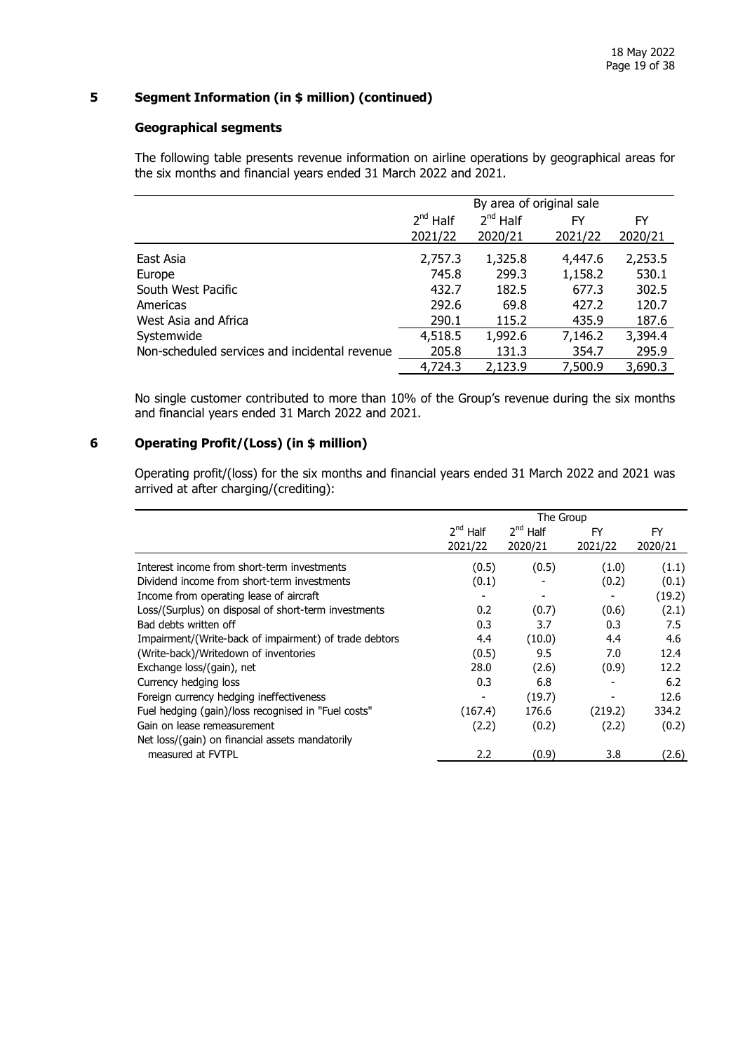## **Geographical segments**

The following table presents revenue information on airline operations by geographical areas for the six months and financial years ended 31 March 2022 and 2021.

|                                               | By area of original sale |               |         |         |  |
|-----------------------------------------------|--------------------------|---------------|---------|---------|--|
|                                               | $2^{nd}$ Half            | $2^{nd}$ Half | FY      | FY      |  |
|                                               | 2021/22                  | 2020/21       | 2021/22 | 2020/21 |  |
| East Asia                                     | 2,757.3                  | 1,325.8       | 4,447.6 | 2,253.5 |  |
| Europe                                        | 745.8                    | 299.3         | 1,158.2 | 530.1   |  |
| South West Pacific                            | 432.7                    | 182.5         | 677.3   | 302.5   |  |
| Americas                                      | 292.6                    | 69.8          | 427.2   | 120.7   |  |
| West Asia and Africa                          | 290.1                    | 115.2         | 435.9   | 187.6   |  |
| Systemwide                                    | 4,518.5                  | 1,992.6       | 7,146.2 | 3,394.4 |  |
| Non-scheduled services and incidental revenue | 205.8                    | 131.3         | 354.7   | 295.9   |  |
|                                               | 4,724.3                  | 2,123.9       | 7,500.9 | 3,690.3 |  |

No single customer contributed to more than 10% of the Group's revenue during the six months and financial years ended 31 March 2022 and 2021.

## **6 Operating Profit/(Loss) (in \$ million)**

Operating profit/(loss) for the six months and financial years ended 31 March 2022 and 2021 was arrived at after charging/(crediting):

|                                                        | The Group     |               |         |         |  |
|--------------------------------------------------------|---------------|---------------|---------|---------|--|
|                                                        | $2^{nd}$ Half | $2^{nd}$ Half | FY      | FY      |  |
|                                                        | 2021/22       | 2020/21       | 2021/22 | 2020/21 |  |
| Interest income from short-term investments            | (0.5)         | (0.5)         | (1.0)   | (1.1)   |  |
| Dividend income from short-term investments            | (0.1)         |               | (0.2)   | (0.1)   |  |
| Income from operating lease of aircraft                |               |               |         | (19.2)  |  |
| Loss/(Surplus) on disposal of short-term investments   | 0.2           | (0.7)         | (0.6)   | (2.1)   |  |
| Bad debts written off                                  | 0.3           | 3.7           | 0.3     | 7.5     |  |
| Impairment/(Write-back of impairment) of trade debtors | 4.4           | (10.0)        | 4.4     | 4.6     |  |
| (Write-back)/Writedown of inventories                  | (0.5)         | 9.5           | 7.0     | 12.4    |  |
| Exchange loss/(gain), net                              | 28.0          | (2.6)         | (0.9)   | 12.2    |  |
| Currency hedging loss                                  | 0.3           | 6.8           |         | 6.2     |  |
| Foreign currency hedging ineffectiveness               |               | (19.7)        | ۰       | 12.6    |  |
| Fuel hedging (gain)/loss recognised in "Fuel costs"    | (167.4)       | 176.6         | (219.2) | 334.2   |  |
| Gain on lease remeasurement                            | (2.2)         | (0.2)         | (2.2)   | (0.2)   |  |
| Net loss/(gain) on financial assets mandatorily        |               |               |         |         |  |
| measured at FVTPL                                      | 2.2           | (0.9)         | 3.8     | (2.6)   |  |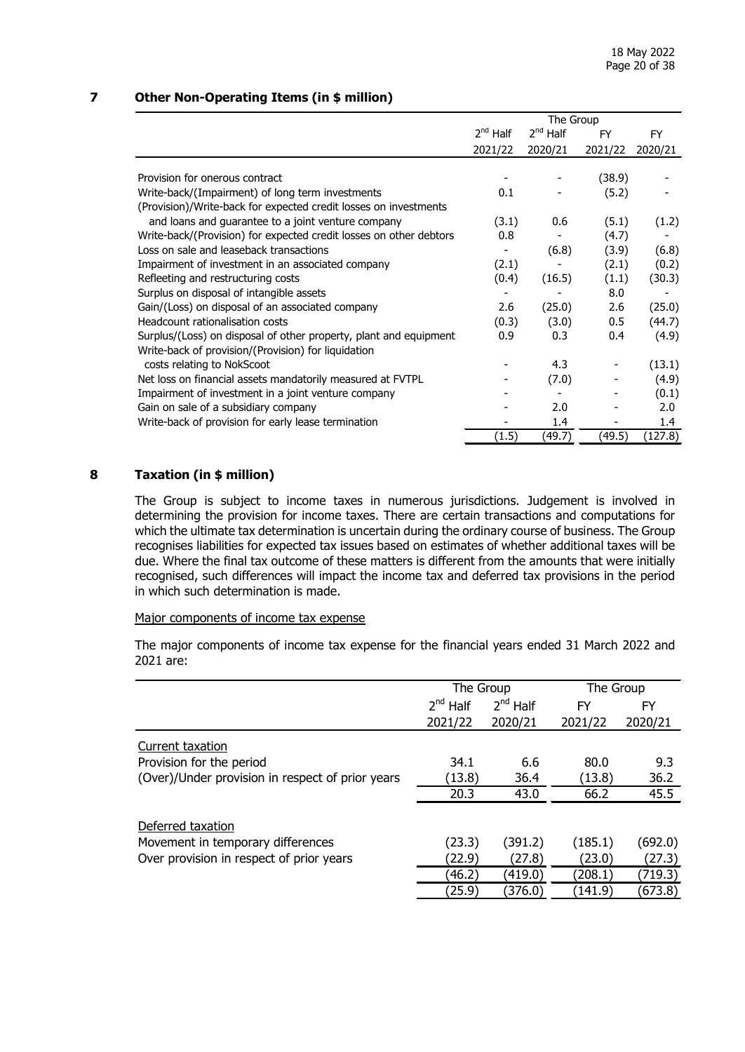## **7 Other Non-Operating Items (in \$ million)**

|                                                                    | The Group     |               |           |               |  |
|--------------------------------------------------------------------|---------------|---------------|-----------|---------------|--|
|                                                                    | $2^{nd}$ Half | $2^{nd}$ Half | <b>FY</b> | <b>FY</b>     |  |
|                                                                    | 2021/22       | 2020/21       | 2021/22   | 2020/21       |  |
|                                                                    |               |               |           |               |  |
| Provision for onerous contract                                     |               |               | (38.9)    |               |  |
| Write-back/(Impairment) of long term investments                   | 0.1           |               | (5.2)     |               |  |
| (Provision)/Write-back for expected credit losses on investments   |               |               |           |               |  |
| and loans and guarantee to a joint venture company                 | (3.1)         | 0.6           | (5.1)     | (1.2)         |  |
| Write-back/(Provision) for expected credit losses on other debtors | 0.8           |               | (4.7)     |               |  |
| Loss on sale and leaseback transactions                            |               | (6.8)         | (3.9)     | (6.8)         |  |
| Impairment of investment in an associated company                  | (2.1)         |               | (2.1)     | (0.2)         |  |
| Refleeting and restructuring costs                                 | (0.4)         | (16.5)        | (1.1)     | (30.3)        |  |
| Surplus on disposal of intangible assets                           |               |               | 8.0       |               |  |
| Gain/(Loss) on disposal of an associated company                   | 2.6           | (25.0)        | 2.6       | (25.0)        |  |
| Headcount rationalisation costs                                    | (0.3)         | (3.0)         | 0.5       | (44.7)        |  |
| Surplus/(Loss) on disposal of other property, plant and equipment  | 0.9           | 0.3           | 0.4       | (4.9)         |  |
| Write-back of provision/(Provision) for liquidation                |               |               |           |               |  |
| costs relating to NokScoot                                         |               | 4.3           |           | (13.1)        |  |
| Net loss on financial assets mandatorily measured at FVTPL         |               | (7.0)         |           | (4.9)         |  |
| Impairment of investment in a joint venture company                |               |               |           | (0.1)         |  |
| Gain on sale of a subsidiary company                               |               | 2.0           |           | 2.0           |  |
| Write-back of provision for early lease termination                |               | 1.4           |           | $1.4^{\circ}$ |  |
|                                                                    | (1.5)         | (49.7)        | (49.5)    | (127.8)       |  |

## **8 Taxation (in \$ million)**

The Group is subject to income taxes in numerous jurisdictions. Judgement is involved in determining the provision for income taxes. There are certain transactions and computations for which the ultimate tax determination is uncertain during the ordinary course of business. The Group recognises liabilities for expected tax issues based on estimates of whether additional taxes will be due. Where the final tax outcome of these matters is different from the amounts that were initially recognised, such differences will impact the income tax and deferred tax provisions in the period in which such determination is made.

#### Major components of income tax expense

The major components of income tax expense for the financial years ended 31 March 2022 and 2021 are:

|                                                  | The Group     |               | The Group |         |
|--------------------------------------------------|---------------|---------------|-----------|---------|
|                                                  | $2^{nd}$ Half | $2^{nd}$ Half | FY        | FY      |
|                                                  | 2021/22       | 2020/21       | 2021/22   | 2020/21 |
| Current taxation                                 |               |               |           |         |
| Provision for the period                         | 34.1          | 6.6           | 80.0      | 9.3     |
| (Over)/Under provision in respect of prior years | (13.8)        | 36.4          | (13.8)    | 36.2    |
|                                                  | 20.3          | 43.0          | 66.2      | 45.5    |
| Deferred taxation                                |               |               |           |         |
| Movement in temporary differences                | (23.3)        | (391.2)       | (185.1)   | (692.0) |
| Over provision in respect of prior years         | (22.9)        | (27.8)        | (23.0)    | (27.3)  |
|                                                  | (46.2)        | (419.0)       | (208.1)   | (719.3) |
|                                                  | (25.9)        | (376.0)       | (141.9)   | (673.8) |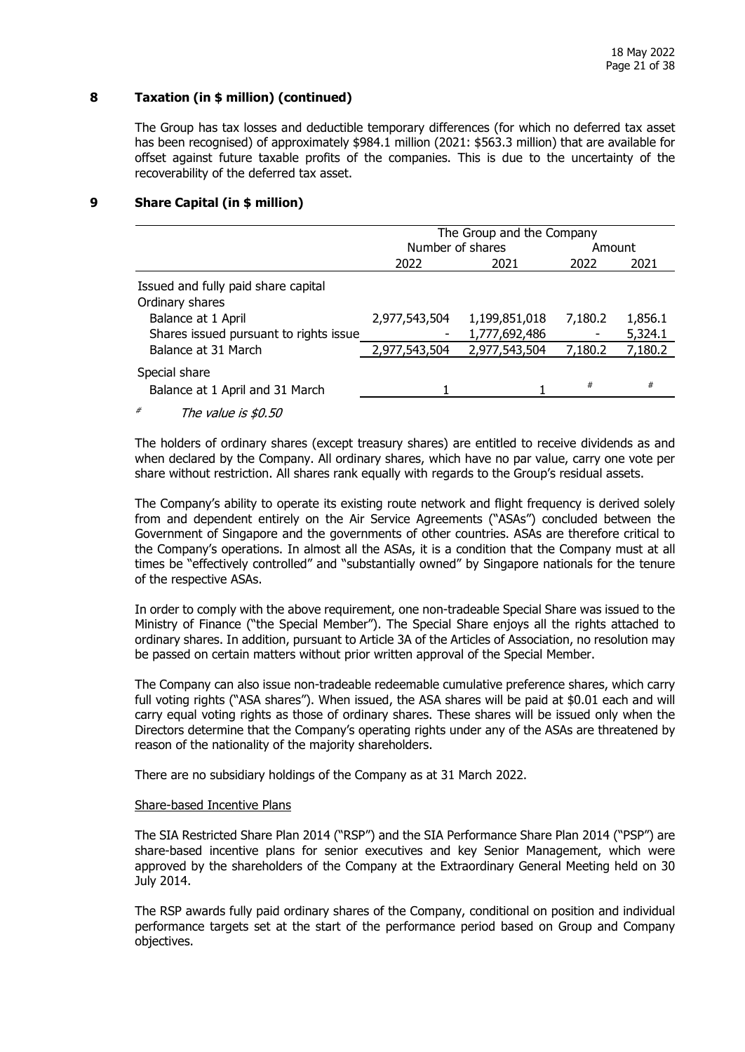## **8 Taxation (in \$ million) (continued)**

The Group has tax losses and deductible temporary differences (for which no deferred tax asset has been recognised) of approximately \$984.1 million (2021: \$563.3 million) that are available for offset against future taxable profits of the companies. This is due to the uncertainty of the recoverability of the deferred tax asset.

## **9 Share Capital (in \$ million)**

|                                                              | The Group and the Company |                                |         |                    |  |  |
|--------------------------------------------------------------|---------------------------|--------------------------------|---------|--------------------|--|--|
|                                                              | Number of shares          |                                | Amount  |                    |  |  |
|                                                              | 2022                      | 2021                           | 2022    | 2021               |  |  |
| Issued and fully paid share capital<br>Ordinary shares       |                           |                                |         |                    |  |  |
| Balance at 1 April<br>Shares issued pursuant to rights issue | 2,977,543,504             | 1,199,851,018<br>1,777,692,486 | 7,180.2 | 1,856.1<br>5,324.1 |  |  |
| Balance at 31 March                                          | 2,977,543,504             | 2,977,543,504                  | 7,180.2 | 7,180.2            |  |  |
| Special share<br>Balance at 1 April and 31 March             |                           |                                | #       | #                  |  |  |
|                                                              |                           |                                |         |                    |  |  |

The value is \$0.50

The holders of ordinary shares (except treasury shares) are entitled to receive dividends as and when declared by the Company. All ordinary shares, which have no par value, carry one vote per share without restriction. All shares rank equally with regards to the Group's residual assets.

The Company's ability to operate its existing route network and flight frequency is derived solely from and dependent entirely on the Air Service Agreements ("ASAs") concluded between the Government of Singapore and the governments of other countries. ASAs are therefore critical to the Company's operations. In almost all the ASAs, it is a condition that the Company must at all times be "effectively controlled" and "substantially owned" by Singapore nationals for the tenure of the respective ASAs.

In order to comply with the above requirement, one non-tradeable Special Share was issued to the Ministry of Finance ("the Special Member"). The Special Share enjoys all the rights attached to ordinary shares. In addition, pursuant to Article 3A of the Articles of Association, no resolution may be passed on certain matters without prior written approval of the Special Member.

The Company can also issue non-tradeable redeemable cumulative preference shares, which carry full voting rights ("ASA shares"). When issued, the ASA shares will be paid at \$0.01 each and will carry equal voting rights as those of ordinary shares. These shares will be issued only when the Directors determine that the Company's operating rights under any of the ASAs are threatened by reason of the nationality of the majority shareholders.

There are no subsidiary holdings of the Company as at 31 March 2022.

#### Share-based Incentive Plans

The SIA Restricted Share Plan 2014 ("RSP") and the SIA Performance Share Plan 2014 ("PSP") are share-based incentive plans for senior executives and key Senior Management, which were approved by the shareholders of the Company at the Extraordinary General Meeting held on 30 July 2014.

The RSP awards fully paid ordinary shares of the Company, conditional on position and individual performance targets set at the start of the performance period based on Group and Company objectives.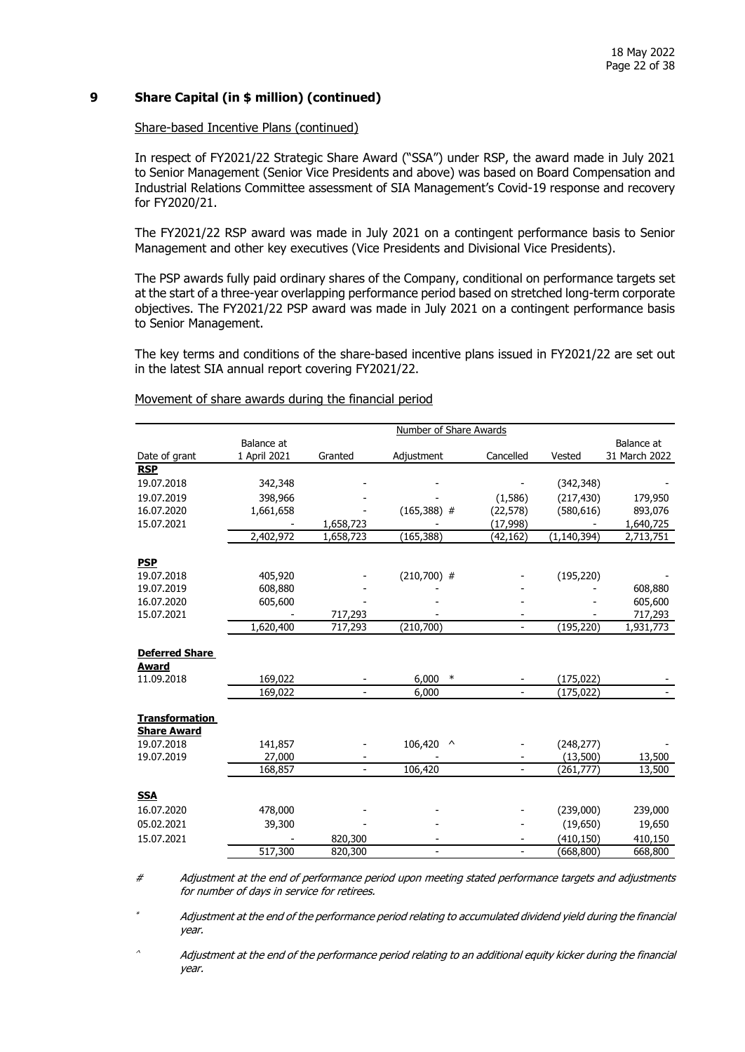## **9 Share Capital (in \$ million) (continued)**

#### Share-based Incentive Plans (continued)

In respect of FY2021/22 Strategic Share Award ("SSA") under RSP, the award made in July 2021 to Senior Management (Senior Vice Presidents and above) was based on Board Compensation and Industrial Relations Committee assessment of SIA Management's Covid-19 response and recovery for FY2020/21.

The FY2021/22 RSP award was made in July 2021 on a contingent performance basis to Senior Management and other key executives (Vice Presidents and Divisional Vice Presidents).

The PSP awards fully paid ordinary shares of the Company, conditional on performance targets set at the start of a three-year overlapping performance period based on stretched long-term corporate objectives. The FY2021/22 PSP award was made in July 2021 on a contingent performance basis to Senior Management.

The key terms and conditions of the share-based incentive plans issued in FY2021/22 are set out in the latest SIA annual report covering FY2021/22.

|                            | Number of Share Awards |                          |                          |                              |               |               |  |
|----------------------------|------------------------|--------------------------|--------------------------|------------------------------|---------------|---------------|--|
|                            | Balance at             |                          |                          |                              |               | Balance at    |  |
| Date of grant              | 1 April 2021           | Granted                  | Adjustment               | Cancelled                    | Vested        | 31 March 2022 |  |
| <b>RSP</b>                 |                        |                          |                          |                              |               |               |  |
| 19.07.2018                 | 342,348                |                          |                          |                              | (342, 348)    |               |  |
| 19.07.2019                 | 398,966                |                          |                          | (1,586)                      | (217, 430)    | 179,950       |  |
| 16.07.2020                 | 1,661,658              |                          | $(165,388)$ #            | (22, 578)                    | (580, 616)    | 893,076       |  |
| 15.07.2021                 |                        | 1,658,723                |                          | (17, 998)                    |               | 1,640,725     |  |
|                            | 2,402,972              | 1,658,723                | (165, 388)               | (42,162)                     | (1, 140, 394) | 2,713,751     |  |
| <b>PSP</b>                 |                        |                          |                          |                              |               |               |  |
| 19.07.2018                 | 405,920                |                          | $(210, 700)$ #           |                              | (195, 220)    |               |  |
| 19.07.2019                 | 608,880                |                          |                          |                              |               | 608,880       |  |
| 16.07.2020                 | 605,600                |                          |                          |                              |               | 605,600       |  |
| 15.07.2021                 |                        | 717,293                  |                          |                              |               | 717,293       |  |
|                            | 1,620,400              | 717,293                  | (210, 700)               | $\overline{\phantom{0}}$     | (195, 220)    | 1,931,773     |  |
|                            |                        |                          |                          |                              |               |               |  |
| <b>Deferred Share</b>      |                        |                          |                          |                              |               |               |  |
| <b>Award</b><br>11.09.2018 | 169,022                |                          | 6,000<br>$\ast$          |                              | (175, 022)    |               |  |
|                            | 169,022                | $\overline{\phantom{a}}$ | 6,000                    | $\qquad \qquad \blacksquare$ | (175, 022)    |               |  |
|                            |                        |                          |                          |                              |               |               |  |
| <b>Transformation</b>      |                        |                          |                          |                              |               |               |  |
| <b>Share Award</b>         |                        |                          |                          |                              |               |               |  |
| 19.07.2018                 | 141,857                |                          | 106,420<br>$\wedge$      |                              | (248, 277)    |               |  |
| 19.07.2019                 | 27,000                 |                          |                          |                              | (13,500)      | 13,500        |  |
|                            | 168,857                | $\blacksquare$           | 106,420                  | $\overline{a}$               | (261, 777)    | 13,500        |  |
| <b>SSA</b>                 |                        |                          |                          |                              |               |               |  |
| 16.07.2020                 | 478,000                |                          |                          |                              | (239,000)     | 239,000       |  |
| 05.02.2021                 | 39,300                 |                          |                          |                              | (19,650)      | 19,650        |  |
| 15.07.2021                 |                        | 820,300                  |                          |                              | (410, 150)    | 410,150       |  |
|                            | 517,300                | 820,300                  | $\overline{\phantom{a}}$ | $\overline{\phantom{0}}$     | (668, 800)    | 668,800       |  |

Movement of share awards during the financial period

# Adjustment at the end of performance period upon meeting stated performance targets and adjustments for number of days in service for retirees.

\* Adjustment at the end of the performance period relating to accumulated dividend yield during the financial year.

^ Adjustment at the end of the performance period relating to an additional equity kicker during the financial year.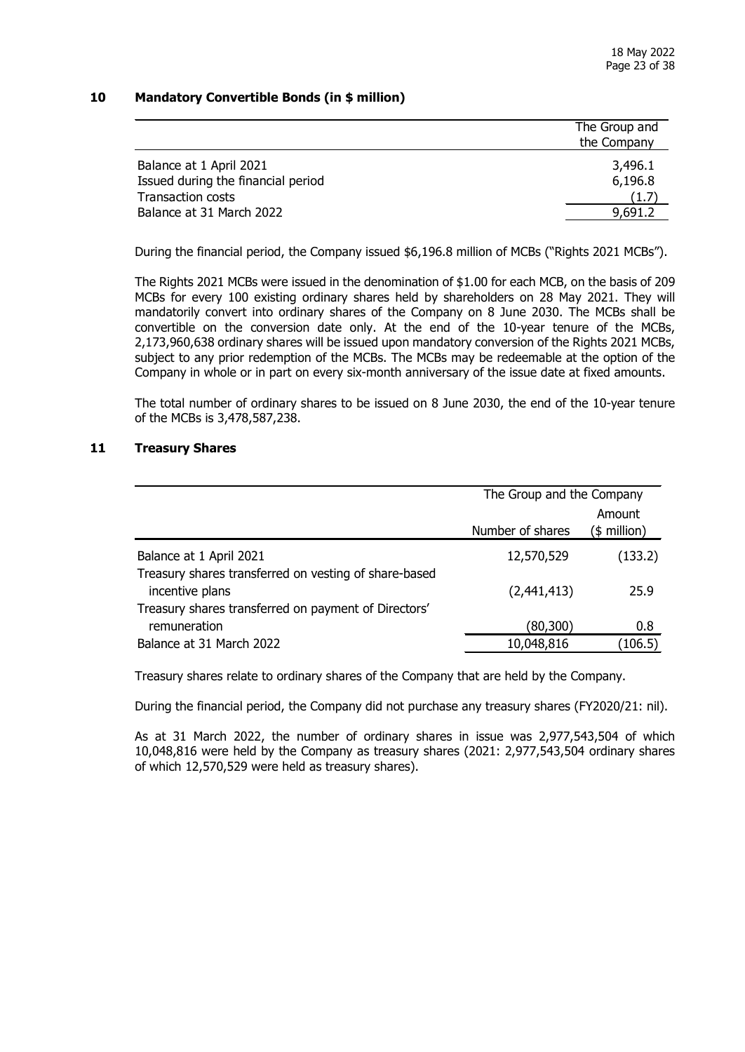## **10 Mandatory Convertible Bonds (in \$ million)**

|                                                                | The Group and<br>the Company |
|----------------------------------------------------------------|------------------------------|
| Balance at 1 April 2021                                        | 3,496.1                      |
| Issued during the financial period<br><b>Transaction costs</b> | 6,196.8<br>(1.7)             |
| Balance at 31 March 2022                                       | 9,691.2                      |

During the financial period, the Company issued \$6,196.8 million of MCBs ("Rights 2021 MCBs").

The Rights 2021 MCBs were issued in the denomination of \$1.00 for each MCB, on the basis of 209 MCBs for every 100 existing ordinary shares held by shareholders on 28 May 2021. They will mandatorily convert into ordinary shares of the Company on 8 June 2030. The MCBs shall be convertible on the conversion date only. At the end of the 10-year tenure of the MCBs, 2,173,960,638 ordinary shares will be issued upon mandatory conversion of the Rights 2021 MCBs, subject to any prior redemption of the MCBs. The MCBs may be redeemable at the option of the Company in whole or in part on every six-month anniversary of the issue date at fixed amounts.

The total number of ordinary shares to be issued on 8 June 2030, the end of the 10-year tenure of the MCBs is 3,478,587,238.

## **11 Treasury Shares**

|                                                                          | The Group and the Company |                        |  |  |
|--------------------------------------------------------------------------|---------------------------|------------------------|--|--|
|                                                                          | Number of shares          | Amount<br>(\$ million) |  |  |
| Balance at 1 April 2021                                                  | 12,570,529                | (133.2)                |  |  |
| Treasury shares transferred on vesting of share-based<br>incentive plans | (2,441,413)               | 25.9                   |  |  |
| Treasury shares transferred on payment of Directors'                     |                           |                        |  |  |
| remuneration                                                             | (80,300)                  | 0.8                    |  |  |
| Balance at 31 March 2022                                                 | 10,048,816                | (106.5)                |  |  |

Treasury shares relate to ordinary shares of the Company that are held by the Company.

During the financial period, the Company did not purchase any treasury shares (FY2020/21: nil).

As at 31 March 2022, the number of ordinary shares in issue was 2,977,543,504 of which 10,048,816 were held by the Company as treasury shares (2021: 2,977,543,504 ordinary shares of which 12,570,529 were held as treasury shares).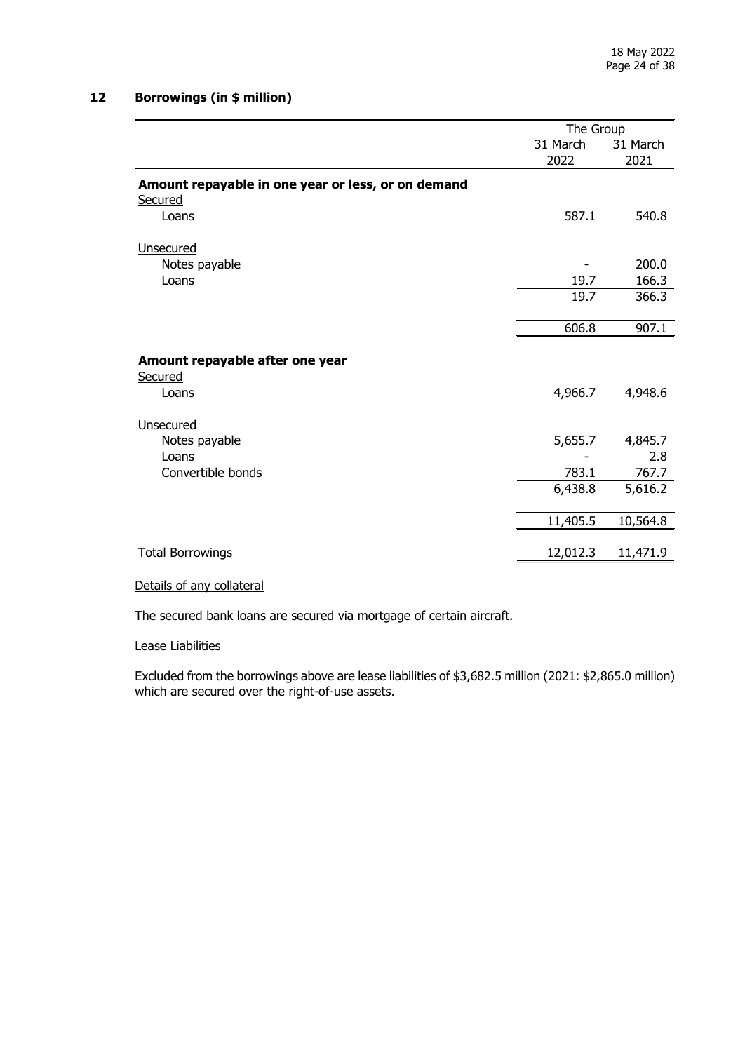# **12 Borrowings (in \$ million)**

|                                                    | The Group |          |  |
|----------------------------------------------------|-----------|----------|--|
|                                                    | 31 March  | 31 March |  |
|                                                    | 2022      | 2021     |  |
| Amount repayable in one year or less, or on demand |           |          |  |
| Secured                                            |           |          |  |
| Loans                                              | 587.1     | 540.8    |  |
| Unsecured                                          |           |          |  |
| Notes payable                                      |           | 200.0    |  |
| Loans                                              | 19.7      | 166.3    |  |
|                                                    | 19.7      | 366.3    |  |
|                                                    | 606.8     | 907.1    |  |
|                                                    |           |          |  |
| Amount repayable after one year<br>Secured         |           |          |  |
| Loans                                              | 4,966.7   | 4,948.6  |  |
|                                                    |           |          |  |
| Unsecured                                          |           |          |  |
| Notes payable                                      | 5,655.7   | 4,845.7  |  |
| Loans                                              |           | 2.8      |  |
| Convertible bonds                                  | 783.1     | 767.7    |  |
|                                                    | 6,438.8   | 5,616.2  |  |
|                                                    | 11,405.5  | 10,564.8 |  |
|                                                    |           |          |  |
| <b>Total Borrowings</b>                            | 12,012.3  | 11,471.9 |  |

#### Details of any collateral

The secured bank loans are secured via mortgage of certain aircraft.

#### Lease Liabilities

Excluded from the borrowings above are lease liabilities of \$3,682.5 million (2021: \$2,865.0 million) which are secured over the right-of-use assets.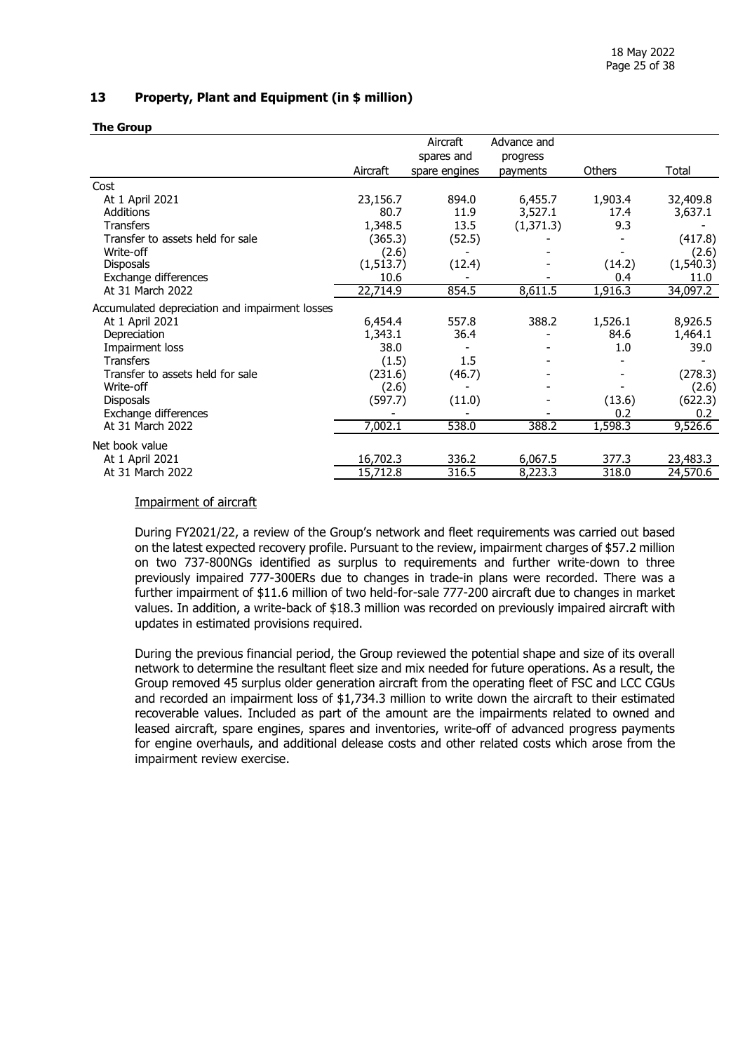## **13 Property, Plant and Equipment (in \$ million)**

#### **The Group**

|                                                |           | Aircraft      | Advance and |         |           |
|------------------------------------------------|-----------|---------------|-------------|---------|-----------|
|                                                |           | spares and    | progress    |         |           |
|                                                | Aircraft  | spare engines | payments    | Others  | Total     |
| Cost                                           |           |               |             |         |           |
| At 1 April 2021                                | 23,156.7  | 894.0         | 6,455.7     | 1,903.4 | 32,409.8  |
| <b>Additions</b>                               | 80.7      | 11.9          | 3,527.1     | 17.4    | 3,637.1   |
| <b>Transfers</b>                               | 1,348.5   | 13.5          | (1, 371.3)  | 9.3     |           |
| Transfer to assets held for sale               | (365.3)   | (52.5)        |             |         | (417.8)   |
| Write-off                                      | (2.6)     |               |             |         | (2.6)     |
| <b>Disposals</b>                               | (1,513.7) | (12.4)        |             | (14.2)  | (1,540.3) |
| Exchange differences                           | 10.6      |               |             | 0.4     | 11.0      |
| At 31 March 2022                               | 22,714.9  | 854.5         | 8,611.5     | 1,916.3 | 34,097.2  |
| Accumulated depreciation and impairment losses |           |               |             |         |           |
| At 1 April 2021                                | 6,454.4   | 557.8         | 388.2       | 1,526.1 | 8,926.5   |
| Depreciation                                   | 1,343.1   | 36.4          |             | 84.6    | 1,464.1   |
| Impairment loss                                | 38.0      |               |             | 1.0     | 39.0      |
| <b>Transfers</b>                               | (1.5)     | $1.5\,$       |             |         |           |
| Transfer to assets held for sale               | (231.6)   | (46.7)        |             |         | (278.3)   |
| Write-off                                      | (2.6)     |               |             |         | (2.6)     |
| <b>Disposals</b>                               | (597.7)   | (11.0)        |             | (13.6)  | (622.3)   |
| Exchange differences                           |           |               |             | 0.2     | 0.2       |
| At 31 March 2022                               | 7,002.1   | 538.0         | 388.2       | 1,598.3 | 9,526.6   |
| Net book value                                 |           |               |             |         |           |
| At 1 April 2021                                | 16,702.3  | 336.2         | 6,067.5     | 377.3   | 23,483.3  |
| At 31 March 2022                               | 15,712.8  | 316.5         | 8,223.3     | 318.0   | 24,570.6  |

## Impairment of aircraft

During FY2021/22, a review of the Group's network and fleet requirements was carried out based on the latest expected recovery profile. Pursuant to the review, impairment charges of \$57.2 million on two 737-800NGs identified as surplus to requirements and further write-down to three previously impaired 777-300ERs due to changes in trade-in plans were recorded. There was a further impairment of \$11.6 million of two held-for-sale 777-200 aircraft due to changes in market values. In addition, a write-back of \$18.3 million was recorded on previously impaired aircraft with updates in estimated provisions required.

During the previous financial period, the Group reviewed the potential shape and size of its overall network to determine the resultant fleet size and mix needed for future operations. As a result, the Group removed 45 surplus older generation aircraft from the operating fleet of FSC and LCC CGUs and recorded an impairment loss of \$1,734.3 million to write down the aircraft to their estimated recoverable values. Included as part of the amount are the impairments related to owned and leased aircraft, spare engines, spares and inventories, write-off of advanced progress payments for engine overhauls, and additional delease costs and other related costs which arose from the impairment review exercise.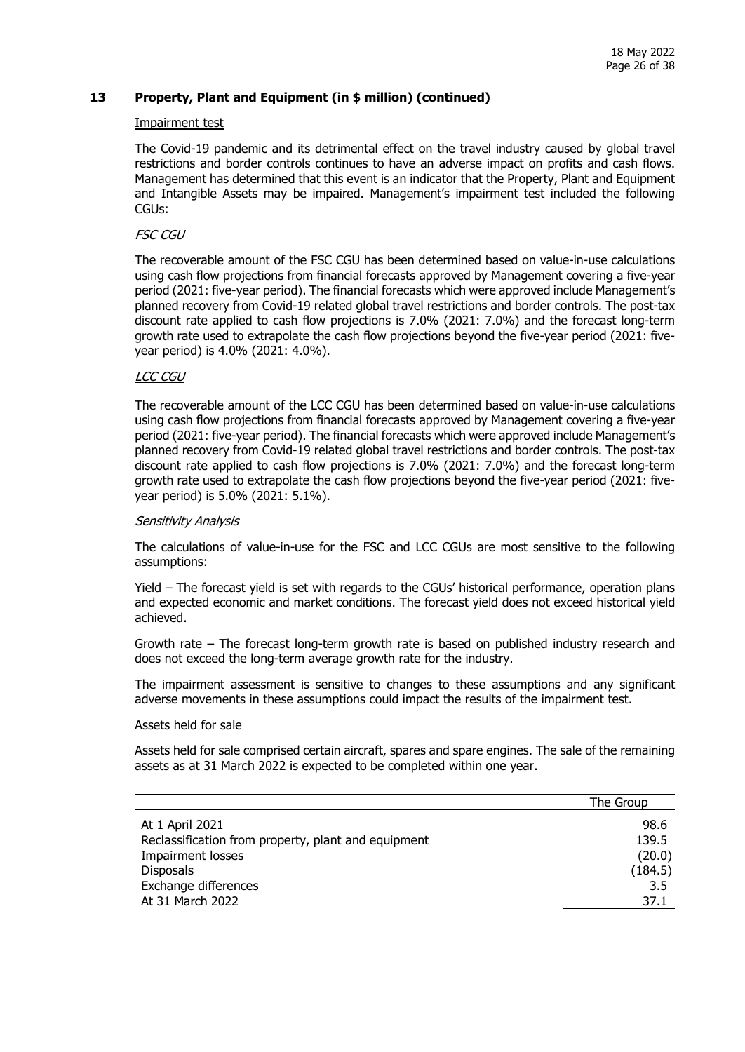## **13 Property, Plant and Equipment (in \$ million) (continued)**

#### Impairment test

The Covid-19 pandemic and its detrimental effect on the travel industry caused by global travel restrictions and border controls continues to have an adverse impact on profits and cash flows. Management has determined that this event is an indicator that the Property, Plant and Equipment and Intangible Assets may be impaired. Management's impairment test included the following CGUs:

#### FSC CGU

The recoverable amount of the FSC CGU has been determined based on value-in-use calculations using cash flow projections from financial forecasts approved by Management covering a five-year period (2021: five-year period). The financial forecasts which were approved include Management's planned recovery from Covid-19 related global travel restrictions and border controls. The post-tax discount rate applied to cash flow projections is 7.0% (2021: 7.0%) and the forecast long-term growth rate used to extrapolate the cash flow projections beyond the five-year period (2021: fiveyear period) is 4.0% (2021: 4.0%).

#### LCC CGU

The recoverable amount of the LCC CGU has been determined based on value-in-use calculations using cash flow projections from financial forecasts approved by Management covering a five-year period (2021: five-year period). The financial forecasts which were approved include Management's planned recovery from Covid-19 related global travel restrictions and border controls. The post-tax discount rate applied to cash flow projections is 7.0% (2021: 7.0%) and the forecast long-term growth rate used to extrapolate the cash flow projections beyond the five-year period (2021: fiveyear period) is 5.0% (2021: 5.1%).

#### Sensitivity Analysis

The calculations of value-in-use for the FSC and LCC CGUs are most sensitive to the following assumptions:

Yield – The forecast yield is set with regards to the CGUs' historical performance, operation plans and expected economic and market conditions. The forecast yield does not exceed historical yield achieved.

Growth rate – The forecast long-term growth rate is based on published industry research and does not exceed the long-term average growth rate for the industry.

The impairment assessment is sensitive to changes to these assumptions and any significant adverse movements in these assumptions could impact the results of the impairment test.

#### Assets held for sale

Assets held for sale comprised certain aircraft, spares and spare engines. The sale of the remaining assets as at 31 March 2022 is expected to be completed within one year.

|                                                     | The Group |
|-----------------------------------------------------|-----------|
| At 1 April 2021                                     | 98.6      |
| Reclassification from property, plant and equipment | 139.5     |
| <b>Impairment losses</b>                            | (20.0)    |
| <b>Disposals</b>                                    | (184.5)   |
| Exchange differences                                | 3.5       |
| At 31 March 2022                                    | 37.1      |
|                                                     |           |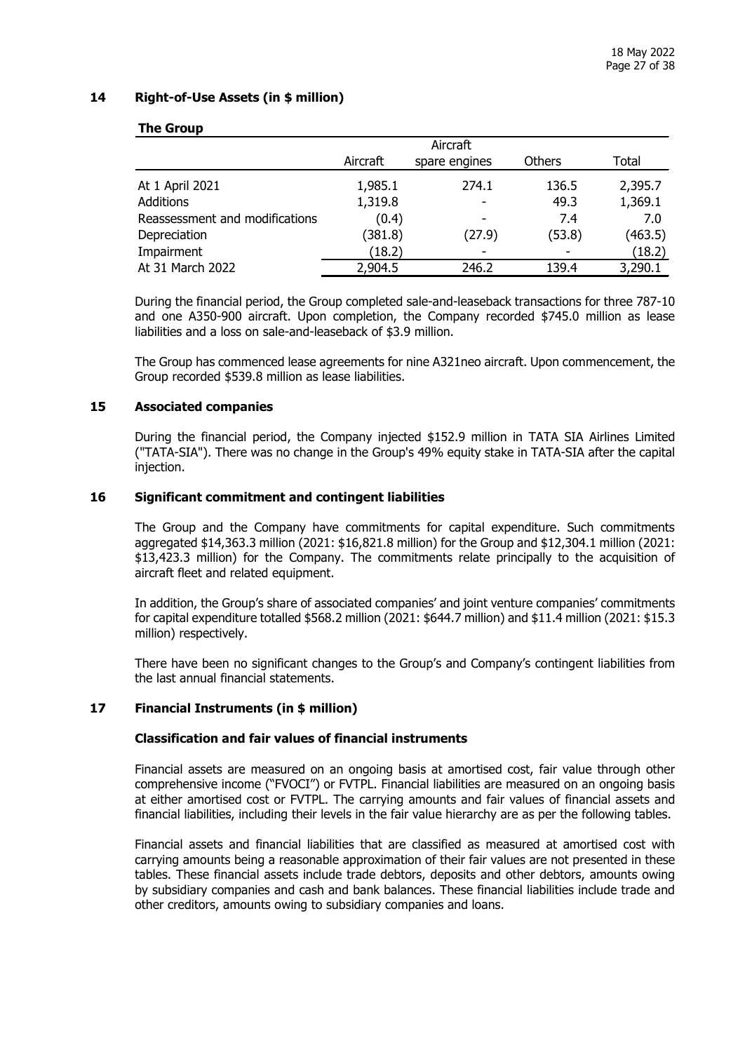## **14 Right-of-Use Assets (in \$ million)**

|                                | Aircraft |                          |        |         |  |  |
|--------------------------------|----------|--------------------------|--------|---------|--|--|
|                                | Aircraft | spare engines            | Others | Total   |  |  |
| At 1 April 2021                | 1,985.1  | 274.1                    | 136.5  | 2,395.7 |  |  |
| <b>Additions</b>               | 1,319.8  | $\blacksquare$           | 49.3   | 1,369.1 |  |  |
| Reassessment and modifications | (0.4)    |                          | 7.4    | 7.0     |  |  |
| Depreciation                   | (381.8)  | (27.9)                   | (53.8) | (463.5) |  |  |
| Impairment                     | (18.2)   | $\overline{\phantom{a}}$ |        | (18.2)  |  |  |
| At 31 March 2022               | 2,904.5  | 246.2                    | 139.4  | 3,290.1 |  |  |

#### **The Group**

During the financial period, the Group completed sale-and-leaseback transactions for three 787-10 and one A350-900 aircraft. Upon completion, the Company recorded \$745.0 million as lease liabilities and a loss on sale-and-leaseback of \$3.9 million.

The Group has commenced lease agreements for nine A321neo aircraft. Upon commencement, the Group recorded \$539.8 million as lease liabilities.

#### **15 Associated companies**

During the financial period, the Company injected \$152.9 million in TATA SIA Airlines Limited ("TATA-SIA"). There was no change in the Group's 49% equity stake in TATA-SIA after the capital injection.

#### **16 Significant commitment and contingent liabilities**

The Group and the Company have commitments for capital expenditure. Such commitments aggregated \$14,363.3 million (2021: \$16,821.8 million) for the Group and \$12,304.1 million (2021: \$13,423.3 million) for the Company. The commitments relate principally to the acquisition of aircraft fleet and related equipment.

In addition, the Group's share of associated companies' and joint venture companies' commitments for capital expenditure totalled \$568.2 million (2021: \$644.7 million) and \$11.4 million (2021: \$15.3 million) respectively.

There have been no significant changes to the Group's and Company's contingent liabilities from the last annual financial statements.

## **17 Financial Instruments (in \$ million)**

## **Classification and fair values of financial instruments**

Financial assets are measured on an ongoing basis at amortised cost, fair value through other comprehensive income ("FVOCI") or FVTPL. Financial liabilities are measured on an ongoing basis at either amortised cost or FVTPL. The carrying amounts and fair values of financial assets and financial liabilities, including their levels in the fair value hierarchy are as per the following tables.

Financial assets and financial liabilities that are classified as measured at amortised cost with carrying amounts being a reasonable approximation of their fair values are not presented in these tables. These financial assets include trade debtors, deposits and other debtors, amounts owing by subsidiary companies and cash and bank balances. These financial liabilities include trade and other creditors, amounts owing to subsidiary companies and loans.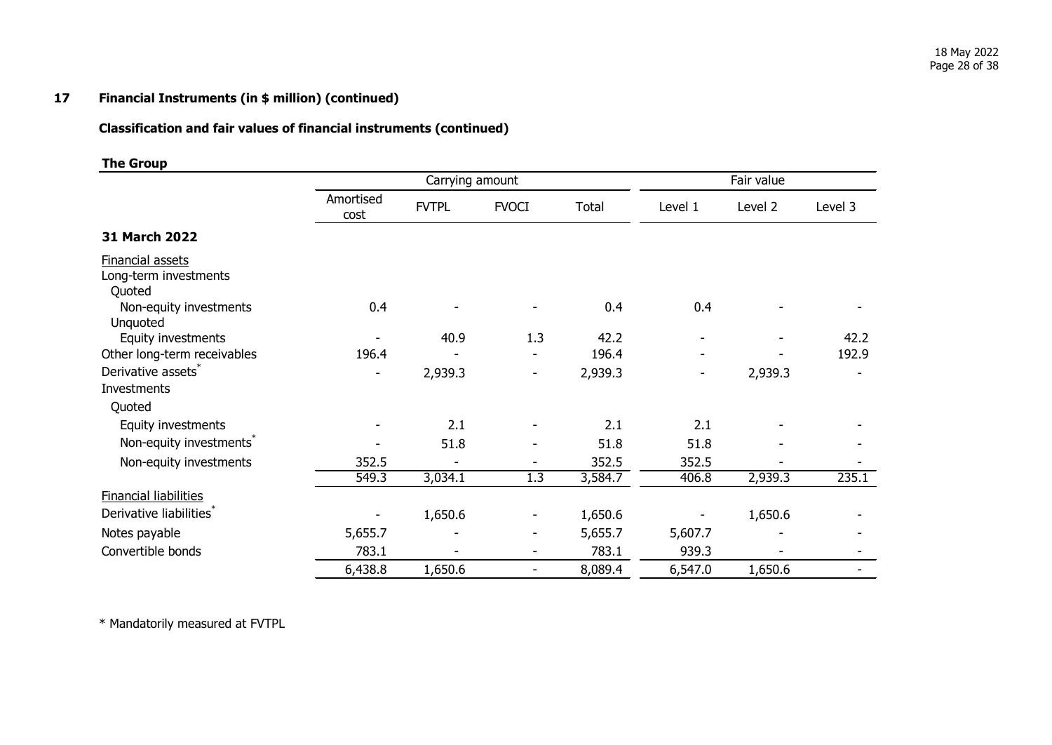# **17 Financial Instruments (in \$ million) (continued)**

# **Classification and fair values of financial instruments (continued)**

## **The Group**

|                                                     |                   | Carrying amount |                          |         |         | Fair value |         |
|-----------------------------------------------------|-------------------|-----------------|--------------------------|---------|---------|------------|---------|
|                                                     | Amortised<br>cost | <b>FVTPL</b>    | <b>FVOCI</b>             | Total   | Level 1 | Level 2    | Level 3 |
| 31 March 2022                                       |                   |                 |                          |         |         |            |         |
| Financial assets<br>Long-term investments<br>Quoted |                   |                 |                          |         |         |            |         |
| Non-equity investments<br>Unquoted                  | 0.4               |                 |                          | 0.4     | 0.4     |            |         |
| Equity investments                                  |                   | 40.9            | 1.3                      | 42.2    |         |            | 42.2    |
| Other long-term receivables                         | 196.4             |                 |                          | 196.4   |         |            | 192.9   |
| Derivative assets*<br>Investments                   |                   | 2,939.3         | ۰                        | 2,939.3 | ۰       | 2,939.3    |         |
| Quoted                                              |                   |                 |                          |         |         |            |         |
| Equity investments                                  |                   | 2.1             |                          | 2.1     | 2.1     |            |         |
| Non-equity investments <sup>®</sup>                 |                   | 51.8            |                          | 51.8    | 51.8    |            |         |
| Non-equity investments                              | 352.5             |                 |                          | 352.5   | 352.5   |            |         |
|                                                     | 549.3             | 3,034.1         | 1.3                      | 3,584.7 | 406.8   | 2,939.3    | 235.1   |
| <b>Financial liabilities</b>                        |                   |                 |                          |         |         |            |         |
| Derivative liabilities <sup>*</sup>                 |                   | 1,650.6         |                          | 1,650.6 |         | 1,650.6    |         |
| Notes payable                                       | 5,655.7           |                 | -                        | 5,655.7 | 5,607.7 |            |         |
| Convertible bonds                                   | 783.1             |                 | $\overline{\phantom{a}}$ | 783.1   | 939.3   |            |         |
|                                                     | 6,438.8           | 1,650.6         | ٠                        | 8,089.4 | 6,547.0 | 1,650.6    |         |

\* Mandatorily measured at FVTPL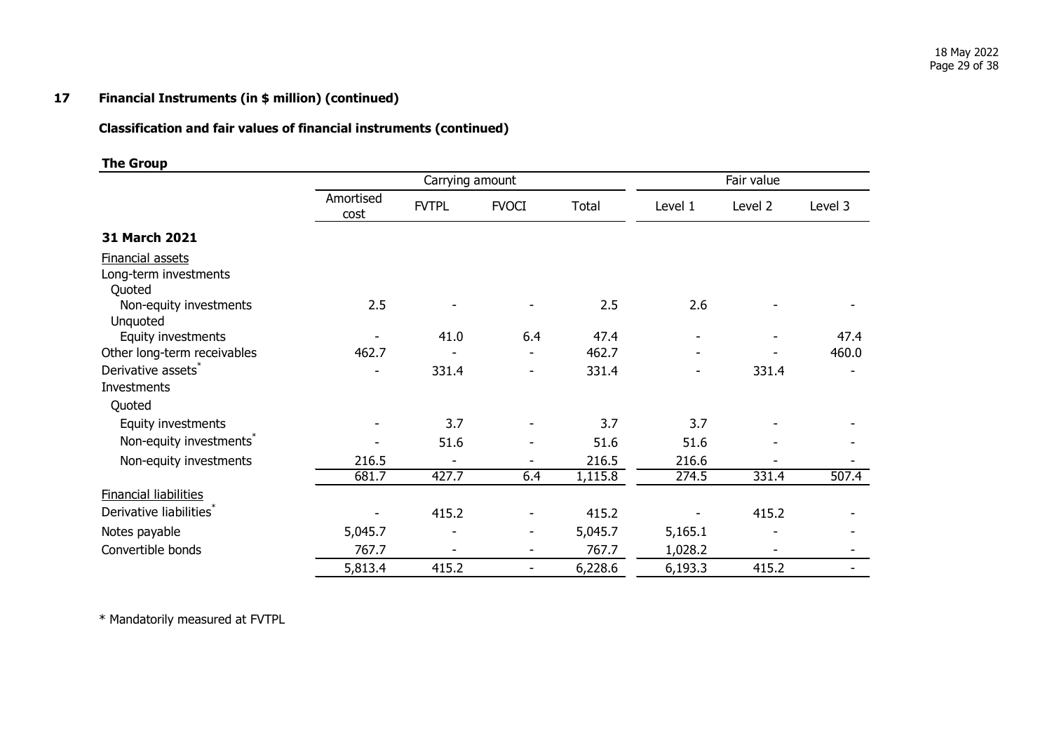# **17 Financial Instruments (in \$ million) (continued)**

# **Classification and fair values of financial instruments (continued)**

## **The Group**

|                                                            |                   | Carrying amount |                          |         |         | Fair value |         |
|------------------------------------------------------------|-------------------|-----------------|--------------------------|---------|---------|------------|---------|
|                                                            | Amortised<br>cost | <b>FVTPL</b>    | <b>FVOCI</b>             | Total   | Level 1 | Level 2    | Level 3 |
| 31 March 2021                                              |                   |                 |                          |         |         |            |         |
| <b>Financial assets</b><br>Long-term investments<br>Quoted |                   |                 |                          |         |         |            |         |
| Non-equity investments<br>Unquoted                         | 2.5               |                 |                          | 2.5     | 2.6     |            |         |
| Equity investments                                         |                   | 41.0            | 6.4                      | 47.4    |         |            | 47.4    |
| Other long-term receivables                                | 462.7             |                 |                          | 462.7   |         |            | 460.0   |
| Derivative assets*                                         |                   | 331.4           |                          | 331.4   |         | 331.4      |         |
| Investments                                                |                   |                 |                          |         |         |            |         |
| Quoted                                                     |                   |                 |                          |         |         |            |         |
| Equity investments                                         |                   | 3.7             |                          | 3.7     | 3.7     |            |         |
| Non-equity investments <sup>®</sup>                        |                   | 51.6            |                          | 51.6    | 51.6    |            |         |
| Non-equity investments                                     | 216.5             | $\blacksquare$  |                          | 216.5   | 216.6   |            |         |
|                                                            | 681.7             | 427.7           | 6.4                      | 1,115.8 | 274.5   | 331.4      | 507.4   |
| <b>Financial liabilities</b>                               |                   |                 |                          |         |         |            |         |
| Derivative liabilities <sup>*</sup>                        |                   | 415.2           |                          | 415.2   |         | 415.2      |         |
| Notes payable                                              | 5,045.7           | -               | -                        | 5,045.7 | 5,165.1 |            |         |
| Convertible bonds                                          | 767.7             | -               | $\overline{\phantom{a}}$ | 767.7   | 1,028.2 |            |         |
|                                                            | 5,813.4           | 415.2           | $\overline{\phantom{a}}$ | 6,228.6 | 6,193.3 | 415.2      |         |

\* Mandatorily measured at FVTPL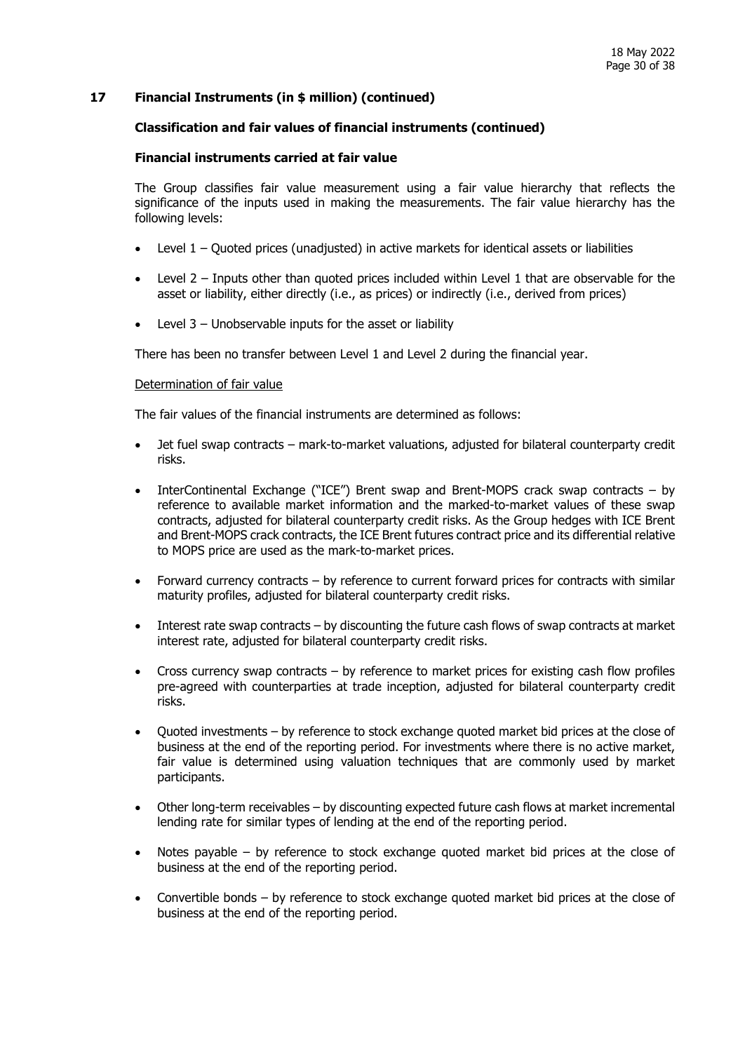## **17 Financial Instruments (in \$ million) (continued)**

#### **Classification and fair values of financial instruments (continued)**

#### **Financial instruments carried at fair value**

The Group classifies fair value measurement using a fair value hierarchy that reflects the significance of the inputs used in making the measurements. The fair value hierarchy has the following levels:

- Level 1 Quoted prices (unadjusted) in active markets for identical assets or liabilities
- Level 2 Inputs other than quoted prices included within Level 1 that are observable for the asset or liability, either directly (i.e., as prices) or indirectly (i.e., derived from prices)
- Level  $3$  Unobservable inputs for the asset or liability

There has been no transfer between Level 1 and Level 2 during the financial year.

#### Determination of fair value

The fair values of the financial instruments are determined as follows:

- Jet fuel swap contracts mark-to-market valuations, adjusted for bilateral counterparty credit risks.
- InterContinental Exchange ("ICE") Brent swap and Brent-MOPS crack swap contracts by reference to available market information and the marked-to-market values of these swap contracts, adjusted for bilateral counterparty credit risks. As the Group hedges with ICE Brent and Brent-MOPS crack contracts, the ICE Brent futures contract price and its differential relative to MOPS price are used as the mark-to-market prices.
- Forward currency contracts by reference to current forward prices for contracts with similar maturity profiles, adjusted for bilateral counterparty credit risks.
- Interest rate swap contracts by discounting the future cash flows of swap contracts at market interest rate, adjusted for bilateral counterparty credit risks.
- Cross currency swap contracts by reference to market prices for existing cash flow profiles pre-agreed with counterparties at trade inception, adjusted for bilateral counterparty credit risks.
- Quoted investments by reference to stock exchange quoted market bid prices at the close of business at the end of the reporting period. For investments where there is no active market, fair value is determined using valuation techniques that are commonly used by market participants.
- Other long-term receivables by discounting expected future cash flows at market incremental lending rate for similar types of lending at the end of the reporting period.
- Notes payable by reference to stock exchange quoted market bid prices at the close of business at the end of the reporting period.
- Convertible bonds by reference to stock exchange quoted market bid prices at the close of business at the end of the reporting period.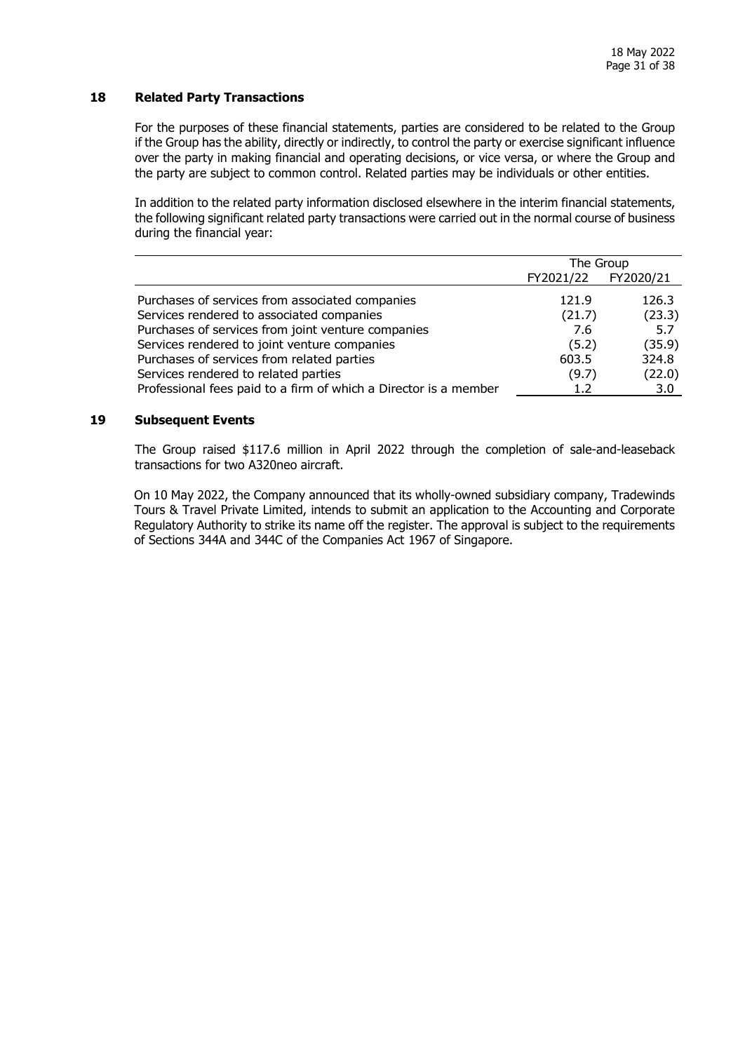## **18 Related Party Transactions**

For the purposes of these financial statements, parties are considered to be related to the Group if the Group has the ability, directly or indirectly, to control the party or exercise significant influence over the party in making financial and operating decisions, or vice versa, or where the Group and the party are subject to common control. Related parties may be individuals or other entities.

In addition to the related party information disclosed elsewhere in the interim financial statements, the following significant related party transactions were carried out in the normal course of business during the financial year:

|                                                                  | The Group |           |
|------------------------------------------------------------------|-----------|-----------|
|                                                                  | FY2021/22 | FY2020/21 |
| Purchases of services from associated companies                  | 121.9     | 126.3     |
| Services rendered to associated companies                        | (21.7)    | (23.3)    |
| Purchases of services from joint venture companies               | 7.6       | 5.7       |
| Services rendered to joint venture companies                     | (5.2)     | (35.9)    |
| Purchases of services from related parties                       | 603.5     | 324.8     |
| Services rendered to related parties                             | (9.7)     | (22.0)    |
| Professional fees paid to a firm of which a Director is a member | 1.2       | 3.0       |

## **19 Subsequent Events**

The Group raised \$117.6 million in April 2022 through the completion of sale-and-leaseback transactions for two A320neo aircraft.

On 10 May 2022, the Company announced that its wholly-owned subsidiary company, Tradewinds Tours & Travel Private Limited, intends to submit an application to the Accounting and Corporate Regulatory Authority to strike its name off the register. The approval is subject to the requirements of Sections 344A and 344C of the Companies Act 1967 of Singapore.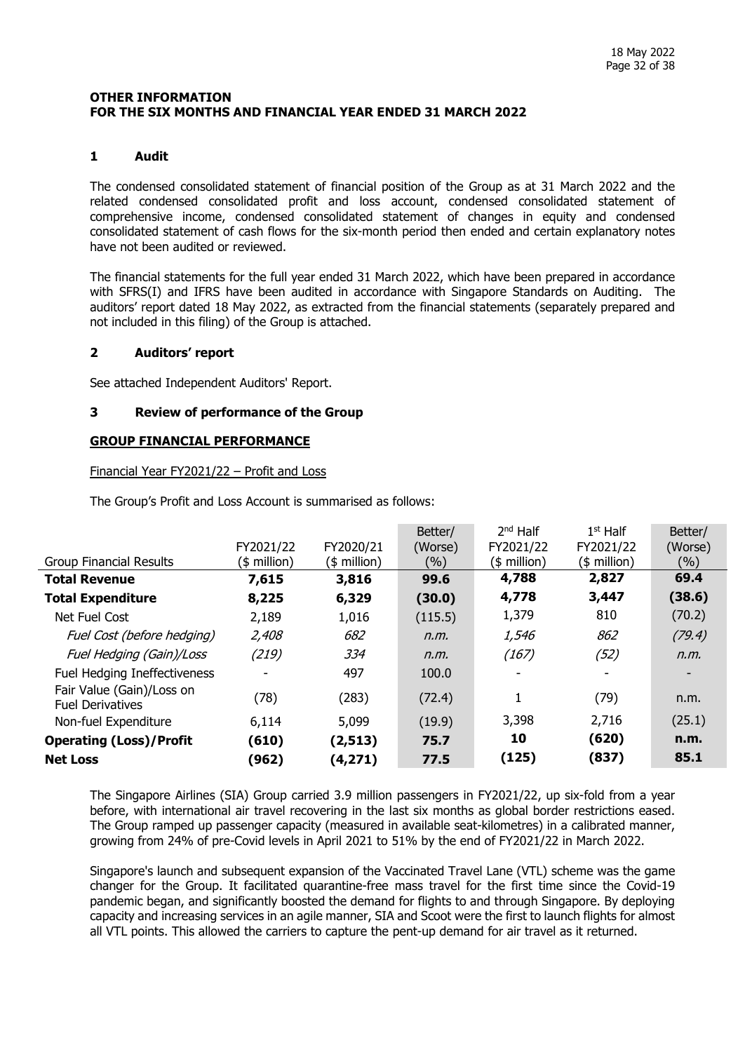#### <span id="page-31-0"></span>**OTHER INFORMATION FOR THE SIX MONTHS AND FINANCIAL YEAR ENDED 31 MARCH 2022**

## **1 Audit**

The condensed consolidated statement of financial position of the Group as at 31 March 2022 and the related condensed consolidated profit and loss account, condensed consolidated statement of comprehensive income, condensed consolidated statement of changes in equity and condensed consolidated statement of cash flows for the six-month period then ended and certain explanatory notes have not been audited or reviewed.

The financial statements for the full year ended 31 March 2022, which have been prepared in accordance with SFRS(I) and IFRS have been audited in accordance with Singapore Standards on Auditing. The auditors' report dated 18 May 2022, as extracted from the financial statements (separately prepared and not included in this filing) of the Group is attached.

#### **2 Auditors' report**

See attached Independent Auditors' Report.

## **3 Review of performance of the Group**

## **GROUP FINANCIAL PERFORMANCE**

#### Financial Year FY2021/22 – Profit and Loss

The Group's Profit and Loss Account is summarised as follows:

|                                                      |                          |               | Better/ | $2nd$ Half    | $1st$ Half    | Better/ |
|------------------------------------------------------|--------------------------|---------------|---------|---------------|---------------|---------|
|                                                      | FY2021/22                | FY2020/21     | (Worse) | FY2021/22     | FY2021/22     | (Worse) |
| <b>Group Financial Results</b>                       | (\$ million)             | $($$ million) | (%)     | $($$ million) | $($$ million) | (%)     |
| <b>Total Revenue</b>                                 | 7,615                    | 3,816         | 99.6    | 4,788         | 2,827         | 69.4    |
| <b>Total Expenditure</b>                             | 8,225                    | 6,329         | (30.0)  | 4,778         | 3,447         | (38.6)  |
| Net Fuel Cost                                        | 2,189                    | 1,016         | (115.5) | 1,379         | 810           | (70.2)  |
| Fuel Cost (before hedging)                           | 2,408                    | 682           | n.m.    | 1,546         | 862           | (79.4)  |
| Fuel Hedging (Gain)/Loss                             | (219)                    | 334           | n.m.    | (167)         | (52)          | n.m.    |
| Fuel Hedging Ineffectiveness                         | $\overline{\phantom{a}}$ | 497           | 100.0   | -             |               |         |
| Fair Value (Gain)/Loss on<br><b>Fuel Derivatives</b> | (78)                     | (283)         | (72.4)  |               | (79)          | n.m.    |
| Non-fuel Expenditure                                 | 6,114                    | 5,099         | (19.9)  | 3,398         | 2,716         | (25.1)  |
| <b>Operating (Loss)/Profit</b>                       | (610)                    | (2,513)       | 75.7    | 10            | (620)         | n.m.    |
| <b>Net Loss</b>                                      | (962)                    | (4, 271)      | 77.5    | (125)         | (837)         | 85.1    |

The Singapore Airlines (SIA) Group carried 3.9 million passengers in FY2021/22, up six-fold from a year before, with international air travel recovering in the last six months as global border restrictions eased. The Group ramped up passenger capacity (measured in available seat-kilometres) in a calibrated manner, growing from 24% of pre-Covid levels in April 2021 to 51% by the end of FY2021/22 in March 2022.

Singapore's launch and subsequent expansion of the Vaccinated Travel Lane (VTL) scheme was the game changer for the Group. It facilitated quarantine-free mass travel for the first time since the Covid-19 pandemic began, and significantly boosted the demand for flights to and through Singapore. By deploying capacity and increasing services in an agile manner, SIA and Scoot were the first to launch flights for almost all VTL points. This allowed the carriers to capture the pent-up demand for air travel as it returned.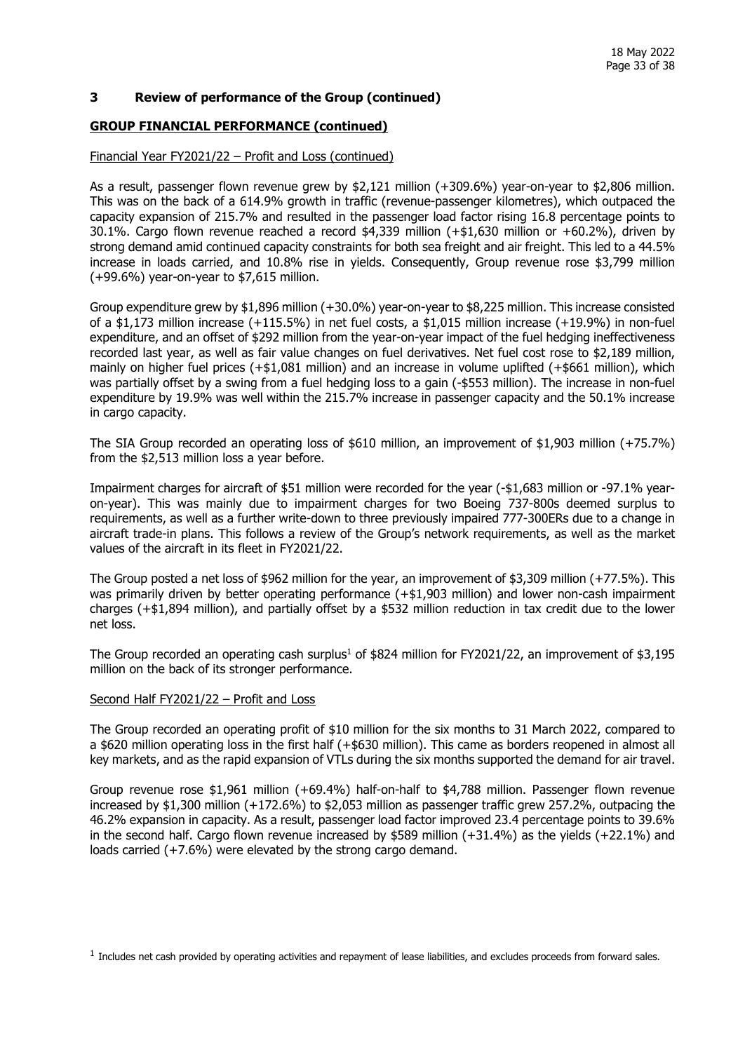#### **3 Review of performance of the Group (continued)**

#### **GROUP FINANCIAL PERFORMANCE (continued)**

#### Financial Year FY2021/22 – Profit and Loss (continued)

As a result, passenger flown revenue grew by \$2,121 million (+309.6%) year-on-year to \$2,806 million. This was on the back of a 614.9% growth in traffic (revenue-passenger kilometres), which outpaced the capacity expansion of 215.7% and resulted in the passenger load factor rising 16.8 percentage points to 30.1%. Cargo flown revenue reached a record \$4,339 million (+\$1,630 million or +60.2%), driven by strong demand amid continued capacity constraints for both sea freight and air freight. This led to a 44.5% increase in loads carried, and 10.8% rise in yields. Consequently, Group revenue rose \$3,799 million (+99.6%) year-on-year to \$7,615 million.

Group expenditure grew by \$1,896 million (+30.0%) year-on-year to \$8,225 million. This increase consisted of a \$1,173 million increase (+115.5%) in net fuel costs, a \$1,015 million increase (+19.9%) in non-fuel expenditure, and an offset of \$292 million from the year-on-year impact of the fuel hedging ineffectiveness recorded last year, as well as fair value changes on fuel derivatives. Net fuel cost rose to \$2,189 million, mainly on higher fuel prices (+\$1,081 million) and an increase in volume uplifted (+\$661 million), which was partially offset by a swing from a fuel hedging loss to a gain (-\$553 million). The increase in non-fuel expenditure by 19.9% was well within the 215.7% increase in passenger capacity and the 50.1% increase in cargo capacity.

The SIA Group recorded an operating loss of \$610 million, an improvement of \$1,903 million (+75.7%) from the \$2,513 million loss a year before.

Impairment charges for aircraft of \$51 million were recorded for the year (-\$1,683 million or -97.1% yearon-year). This was mainly due to impairment charges for two Boeing 737-800s deemed surplus to requirements, as well as a further write-down to three previously impaired 777-300ERs due to a change in aircraft trade-in plans. This follows a review of the Group's network requirements, as well as the market values of the aircraft in its fleet in FY2021/22.

The Group posted a net loss of \$962 million for the year, an improvement of \$3,309 million (+77.5%). This was primarily driven by better operating performance (+\$1,903 million) and lower non-cash impairment charges (+\$1,894 million), and partially offset by a \$532 million reduction in tax credit due to the lower net loss.

The Group recorded an operating cash surplus<sup>1</sup> of \$824 million for FY2021/22, an improvement of \$3,195 million on the back of its stronger performance.

#### Second Half FY2021/22 - Profit and Loss

The Group recorded an operating profit of \$10 million for the six months to 31 March 2022, compared to a \$620 million operating loss in the first half (+\$630 million). This came as borders reopened in almost all key markets, and as the rapid expansion of VTLs during the six months supported the demand for air travel.

Group revenue rose \$1,961 million (+69.4%) half-on-half to \$4,788 million. Passenger flown revenue increased by \$1,300 million (+172.6%) to \$2,053 million as passenger traffic grew 257.2%, outpacing the 46.2% expansion in capacity. As a result, passenger load factor improved 23.4 percentage points to 39.6% in the second half. Cargo flown revenue increased by \$589 million (+31.4%) as the yields (+22.1%) and loads carried (+7.6%) were elevated by the strong cargo demand.

 $<sup>1</sup>$  Includes net cash provided by operating activities and repayment of lease liabilities, and excludes proceeds from forward sales.</sup>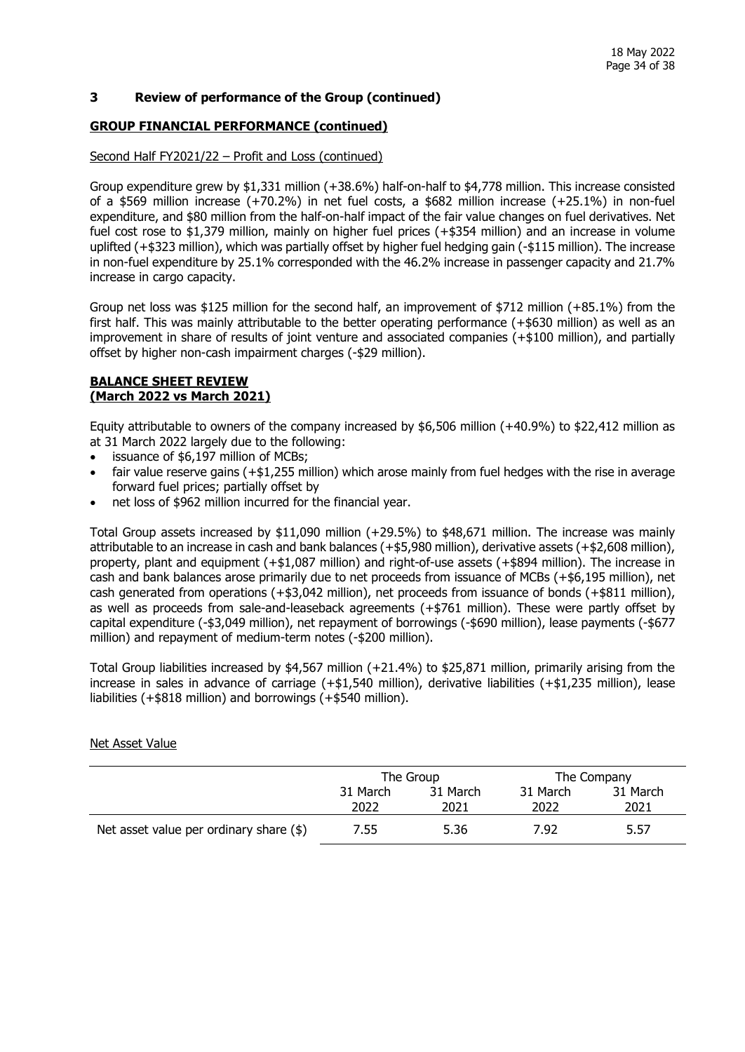#### **3 Review of performance of the Group (continued)**

#### **GROUP FINANCIAL PERFORMANCE (continued)**

#### Second Half FY2021/22 - Profit and Loss (continued)

Group expenditure grew by \$1,331 million (+38.6%) half-on-half to \$4,778 million. This increase consisted of a \$569 million increase (+70.2%) in net fuel costs, a \$682 million increase (+25.1%) in non-fuel expenditure, and \$80 million from the half-on-half impact of the fair value changes on fuel derivatives. Net fuel cost rose to \$1,379 million, mainly on higher fuel prices (+\$354 million) and an increase in volume uplifted (+\$323 million), which was partially offset by higher fuel hedging gain (-\$115 million). The increase in non-fuel expenditure by 25.1% corresponded with the 46.2% increase in passenger capacity and 21.7% increase in cargo capacity.

Group net loss was \$125 million for the second half, an improvement of \$712 million (+85.1%) from the first half. This was mainly attributable to the better operating performance (+\$630 million) as well as an improvement in share of results of joint venture and associated companies (+\$100 million), and partially offset by higher non-cash impairment charges (-\$29 million).

#### **BALANCE SHEET REVIEW (March 2022 vs March 2021)**

Equity attributable to owners of the company increased by \$6,506 million (+40.9%) to \$22,412 million as at 31 March 2022 largely due to the following:

- issuance of \$6,197 million of MCBs;
- fair value reserve gains (+\$1,255 million) which arose mainly from fuel hedges with the rise in average forward fuel prices; partially offset by
- net loss of \$962 million incurred for the financial year.

Total Group assets increased by \$11,090 million (+29.5%) to \$48,671 million. The increase was mainly attributable to an increase in cash and bank balances (+\$5,980 million), derivative assets (+\$2,608 million), property, plant and equipment (+\$1,087 million) and right-of-use assets (+\$894 million). The increase in cash and bank balances arose primarily due to net proceeds from issuance of MCBs (+\$6,195 million), net cash generated from operations (+\$3,042 million), net proceeds from issuance of bonds (+\$811 million), as well as proceeds from sale-and-leaseback agreements (+\$761 million). These were partly offset by capital expenditure (-\$3,049 million), net repayment of borrowings (-\$690 million), lease payments (-\$677 million) and repayment of medium-term notes (-\$200 million).

Total Group liabilities increased by \$4,567 million (+21.4%) to \$25,871 million, primarily arising from the increase in sales in advance of carriage (+\$1,540 million), derivative liabilities (+\$1,235 million), lease liabilities (+\$818 million) and borrowings (+\$540 million).

|                                         |                  | The Group        |                  | The Company      |
|-----------------------------------------|------------------|------------------|------------------|------------------|
|                                         | 31 March<br>2022 | 31 March<br>2021 | 31 March<br>2022 | 31 March<br>2021 |
| Net asset value per ordinary share (\$) | 7.55             | 5.36             | 7.92             | 5.57             |

#### Net Asset Value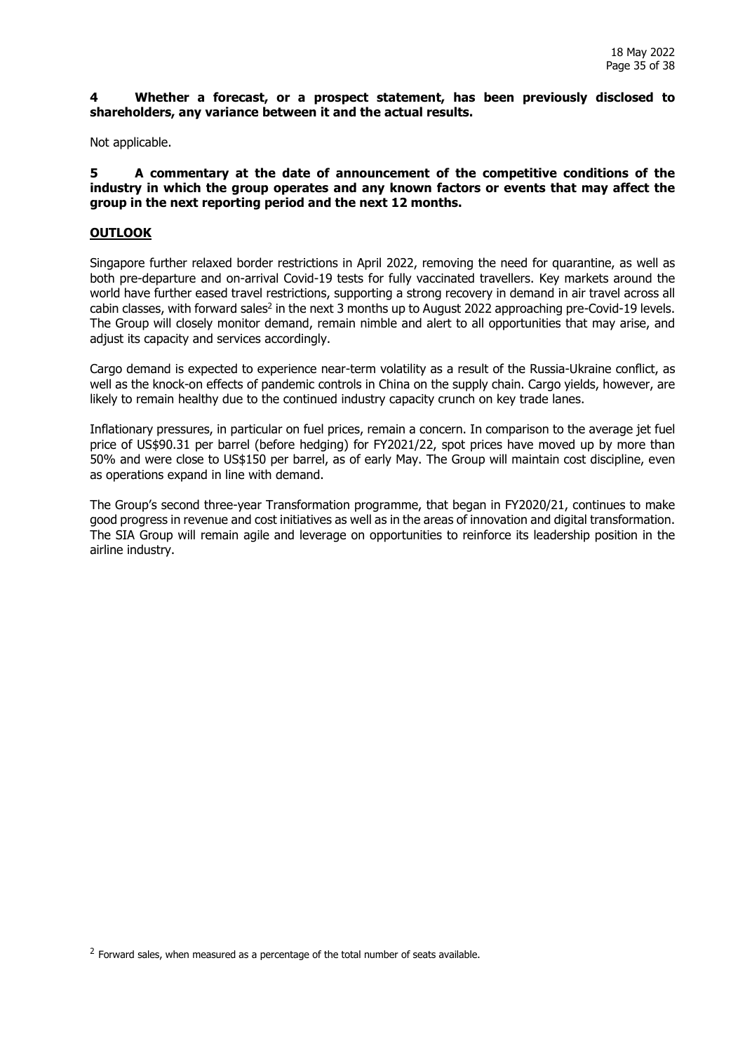#### **4 Whether a forecast, or a prospect statement, has been previously disclosed to shareholders, any variance between it and the actual results.**

Not applicable.

**5 A commentary at the date of announcement of the competitive conditions of the industry in which the group operates and any known factors or events that may affect the group in the next reporting period and the next 12 months.** 

## **OUTLOOK**

Singapore further relaxed border restrictions in April 2022, removing the need for quarantine, as well as both pre-departure and on-arrival Covid-19 tests for fully vaccinated travellers. Key markets around the world have further eased travel restrictions, supporting a strong recovery in demand in air travel across all cabin classes, with forward sales<sup>2</sup> in the next 3 months up to August 2022 approaching pre-Covid-19 levels. The Group will closely monitor demand, remain nimble and alert to all opportunities that may arise, and adjust its capacity and services accordingly.

Cargo demand is expected to experience near-term volatility as a result of the Russia-Ukraine conflict, as well as the knock-on effects of pandemic controls in China on the supply chain. Cargo yields, however, are likely to remain healthy due to the continued industry capacity crunch on key trade lanes.

Inflationary pressures, in particular on fuel prices, remain a concern. In comparison to the average jet fuel price of US\$90.31 per barrel (before hedging) for FY2021/22, spot prices have moved up by more than 50% and were close to US\$150 per barrel, as of early May. The Group will maintain cost discipline, even as operations expand in line with demand.

The Group's second three-year Transformation programme, that began in FY2020/21, continues to make good progress in revenue and cost initiatives as well as in the areas of innovation and digital transformation. The SIA Group will remain agile and leverage on opportunities to reinforce its leadership position in the airline industry.

<sup>2</sup> Forward sales, when measured as a percentage of the total number of seats available.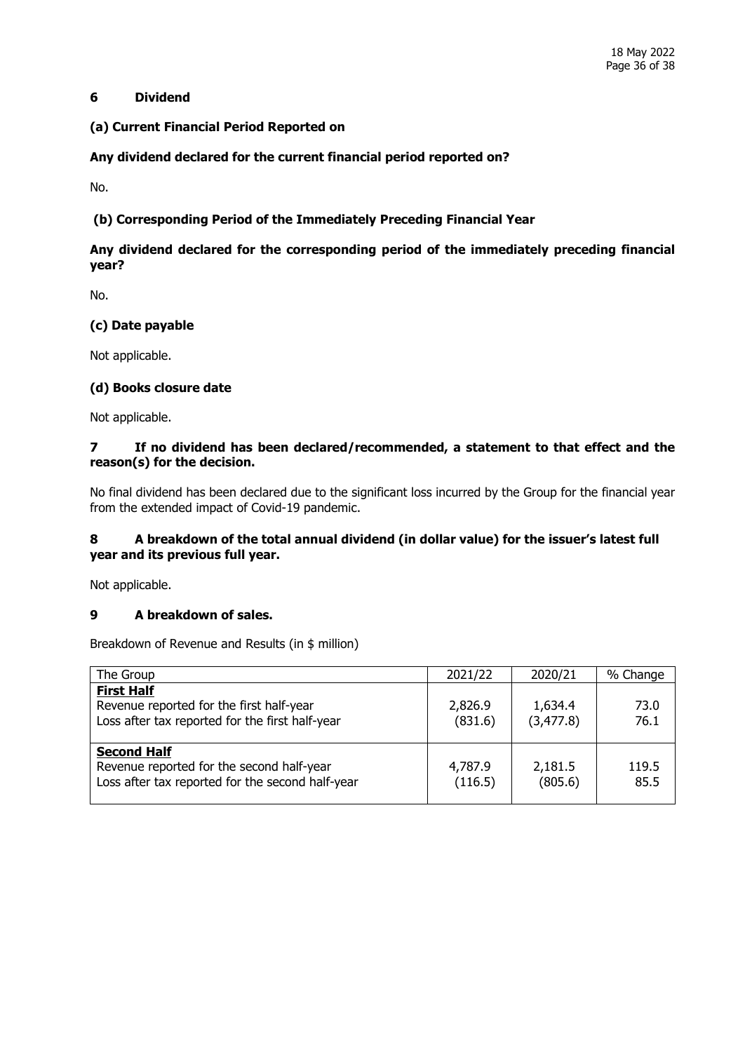## **6 Dividend**

## **(a) Current Financial Period Reported on**

## **Any dividend declared for the current financial period reported on?**

No.

## **(b) Corresponding Period of the Immediately Preceding Financial Year**

# **Any dividend declared for the corresponding period of the immediately preceding financial year?**

No.

## **(c) Date payable**

Not applicable.

## **(d) Books closure date**

Not applicable.

## **7 If no dividend has been declared/recommended, a statement to that effect and the reason(s) for the decision.**

No final dividend has been declared due to the significant loss incurred by the Group for the financial year from the extended impact of Covid-19 pandemic.

## **8 A breakdown of the total annual dividend (in dollar value) for the issuer's latest full year and its previous full year.**

Not applicable.

## **9 A breakdown of sales.**

Breakdown of Revenue and Results (in \$ million)

| The Group                                                                                                           | 2021/22            | 2020/21               | % Change      |
|---------------------------------------------------------------------------------------------------------------------|--------------------|-----------------------|---------------|
| <b>First Half</b><br>Revenue reported for the first half-year<br>Loss after tax reported for the first half-year    | 2,826.9<br>(831.6) | 1,634.4<br>(3, 477.8) | 73.0<br>76.1  |
| <b>Second Half</b><br>Revenue reported for the second half-year<br>Loss after tax reported for the second half-year | 4,787.9<br>(116.5) | 2,181.5<br>(805.6)    | 119.5<br>85.5 |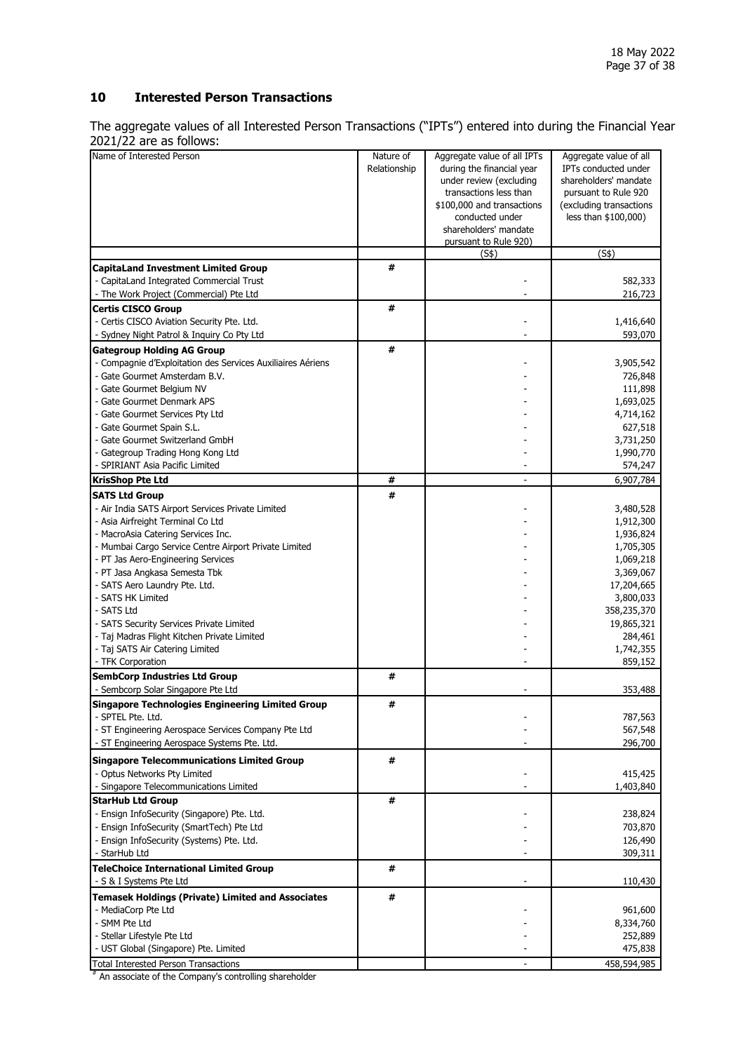## **10 Interested Person Transactions**

The aggregate values of all Interested Person Transactions ("IPTs") entered into during the Financial Year 2021/22 are as follows:

| $2021/22$ and as iditoris.                                  |              |                             |                             |
|-------------------------------------------------------------|--------------|-----------------------------|-----------------------------|
| Name of Interested Person                                   | Nature of    | Aggregate value of all IPTs | Aggregate value of all      |
|                                                             | Relationship | during the financial year   | <b>IPTs conducted under</b> |
|                                                             |              |                             |                             |
|                                                             |              | under review (excluding     | shareholders' mandate       |
|                                                             |              | transactions less than      | pursuant to Rule 920        |
|                                                             |              | \$100,000 and transactions  | (excluding transactions     |
|                                                             |              |                             |                             |
|                                                             |              | conducted under             | less than \$100,000)        |
|                                                             |              | shareholders' mandate       |                             |
|                                                             |              | pursuant to Rule 920)       |                             |
|                                                             |              | (S\$)                       | $\overline{(S\$)}$          |
|                                                             | #            |                             |                             |
| <b>CapitaLand Investment Limited Group</b>                  |              |                             |                             |
| - CapitaLand Integrated Commercial Trust                    |              |                             | 582,333                     |
| - The Work Project (Commercial) Pte Ltd                     |              |                             | 216,723                     |
| <b>Certis CISCO Group</b>                                   | #            |                             |                             |
| - Certis CISCO Aviation Security Pte. Ltd.                  |              |                             | 1,416,640                   |
|                                                             |              |                             |                             |
| - Sydney Night Patrol & Inquiry Co Pty Ltd                  |              |                             | 593,070                     |
| <b>Gategroup Holding AG Group</b>                           | #            |                             |                             |
| - Compagnie d'Exploitation des Services Auxiliaires Aériens |              |                             | 3,905,542                   |
|                                                             |              |                             |                             |
| - Gate Gourmet Amsterdam B.V.                               |              |                             | 726,848                     |
| - Gate Gourmet Belgium NV                                   |              |                             | 111,898                     |
| - Gate Gourmet Denmark APS                                  |              |                             | 1,693,025                   |
| - Gate Gourmet Services Pty Ltd                             |              |                             | 4,714,162                   |
|                                                             |              |                             |                             |
| - Gate Gourmet Spain S.L.                                   |              |                             | 627,518                     |
| - Gate Gourmet Switzerland GmbH                             |              |                             | 3,731,250                   |
| - Gategroup Trading Hong Kong Ltd                           |              |                             | 1,990,770                   |
| - SPIRIANT Asia Pacific Limited                             |              |                             | 574,247                     |
|                                                             |              |                             |                             |
| <b>KrisShop Pte Ltd</b>                                     | #            |                             | 6,907,784                   |
| <b>SATS Ltd Group</b>                                       | #            |                             |                             |
| - Air India SATS Airport Services Private Limited           |              |                             | 3,480,528                   |
| - Asia Airfreight Terminal Co Ltd                           |              |                             | 1,912,300                   |
|                                                             |              |                             |                             |
| - MacroAsia Catering Services Inc.                          |              |                             | 1,936,824                   |
| - Mumbai Cargo Service Centre Airport Private Limited       |              |                             | 1,705,305                   |
| - PT Jas Aero-Engineering Services                          |              |                             | 1,069,218                   |
|                                                             |              |                             |                             |
| - PT Jasa Angkasa Semesta Tbk                               |              |                             | 3,369,067                   |
| - SATS Aero Laundry Pte. Ltd.                               |              |                             | 17,204,665                  |
| - SATS HK Limited                                           |              |                             | 3,800,033                   |
| - SATS Ltd                                                  |              |                             | 358,235,370                 |
|                                                             |              |                             |                             |
| - SATS Security Services Private Limited                    |              |                             | 19,865,321                  |
| - Taj Madras Flight Kitchen Private Limited                 |              |                             | 284,461                     |
| - Taj SATS Air Catering Limited                             |              |                             | 1,742,355                   |
| - TFK Corporation                                           |              |                             | 859,152                     |
|                                                             |              |                             |                             |
| <b>SembCorp Industries Ltd Group</b>                        | #            |                             |                             |
| - Sembcorp Solar Singapore Pte Ltd                          |              |                             | 353,488                     |
| <b>Singapore Technologies Engineering Limited Group</b>     | #            |                             |                             |
| - SPTEL Pte. Ltd.                                           |              |                             | 787,563                     |
|                                                             |              |                             |                             |
| - ST Engineering Aerospace Services Company Pte Ltd         |              |                             | 567,548                     |
| - ST Engineering Aerospace Systems Pte. Ltd.                |              |                             | 296,700                     |
| <b>Singapore Telecommunications Limited Group</b>           | #            |                             |                             |
| - Optus Networks Pty Limited                                |              |                             |                             |
|                                                             |              |                             | 415,425                     |
| - Singapore Telecommunications Limited                      |              |                             | 1,403,840                   |
| <b>StarHub Ltd Group</b>                                    | #            |                             |                             |
| - Ensign InfoSecurity (Singapore) Pte. Ltd.                 |              |                             | 238,824                     |
| - Ensign InfoSecurity (SmartTech) Pte Ltd                   |              |                             | 703,870                     |
|                                                             |              |                             |                             |
| - Ensign InfoSecurity (Systems) Pte. Ltd.                   |              |                             | 126,490                     |
| - StarHub Ltd                                               |              |                             | 309,311                     |
| <b>TeleChoice International Limited Group</b>               | #            |                             |                             |
| - S & I Systems Pte Ltd                                     |              |                             | 110,430                     |
|                                                             |              |                             |                             |
| <b>Temasek Holdings (Private) Limited and Associates</b>    | #            |                             |                             |
| - MediaCorp Pte Ltd                                         |              |                             | 961,600                     |
| - SMM Pte Ltd                                               |              |                             | 8,334,760                   |
|                                                             |              |                             |                             |
| - Stellar Lifestyle Pte Ltd                                 |              |                             | 252,889                     |
| - UST Global (Singapore) Pte. Limited                       |              |                             | 475,838                     |
| <b>Total Interested Person Transactions</b>                 |              |                             | 458,594,985                 |

# An associate of the Company's controlling shareholder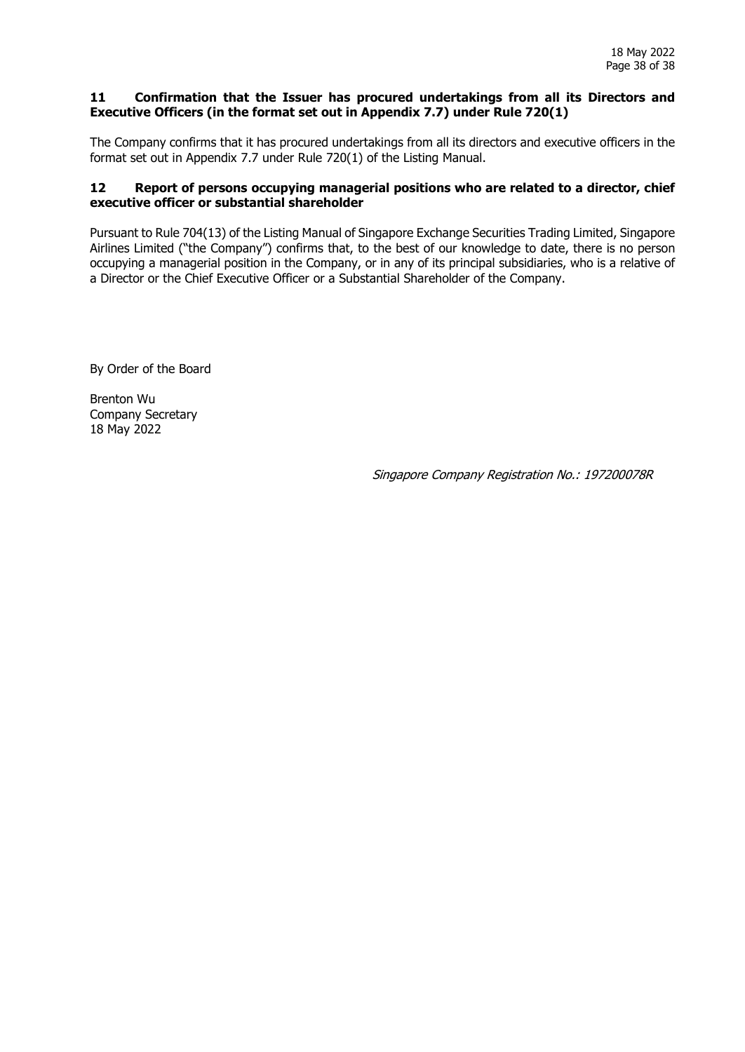#### **11 Confirmation that the Issuer has procured undertakings from all its Directors and Executive Officers (in the format set out in Appendix 7.7) under Rule 720(1)**

The Company confirms that it has procured undertakings from all its directors and executive officers in the format set out in Appendix 7.7 under Rule 720(1) of the Listing Manual.

## **12 Report of persons occupying managerial positions who are related to a director, chief executive officer or substantial shareholder**

Pursuant to Rule 704(13) of the Listing Manual of Singapore Exchange Securities Trading Limited, Singapore Airlines Limited ("the Company") confirms that, to the best of our knowledge to date, there is no person occupying a managerial position in the Company, or in any of its principal subsidiaries, who is a relative of a Director or the Chief Executive Officer or a Substantial Shareholder of the Company.

By Order of the Board

Brenton Wu Company Secretary 18 May 2022

Singapore Company Registration No.: 197200078R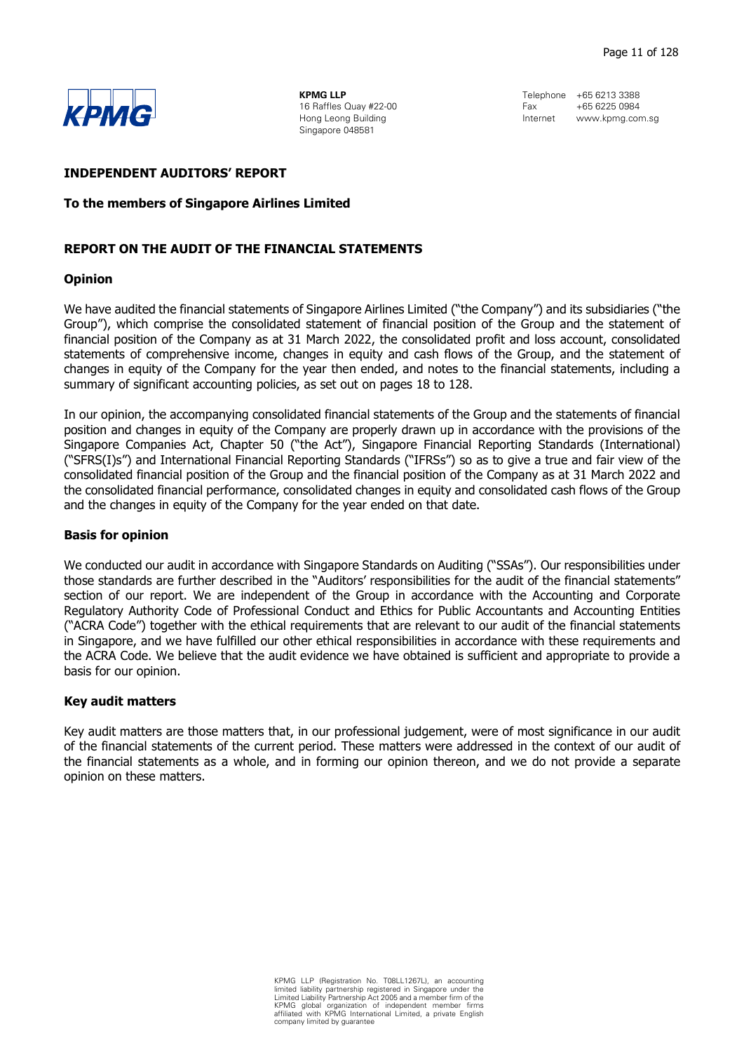

KPMG LLP 16 Raffles Quay #22-00 Hong Leong Building Singapore 048581

Telephone +65 6213 3388  $F_{\text{AV}}$   $+65,6225,0984$ Internet www.kpmg.com.sg

#### **INDEPENDENT AUDITORS' REPORT**

#### To the members of Singapore Airlines Limited

## REPORT ON THE AUDIT OF THE FINANCIAL STATEMENTS

#### Opinion

We have audited the financial statements of Singapore Airlines Limited ("the Company") and its subsidiaries ("the Group"), which comprise the consolidated statement of financial position of the Group and the statement of financial position of the Company as at 31 March 2022, the consolidated profit and loss account, consolidated statements of comprehensive income, changes in equity and cash flows of the Group, and the statement of changes in equity of the Company for the year then ended, and notes to the financial statements, including a summary of significant accounting policies, as set out on pages 18 to 128.

In our opinion, the accompanying consolidated financial statements of the Group and the statements of financial position and changes in equity of the Company are properly drawn up in accordance with the provisions of the Singapore Companies Act, Chapter 50 ("the Act"), Singapore Financial Reporting Standards (International) ("SFRS(I)s") and International Financial Reporting Standards ("IFRSs") so as to give a true and fair view of the consolidated financial position of the Group and the financial position of the Company as at 31 March 2022 and the consolidated financial performance, consolidated changes in equity and consolidated cash flows of the Group and the changes in equity of the Company for the year ended on that date.

## Basis for opinion

We conducted our audit in accordance with Singapore Standards on Auditing ("SSAs"). Our responsibilities under those standards are further described in the "Auditors' responsibilities for the audit of the financial statements" section of our report. We are independent of the Group in accordance with the Accounting and Corporate Regulatory Authority Code of Professional Conduct and Ethics for Public Accountants and Accounting Entities ("ACRA Code") together with the ethical requirements that are relevant to our audit of the financial statements in Singapore, and we have fulfilled our other ethical responsibilities in accordance with these requirements and the ACRA Code. We believe that the audit evidence we have obtained is sufficient and appropriate to provide a basis for our opinion.

## Key audit matters

Key audit matters are those matters that, in our professional judgement, were of most significance in our audit of the financial statements of the current period. These matters were addressed in the context of our audit of the financial statements as a whole, and in forming our opinion thereon, and we do not provide a separate opinion on these matters.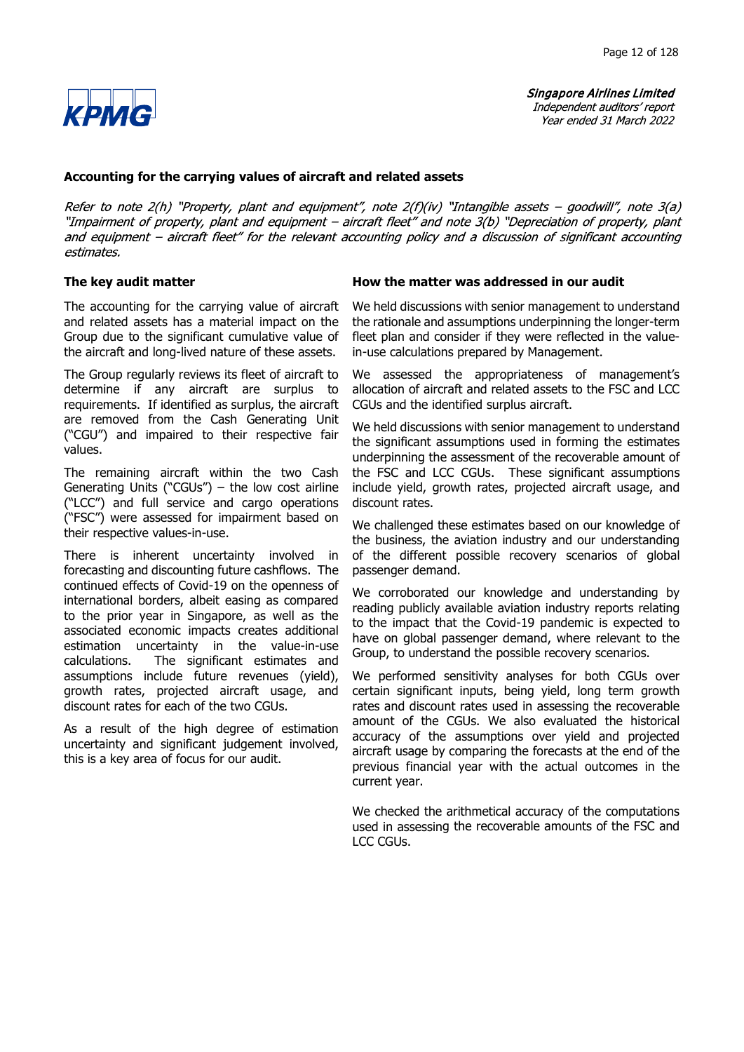

## Accounting for the carrying values of aircraft and related assets

Refer to note  $2(h)$  "Property, plant and equipment", note  $2(f)(iv)$  "Intangible assets - goodwill", note  $3(a)$ "Impairment of property, plant and equipment - aircraft fleet" and note 3(b) "Depreciation of property, plant and equipment - aircraft fleet" for the relevant accounting policy and a discussion of significant accounting estimates.

The accounting for the carrying value of aircraft and related assets has a material impact on the Group due to the significant cumulative value of the aircraft and long-lived nature of these assets.

The Group regularly reviews its fleet of aircraft to determine if any aircraft are surplus to requirements. If identified as surplus, the aircraft are removed from the Cash Generating Unit ("CGU") and impaired to their respective fair values.

The remaining aircraft within the two Cash Generating Units ("CGUs")  $-$  the low cost airline (LCC) and full service and cargo operations ("FSC") were assessed for impairment based on their respective values-in-use.

There is inherent uncertainty involved in forecasting and discounting future cashflows. The continued effects of Covid-19 on the openness of international borders, albeit easing as compared to the prior year in Singapore, as well as the associated economic impacts creates additional estimation uncertainty in the value-in-use calculations. The significant estimates and assumptions include future revenues (yield), growth rates, projected aircraft usage, and discount rates for each of the two CGUs.

As a result of the high degree of estimation uncertainty and significant judgement involved, this is a key area of focus for our audit.

## The key audit matter **How the matter was addressed in our audit** How the matter was addressed in our audit

We held discussions with senior management to understand the rationale and assumptions underpinning the longer-term fleet plan and consider if they were reflected in the valuein-use calculations prepared by Management.

We assessed the appropriateness of management's allocation of aircraft and related assets to the FSC and LCC CGUs and the identified surplus aircraft.

We held discussions with senior management to understand the significant assumptions used in forming the estimates underpinning the assessment of the recoverable amount of the FSC and LCC CGUs. These significant assumptions include yield, growth rates, projected aircraft usage, and discount rates.

We challenged these estimates based on our knowledge of the business, the aviation industry and our understanding of the different possible recovery scenarios of global passenger demand.

We corroborated our knowledge and understanding by reading publicly available aviation industry reports relating to the impact that the Covid-19 pandemic is expected to have on global passenger demand, where relevant to the Group, to understand the possible recovery scenarios.

We performed sensitivity analyses for both CGUs over certain significant inputs, being yield, long term growth rates and discount rates used in assessing the recoverable amount of the CGUs. We also evaluated the historical accuracy of the assumptions over yield and projected aircraft usage by comparing the forecasts at the end of the previous financial year with the actual outcomes in the current year.

We checked the arithmetical accuracy of the computations used in assessing the recoverable amounts of the FSC and LCC CGUs.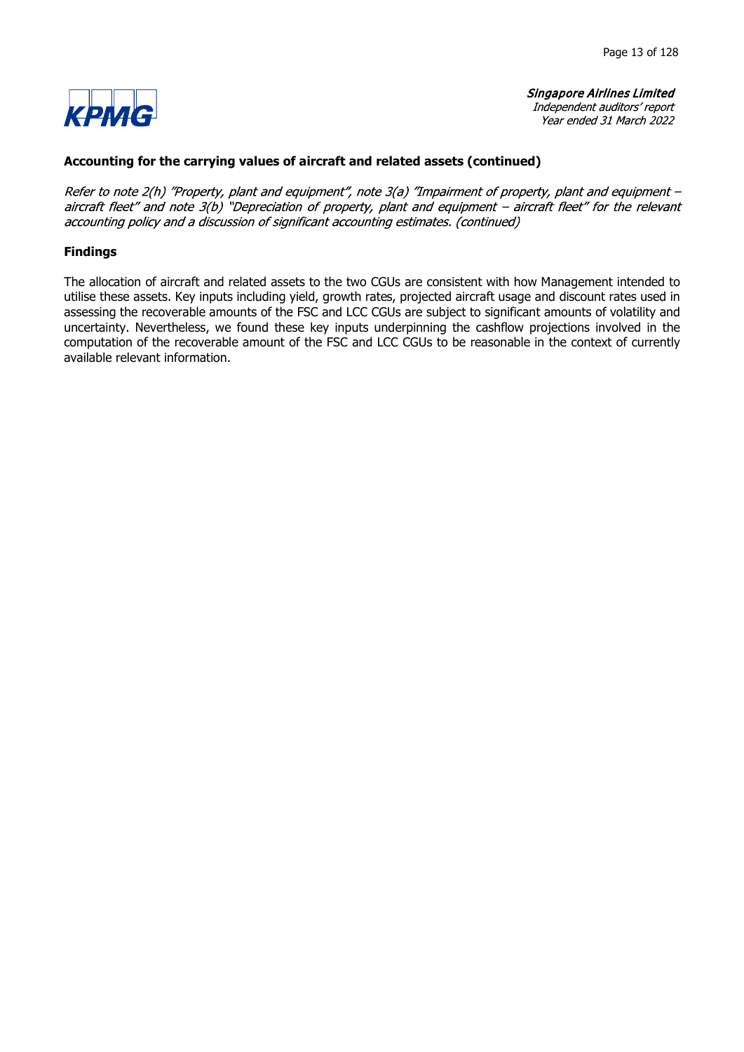

## Accounting for the carrying values of aircraft and related assets (continued)

Refer to note 2(h) "Property, plant and equipment", note 3(a) "Impairment of property, plant and equipment aircraft fleet" and note 3(b) "Depreciation of property, plant and equipment - aircraft fleet" for the relevant accounting policy and a discussion of significant accounting estimates. (continued)

## Findings

The allocation of aircraft and related assets to the two CGUs are consistent with how Management intended to utilise these assets. Key inputs including yield, growth rates, projected aircraft usage and discount rates used in assessing the recoverable amounts of the FSC and LCC CGUs are subject to significant amounts of volatility and uncertainty. Nevertheless, we found these key inputs underpinning the cashflow projections involved in the computation of the recoverable amount of the FSC and LCC CGUs to be reasonable in the context of currently available relevant information.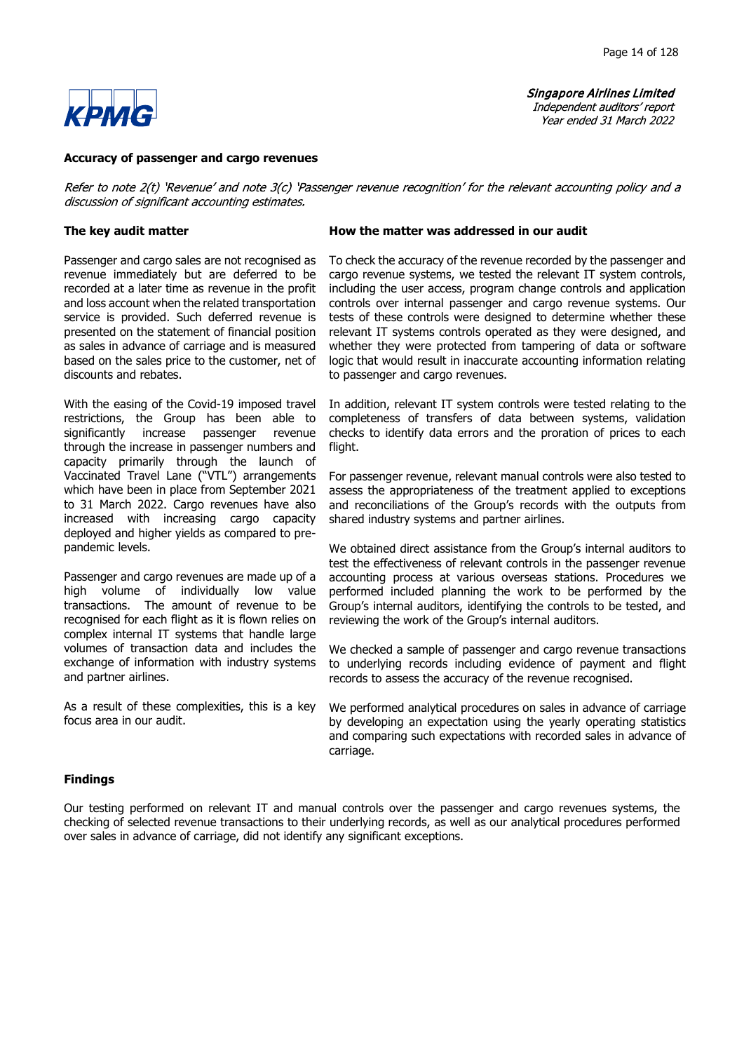**Singapore Airlines Limited** Independent auditors' report

Year ended 31 March 2022



#### Accuracy of passenger and cargo revenues

Refer to note 2(t) 'Revenue' and note 3(c) 'Passenger revenue recognition' for the relevant accounting policy and a discussion of significant accounting estimates.

Passenger and cargo sales are not recognised as revenue immediately but are deferred to be recorded at a later time as revenue in the profit and loss account when the related transportation service is provided. Such deferred revenue is presented on the statement of financial position as sales in advance of carriage and is measured based on the sales price to the customer, net of discounts and rebates.

With the easing of the Covid-19 imposed travel restrictions, the Group has been able to significantly increase passenger revenue through the increase in passenger numbers and capacity primarily through the launch of Vaccinated Travel Lane ("VTL") arrangements which have been in place from September 2021 to 31 March 2022. Cargo revenues have also increased with increasing cargo capacity deployed and higher yields as compared to prepandemic levels.

Passenger and cargo revenues are made up of a high volume of individually low value transactions. The amount of revenue to be recognised for each flight as it is flown relies on complex internal IT systems that handle large volumes of transaction data and includes the exchange of information with industry systems and partner airlines.

As a result of these complexities, this is a key focus area in our audit.

#### The key audit matter **How the matter was addressed in our audit**

To check the accuracy of the revenue recorded by the passenger and cargo revenue systems, we tested the relevant IT system controls, including the user access, program change controls and application controls over internal passenger and cargo revenue systems. Our tests of these controls were designed to determine whether these relevant IT systems controls operated as they were designed, and whether they were protected from tampering of data or software logic that would result in inaccurate accounting information relating to passenger and cargo revenues.

In addition, relevant IT system controls were tested relating to the completeness of transfers of data between systems, validation checks to identify data errors and the proration of prices to each flight.

For passenger revenue, relevant manual controls were also tested to assess the appropriateness of the treatment applied to exceptions and reconciliations of the Group's records with the outputs from shared industry systems and partner airlines.

We obtained direct assistance from the Group's internal auditors to test the effectiveness of relevant controls in the passenger revenue accounting process at various overseas stations. Procedures we performed included planning the work to be performed by the Group's internal auditors, identifying the controls to be tested, and reviewing the work of the Group's internal auditors.

We checked a sample of passenger and cargo revenue transactions to underlying records including evidence of payment and flight records to assess the accuracy of the revenue recognised.

We performed analytical procedures on sales in advance of carriage by developing an expectation using the yearly operating statistics and comparing such expectations with recorded sales in advance of carriage.

#### Findings

Our testing performed on relevant IT and manual controls over the passenger and cargo revenues systems, the checking of selected revenue transactions to their underlying records, as well as our analytical procedures performed over sales in advance of carriage, did not identify any significant exceptions.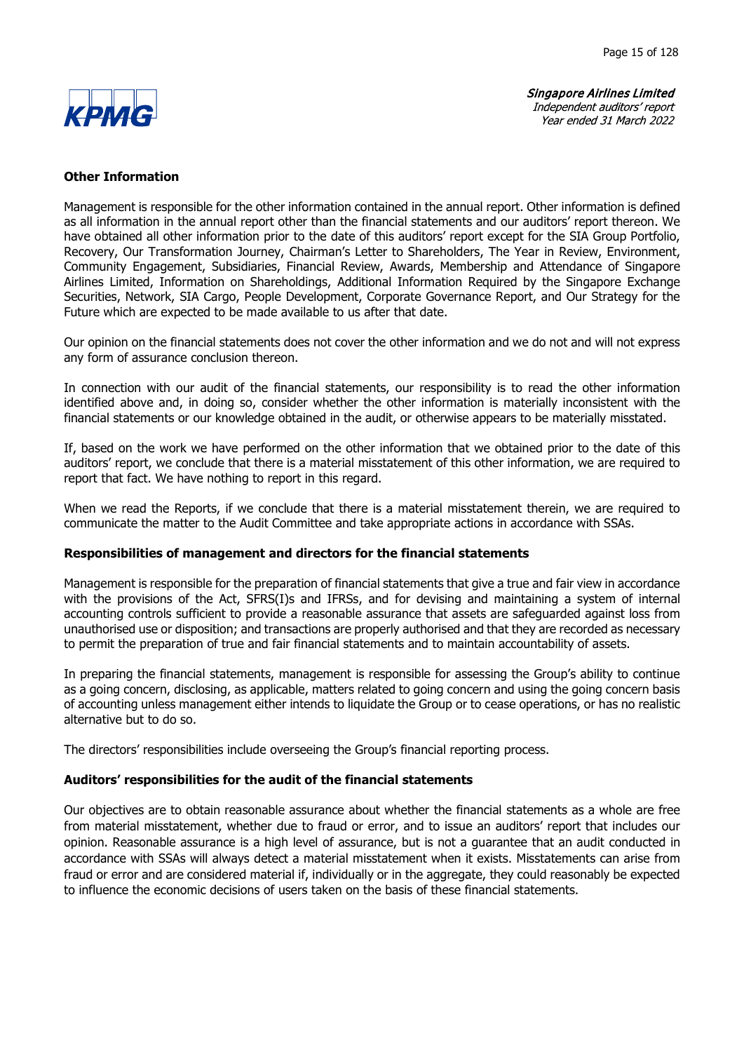

## Other Information

Management is responsible for the other information contained in the annual report. Other information is defined as all information in the annual report other than the financial statements and our auditors' report thereon. We have obtained all other information prior to the date of this auditors' report except for the SIA Group Portfolio, Recovery, Our Transformation Journey, Chairman's Letter to Shareholders, The Year in Review, Environment, Community Engagement, Subsidiaries, Financial Review, Awards, Membership and Attendance of Singapore Airlines Limited, Information on Shareholdings, Additional Information Required by the Singapore Exchange Securities, Network, SIA Cargo, People Development, Corporate Governance Report, and Our Strategy for the Future which are expected to be made available to us after that date.

Our opinion on the financial statements does not cover the other information and we do not and will not express any form of assurance conclusion thereon.

In connection with our audit of the financial statements, our responsibility is to read the other information identified above and, in doing so, consider whether the other information is materially inconsistent with the financial statements or our knowledge obtained in the audit, or otherwise appears to be materially misstated.

If, based on the work we have performed on the other information that we obtained prior to the date of this auditors' report, we conclude that there is a material misstatement of this other information, we are required to report that fact. We have nothing to report in this regard.

When we read the Reports, if we conclude that there is a material misstatement therein, we are required to communicate the matter to the Audit Committee and take appropriate actions in accordance with SSAs.

## Responsibilities of management and directors for the financial statements

Management is responsible for the preparation of financial statements that give a true and fair view in accordance with the provisions of the Act, SFRS(I)s and IFRSs, and for devising and maintaining a system of internal accounting controls sufficient to provide a reasonable assurance that assets are safeguarded against loss from unauthorised use or disposition; and transactions are properly authorised and that they are recorded as necessary to permit the preparation of true and fair financial statements and to maintain accountability of assets.

In preparing the financial statements, management is responsible for assessing the Group's ability to continue as a going concern, disclosing, as applicable, matters related to going concern and using the going concern basis of accounting unless management either intends to liquidate the Group or to cease operations, or has no realistic alternative but to do so.

The directors' responsibilities include overseeing the Group's financial reporting process.

## Auditors' responsibilities for the audit of the financial statements

Our objectives are to obtain reasonable assurance about whether the financial statements as a whole are free from material misstatement, whether due to fraud or error, and to issue an auditors' report that includes our opinion. Reasonable assurance is a high level of assurance, but is not a guarantee that an audit conducted in accordance with SSAs will always detect a material misstatement when it exists. Misstatements can arise from fraud or error and are considered material if, individually or in the aggregate, they could reasonably be expected to influence the economic decisions of users taken on the basis of these financial statements.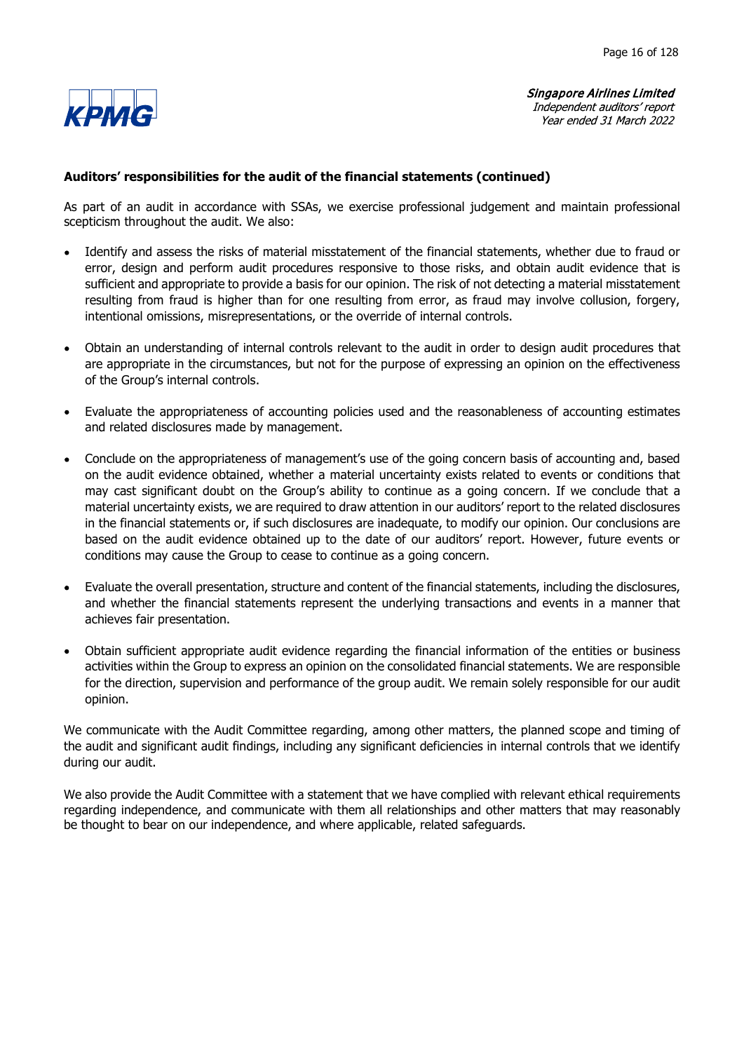

## Auditors' responsibilities for the audit of the financial statements (continued)

As part of an audit in accordance with SSAs, we exercise professional judgement and maintain professional scepticism throughout the audit. We also:

- Identify and assess the risks of material misstatement of the financial statements, whether due to fraud or  $\bullet$ error, design and perform audit procedures responsive to those risks, and obtain audit evidence that is sufficient and appropriate to provide a basis for our opinion. The risk of not detecting a material misstatement resulting from fraud is higher than for one resulting from error, as fraud may involve collusion, forgery, intentional omissions, misrepresentations, or the override of internal controls.
- Obtain an understanding of internal controls relevant to the audit in order to design audit procedures that  $\bullet$ are appropriate in the circumstances, but not for the purpose of expressing an opinion on the effectiveness of the Group's internal controls.
- Evaluate the appropriateness of accounting policies used and the reasonableness of accounting estimates  $\bullet$ and related disclosures made by management.
- $\bullet$ Conclude on the appropriateness of management's use of the going concern basis of accounting and, based on the audit evidence obtained, whether a material uncertainty exists related to events or conditions that may cast significant doubt on the Group's ability to continue as a going concern. If we conclude that a material uncertainty exists, we are required to draw attention in our auditors' report to the related disclosures in the financial statements or, if such disclosures are inadequate, to modify our opinion. Our conclusions are based on the audit evidence obtained up to the date of our auditors' report. However, future events or conditions may cause the Group to cease to continue as a going concern.
- Evaluate the overall presentation, structure and content of the financial statements, including the disclosures,  $\bullet$ and whether the financial statements represent the underlying transactions and events in a manner that achieves fair presentation.
- Obtain sufficient appropriate audit evidence regarding the financial information of the entities or business  $\bullet$ activities within the Group to express an opinion on the consolidated financial statements. We are responsible for the direction, supervision and performance of the group audit. We remain solely responsible for our audit opinion.

We communicate with the Audit Committee regarding, among other matters, the planned scope and timing of the audit and significant audit findings, including any significant deficiencies in internal controls that we identify during our audit.

We also provide the Audit Committee with a statement that we have complied with relevant ethical requirements regarding independence, and communicate with them all relationships and other matters that may reasonably be thought to bear on our independence, and where applicable, related safeguards.